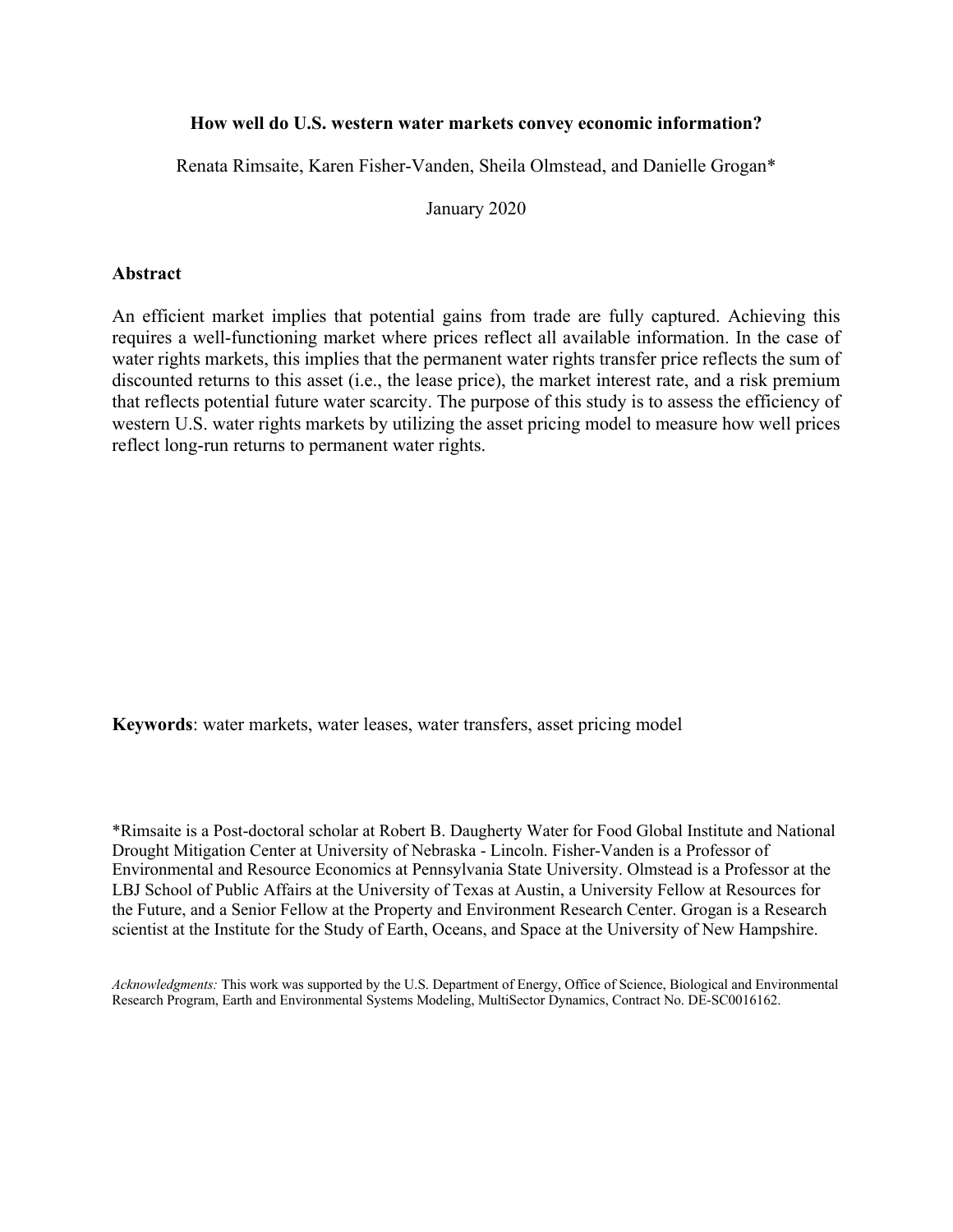# **How well do U.S. western water markets convey economic information?**

Renata Rimsaite, Karen Fisher-Vanden, Sheila Olmstead, and Danielle Grogan\*

January 2020

# **Abstract**

An efficient market implies that potential gains from trade are fully captured. Achieving this requires a well-functioning market where prices reflect all available information. In the case of water rights markets, this implies that the permanent water rights transfer price reflects the sum of discounted returns to this asset (i.e., the lease price), the market interest rate, and a risk premium that reflects potential future water scarcity. The purpose of this study is to assess the efficiency of western U.S. water rights markets by utilizing the asset pricing model to measure how well prices reflect long-run returns to permanent water rights.

**Keywords**: water markets, water leases, water transfers, asset pricing model

\*Rimsaite is a Post-doctoral scholar at Robert B. Daugherty Water for Food Global Institute and National Drought Mitigation Center at University of Nebraska - Lincoln. Fisher-Vanden is a Professor of Environmental and Resource Economics at Pennsylvania State University. Olmstead is a Professor at the LBJ School of Public Affairs at the University of Texas at Austin, a University Fellow at Resources for the Future, and a Senior Fellow at the Property and Environment Research Center. Grogan is a Research scientist at the Institute for the Study of Earth, Oceans, and Space at the University of New Hampshire.

*Acknowledgments:* This work was supported by the U.S. Department of Energy, Office of Science, Biological and Environmental Research Program, Earth and Environmental Systems Modeling, MultiSector Dynamics, Contract No. DE-SC0016162.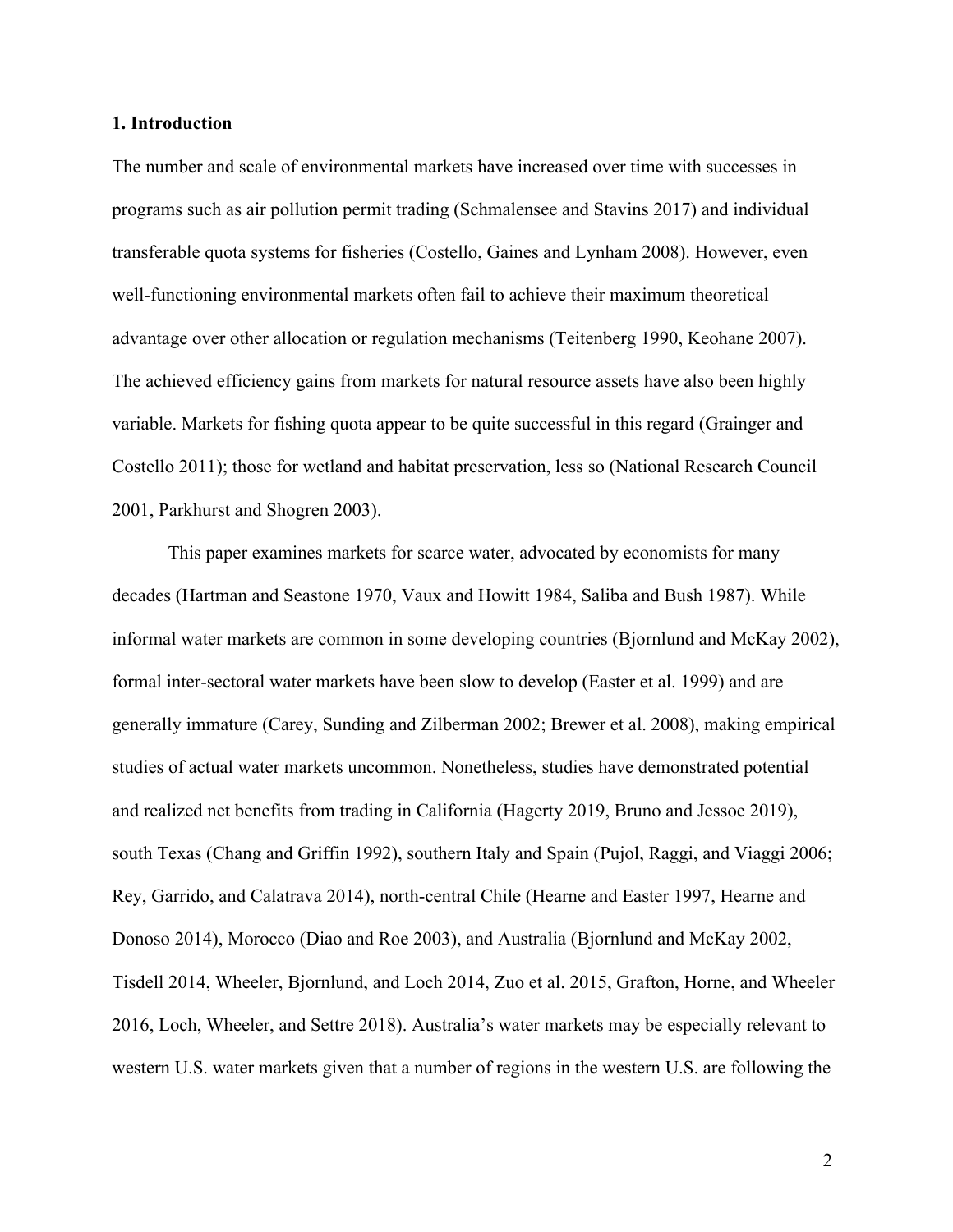#### **1. Introduction**

The number and scale of environmental markets have increased over time with successes in programs such as air pollution permit trading (Schmalensee and Stavins 2017) and individual transferable quota systems for fisheries (Costello, Gaines and Lynham 2008). However, even well-functioning environmental markets often fail to achieve their maximum theoretical advantage over other allocation or regulation mechanisms (Teitenberg 1990, Keohane 2007). The achieved efficiency gains from markets for natural resource assets have also been highly variable. Markets for fishing quota appear to be quite successful in this regard (Grainger and Costello 2011); those for wetland and habitat preservation, less so (National Research Council 2001, Parkhurst and Shogren 2003).

This paper examines markets for scarce water, advocated by economists for many decades (Hartman and Seastone 1970, Vaux and Howitt 1984, Saliba and Bush 1987). While informal water markets are common in some developing countries (Bjornlund and McKay 2002), formal inter-sectoral water markets have been slow to develop (Easter et al. 1999) and are generally immature (Carey, Sunding and Zilberman 2002; Brewer et al. 2008), making empirical studies of actual water markets uncommon. Nonetheless, studies have demonstrated potential and realized net benefits from trading in California (Hagerty 2019, Bruno and Jessoe 2019), south Texas (Chang and Griffin 1992), southern Italy and Spain (Pujol, Raggi, and Viaggi 2006; Rey, Garrido, and Calatrava 2014), north-central Chile (Hearne and Easter 1997, Hearne and Donoso 2014), Morocco (Diao and Roe 2003), and Australia (Bjornlund and McKay 2002, Tisdell 2014, Wheeler, Bjornlund, and Loch 2014, Zuo et al. 2015, Grafton, Horne, and Wheeler 2016, Loch, Wheeler, and Settre 2018). Australia's water markets may be especially relevant to western U.S. water markets given that a number of regions in the western U.S. are following the

 2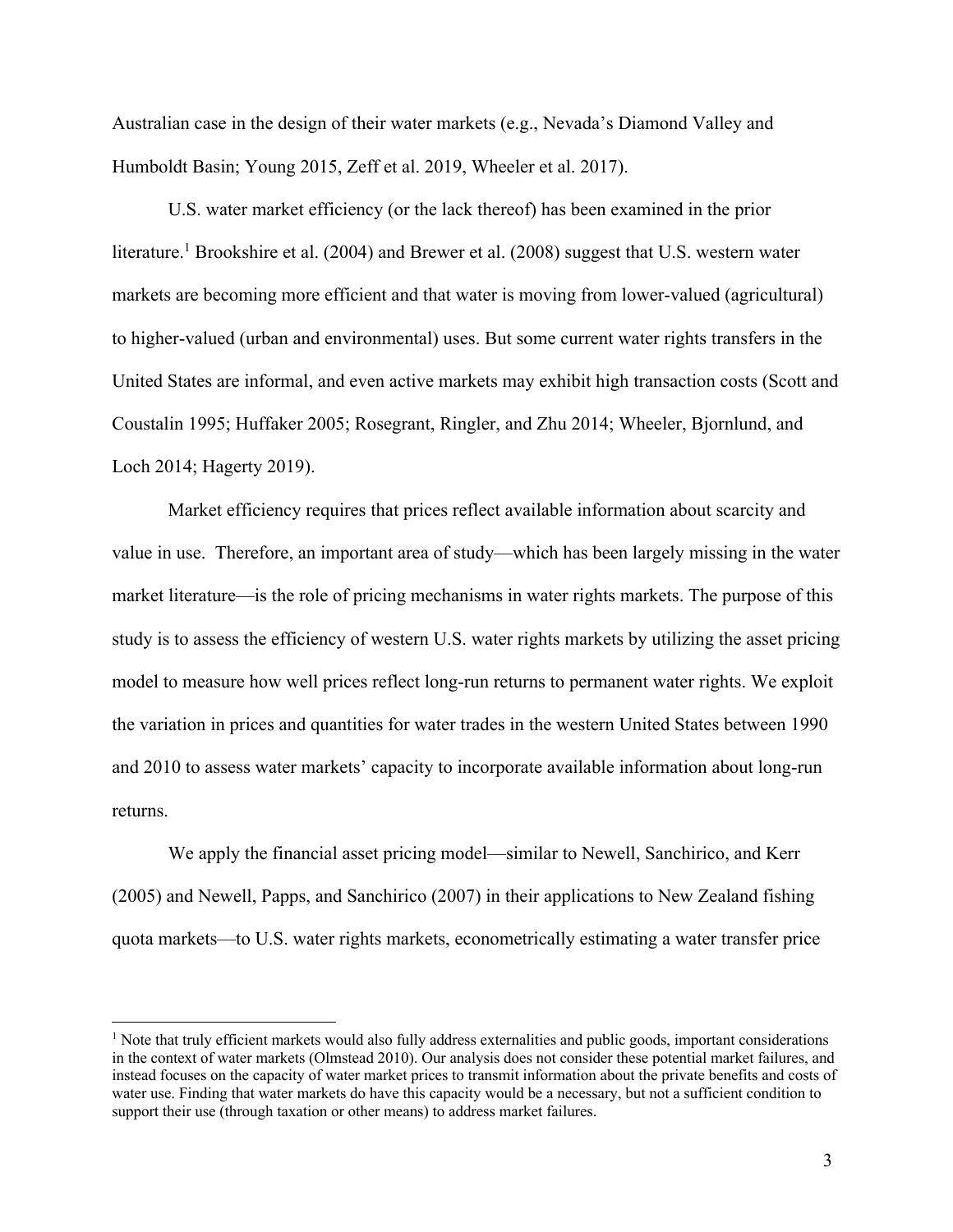Australian case in the design of their water markets (e.g., Nevada's Diamond Valley and Humboldt Basin; Young 2015, Zeff et al. 2019, Wheeler et al. 2017).

U.S. water market efficiency (or the lack thereof) has been examined in the prior literature.<sup>1</sup> Brookshire et al. (2004) and Brewer et al. (2008) suggest that U.S. western water markets are becoming more efficient and that water is moving from lower-valued (agricultural) to higher-valued (urban and environmental) uses. But some current water rights transfers in the United States are informal, and even active markets may exhibit high transaction costs (Scott and Coustalin 1995; Huffaker 2005; Rosegrant, Ringler, and Zhu 2014; Wheeler, Bjornlund, and Loch 2014; Hagerty 2019).

Market efficiency requires that prices reflect available information about scarcity and value in use. Therefore, an important area of study—which has been largely missing in the water market literature—is the role of pricing mechanisms in water rights markets. The purpose of this study is to assess the efficiency of western U.S. water rights markets by utilizing the asset pricing model to measure how well prices reflect long-run returns to permanent water rights. We exploit the variation in prices and quantities for water trades in the western United States between 1990 and 2010 to assess water markets' capacity to incorporate available information about long-run returns.

We apply the financial asset pricing model—similar to Newell, Sanchirico, and Kerr (2005) and Newell, Papps, and Sanchirico (2007) in their applications to New Zealand fishing quota markets—to U.S. water rights markets, econometrically estimating a water transfer price

<sup>&</sup>lt;sup>1</sup> Note that truly efficient markets would also fully address externalities and public goods, important considerations in the context of water markets (Olmstead 2010). Our analysis does not consider these potential market failures, and instead focuses on the capacity of water market prices to transmit information about the private benefits and costs of water use. Finding that water markets do have this capacity would be a necessary, but not a sufficient condition to support their use (through taxation or other means) to address market failures.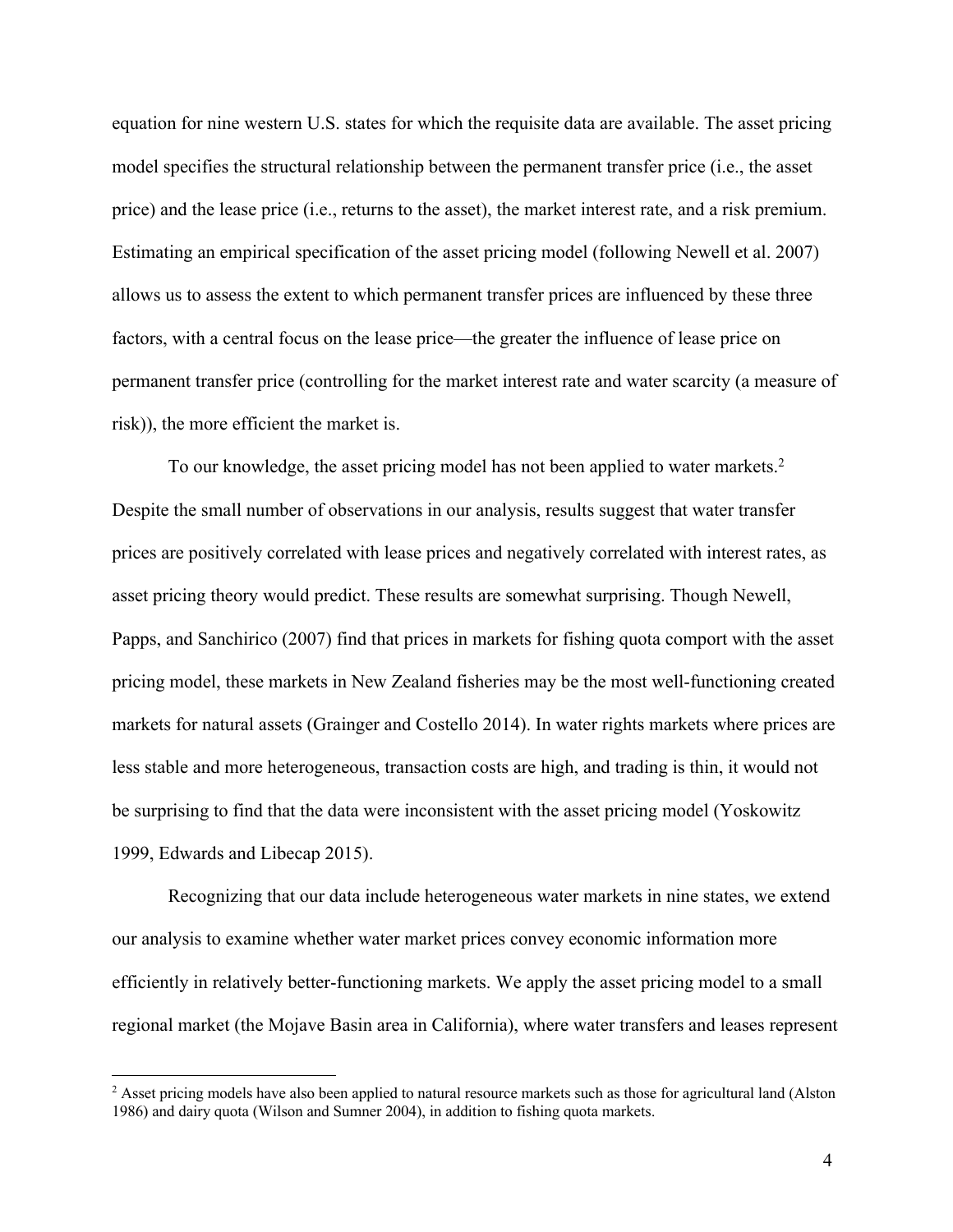equation for nine western U.S. states for which the requisite data are available. The asset pricing model specifies the structural relationship between the permanent transfer price (i.e., the asset price) and the lease price (i.e., returns to the asset), the market interest rate, and a risk premium. Estimating an empirical specification of the asset pricing model (following Newell et al. 2007) allows us to assess the extent to which permanent transfer prices are influenced by these three factors, with a central focus on the lease price—the greater the influence of lease price on permanent transfer price (controlling for the market interest rate and water scarcity (a measure of risk)), the more efficient the market is.

To our knowledge, the asset pricing model has not been applied to water markets.<sup>2</sup> Despite the small number of observations in our analysis, results suggest that water transfer prices are positively correlated with lease prices and negatively correlated with interest rates, as asset pricing theory would predict. These results are somewhat surprising. Though Newell, Papps, and Sanchirico (2007) find that prices in markets for fishing quota comport with the asset pricing model, these markets in New Zealand fisheries may be the most well-functioning created markets for natural assets (Grainger and Costello 2014). In water rights markets where prices are less stable and more heterogeneous, transaction costs are high, and trading is thin, it would not be surprising to find that the data were inconsistent with the asset pricing model (Yoskowitz 1999, Edwards and Libecap 2015).

Recognizing that our data include heterogeneous water markets in nine states, we extend our analysis to examine whether water market prices convey economic information more efficiently in relatively better-functioning markets. We apply the asset pricing model to a small regional market (the Mojave Basin area in California), where water transfers and leases represent

<sup>&</sup>lt;sup>2</sup> Asset pricing models have also been applied to natural resource markets such as those for agricultural land (Alston 1986) and dairy quota (Wilson and Sumner 2004), in addition to fishing quota markets.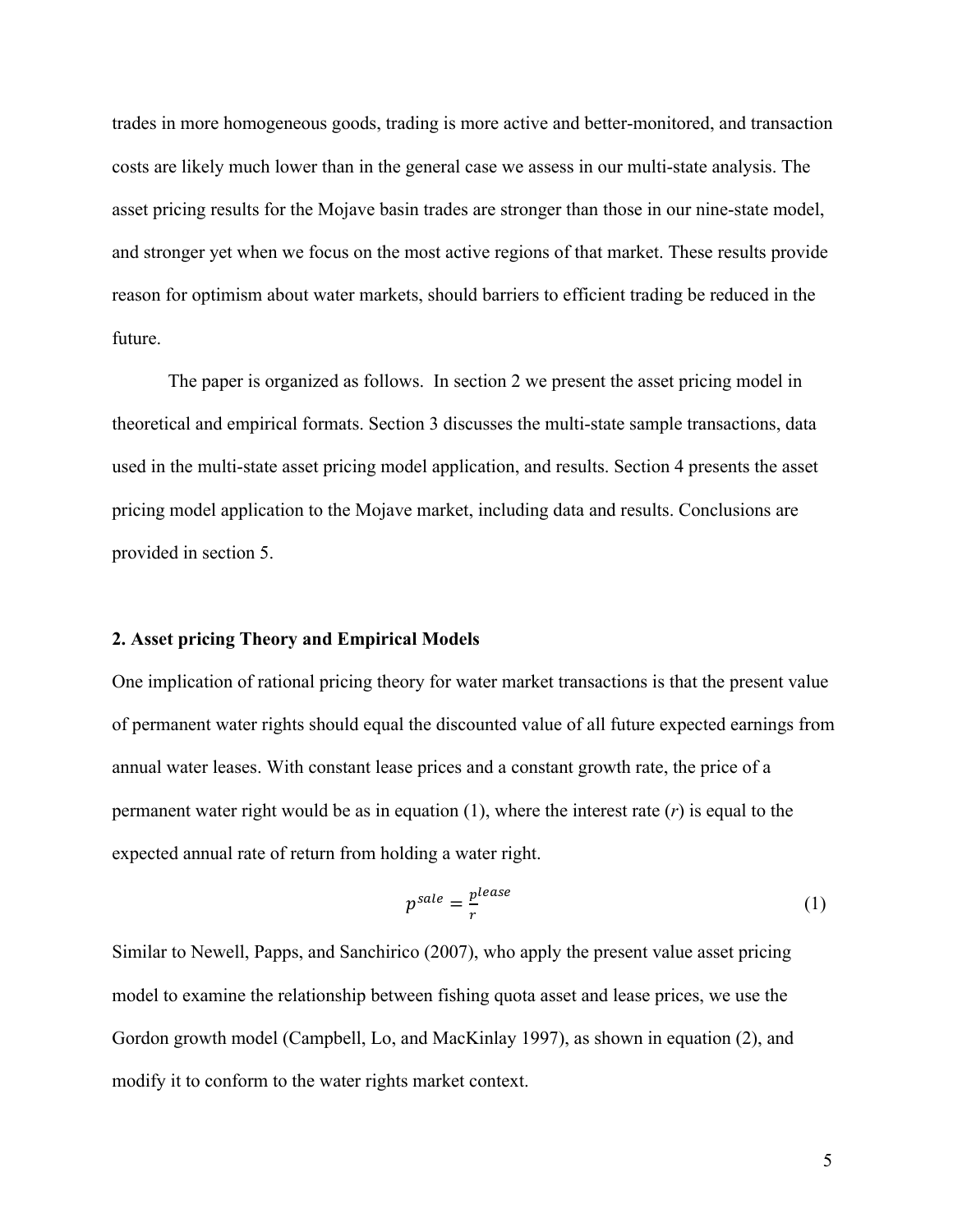trades in more homogeneous goods, trading is more active and better-monitored, and transaction costs are likely much lower than in the general case we assess in our multi-state analysis. The asset pricing results for the Mojave basin trades are stronger than those in our nine-state model, and stronger yet when we focus on the most active regions of that market. These results provide reason for optimism about water markets, should barriers to efficient trading be reduced in the future.

The paper is organized as follows. In section 2 we present the asset pricing model in theoretical and empirical formats. Section 3 discusses the multi-state sample transactions, data used in the multi-state asset pricing model application, and results. Section 4 presents the asset pricing model application to the Mojave market, including data and results. Conclusions are provided in section 5.

#### **2. Asset pricing Theory and Empirical Models**

One implication of rational pricing theory for water market transactions is that the present value of permanent water rights should equal the discounted value of all future expected earnings from annual water leases. With constant lease prices and a constant growth rate, the price of a permanent water right would be as in equation (1), where the interest rate (*r*) is equal to the expected annual rate of return from holding a water right.

$$
p^{sale} = \frac{p^{lease}}{r} \tag{1}
$$

Similar to Newell, Papps, and Sanchirico (2007), who apply the present value asset pricing model to examine the relationship between fishing quota asset and lease prices, we use the Gordon growth model (Campbell, Lo, and MacKinlay 1997), as shown in equation (2), and modify it to conform to the water rights market context.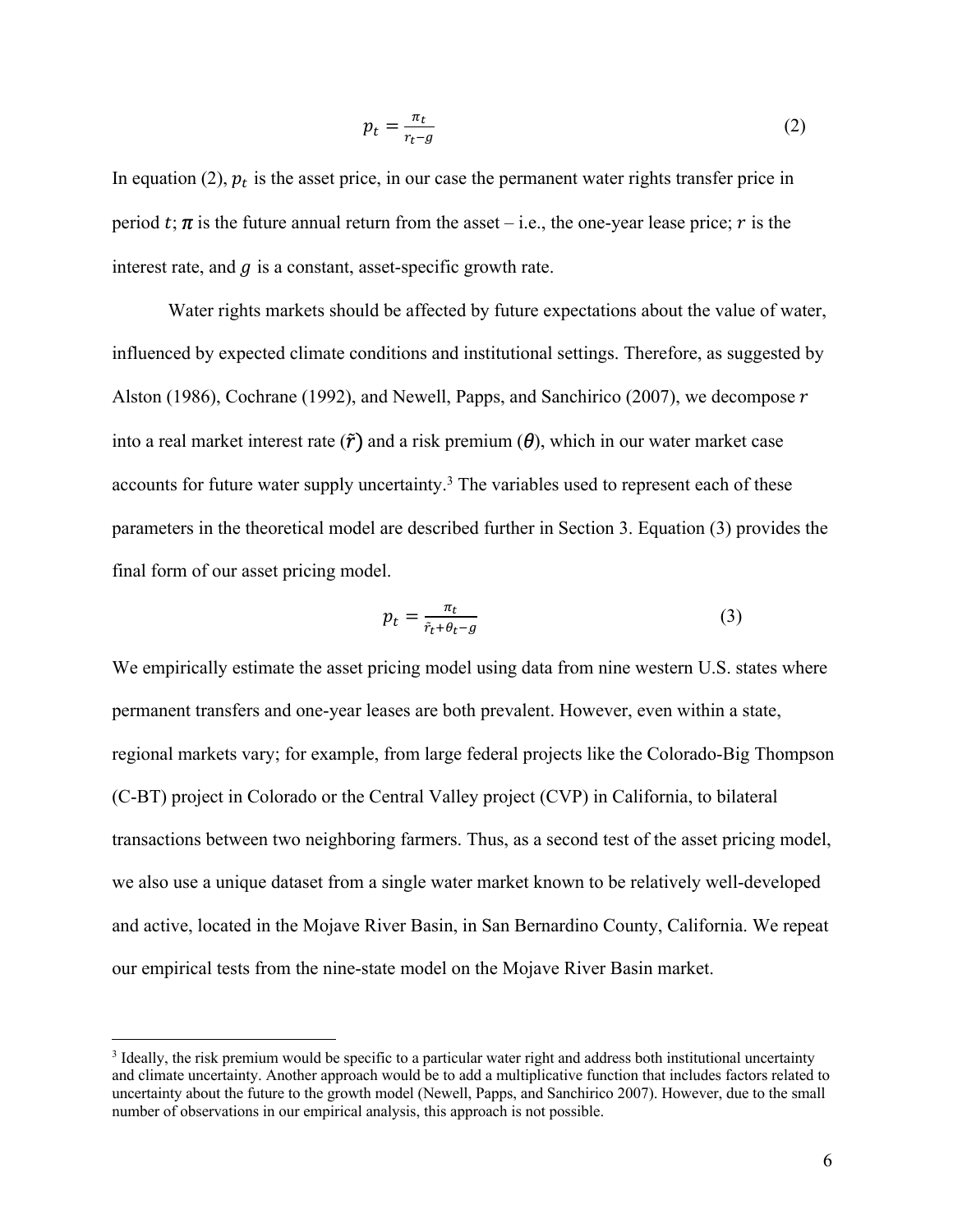$$
p_t = \frac{\pi_t}{r_t - g} \tag{2}
$$

In equation (2),  $p_t$  is the asset price, in our case the permanent water rights transfer price in period t;  $\pi$  is the future annual return from the asset – i.e., the one-year lease price; r is the interest rate, and  $q$  is a constant, asset-specific growth rate.

Water rights markets should be affected by future expectations about the value of water, influenced by expected climate conditions and institutional settings. Therefore, as suggested by Alston (1986), Cochrane (1992), and Newell, Papps, and Sanchirico (2007), we decompose  $r$ into a real market interest rate  $(\tilde{r})$  and a risk premium  $(\theta)$ , which in our water market case accounts for future water supply uncertainty.<sup>3</sup> The variables used to represent each of these parameters in the theoretical model are described further in Section 3. Equation (3) provides the final form of our asset pricing model.

$$
p_t = \frac{\pi_t}{\tilde{r}_t + \theta_t - g} \tag{3}
$$

We empirically estimate the asset pricing model using data from nine western U.S. states where permanent transfers and one-year leases are both prevalent. However, even within a state, regional markets vary; for example, from large federal projects like the Colorado-Big Thompson (C-BT) project in Colorado or the Central Valley project (CVP) in California, to bilateral transactions between two neighboring farmers. Thus, as a second test of the asset pricing model, we also use a unique dataset from a single water market known to be relatively well-developed and active, located in the Mojave River Basin, in San Bernardino County, California. We repeat our empirical tests from the nine-state model on the Mojave River Basin market.

<sup>3</sup> Ideally, the risk premium would be specific to a particular water right and address both institutional uncertainty and climate uncertainty. Another approach would be to add a multiplicative function that includes factors related to uncertainty about the future to the growth model (Newell, Papps, and Sanchirico 2007). However, due to the small number of observations in our empirical analysis, this approach is not possible.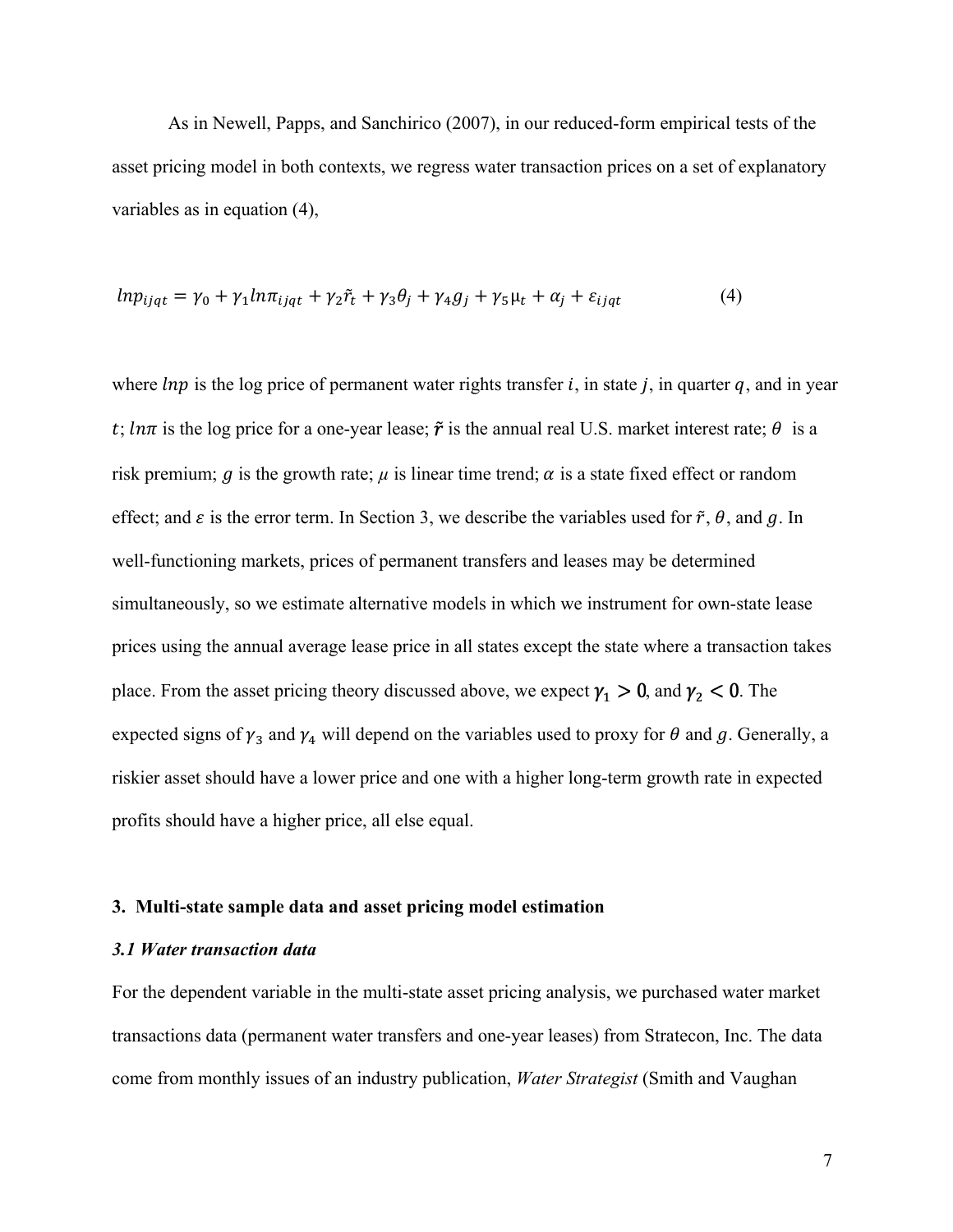As in Newell, Papps, and Sanchirico (2007), in our reduced-form empirical tests of the asset pricing model in both contexts, we regress water transaction prices on a set of explanatory variables as in equation (4),

$$
ln p_{ijqt} = \gamma_0 + \gamma_1 ln \pi_{ijqt} + \gamma_2 \tilde{r}_t + \gamma_3 \theta_j + \gamma_4 g_j + \gamma_5 \mu_t + \alpha_j + \varepsilon_{ijqt}
$$
\n
$$
\tag{4}
$$

where  $ln p$  is the log price of permanent water rights transfer i, in state j, in quarter q, and in year t;  $ln\pi$  is the log price for a one-year lease;  $\tilde{r}$  is the annual real U.S. market interest rate;  $\theta$  is a risk premium;  $q$  is the growth rate;  $\mu$  is linear time trend;  $\alpha$  is a state fixed effect or random effect; and  $\varepsilon$  is the error term. In Section 3, we describe the variables used for  $\tilde{r}$ ,  $\theta$ , and  $q$ . In well-functioning markets, prices of permanent transfers and leases may be determined simultaneously, so we estimate alternative models in which we instrument for own-state lease prices using the annual average lease price in all states except the state where a transaction takes place. From the asset pricing theory discussed above, we expect  $\gamma_1 > 0$ , and  $\gamma_2 < 0$ . The expected signs of  $\gamma_3$  and  $\gamma_4$  will depend on the variables used to proxy for  $\theta$  and  $g$ . Generally, a riskier asset should have a lower price and one with a higher long-term growth rate in expected profits should have a higher price, all else equal.

#### **3. Multi-state sample data and asset pricing model estimation**

#### *3.1 Water transaction data*

For the dependent variable in the multi-state asset pricing analysis, we purchased water market transactions data (permanent water transfers and one-year leases) from Stratecon, Inc. The data come from monthly issues of an industry publication, *Water Strategist* (Smith and Vaughan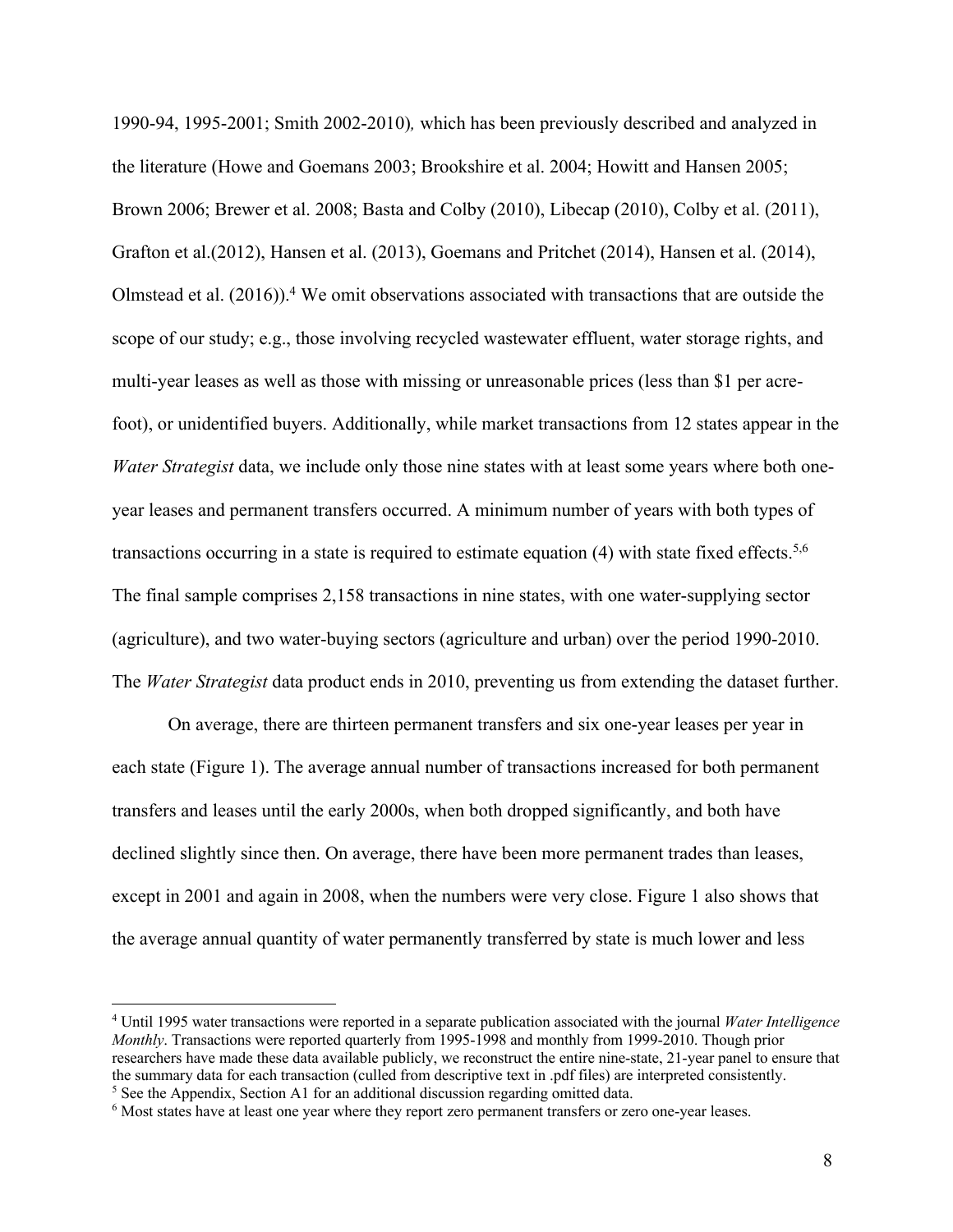1990-94, 1995-2001; Smith 2002-2010)*,* which has been previously described and analyzed in the literature (Howe and Goemans 2003; Brookshire et al. 2004; Howitt and Hansen 2005; Brown 2006; Brewer et al. 2008; Basta and Colby (2010), Libecap (2010), Colby et al. (2011), Grafton et al.(2012), Hansen et al. (2013), Goemans and Pritchet (2014), Hansen et al. (2014), Olmstead et al.  $(2016)$ .<sup>4</sup> We omit observations associated with transactions that are outside the scope of our study; e.g., those involving recycled wastewater effluent, water storage rights, and multi-year leases as well as those with missing or unreasonable prices (less than \$1 per acrefoot), or unidentified buyers. Additionally, while market transactions from 12 states appear in the *Water Strategist* data, we include only those nine states with at least some years where both oneyear leases and permanent transfers occurred. A minimum number of years with both types of transactions occurring in a state is required to estimate equation (4) with state fixed effects.<sup>5,6</sup> The final sample comprises 2,158 transactions in nine states, with one water-supplying sector (agriculture), and two water-buying sectors (agriculture and urban) over the period 1990-2010. The *Water Strategist* data product ends in 2010, preventing us from extending the dataset further.

On average, there are thirteen permanent transfers and six one-year leases per year in each state (Figure 1). The average annual number of transactions increased for both permanent transfers and leases until the early 2000s, when both dropped significantly, and both have declined slightly since then. On average, there have been more permanent trades than leases, except in 2001 and again in 2008, when the numbers were very close. Figure 1 also shows that the average annual quantity of water permanently transferred by state is much lower and less

<sup>4</sup> Until 1995 water transactions were reported in a separate publication associated with the journal *Water Intelligence Monthly*. Transactions were reported quarterly from 1995-1998 and monthly from 1999-2010. Though prior researchers have made these data available publicly, we reconstruct the entire nine-state, 21-year panel to ensure that the summary data for each transaction (culled from descriptive text in .pdf files) are interpreted consistently. <sup>5</sup> See the Appendix, Section A1 for an additional discussion regarding omitted data.

<sup>6</sup> Most states have at least one year where they report zero permanent transfers or zero one-year leases.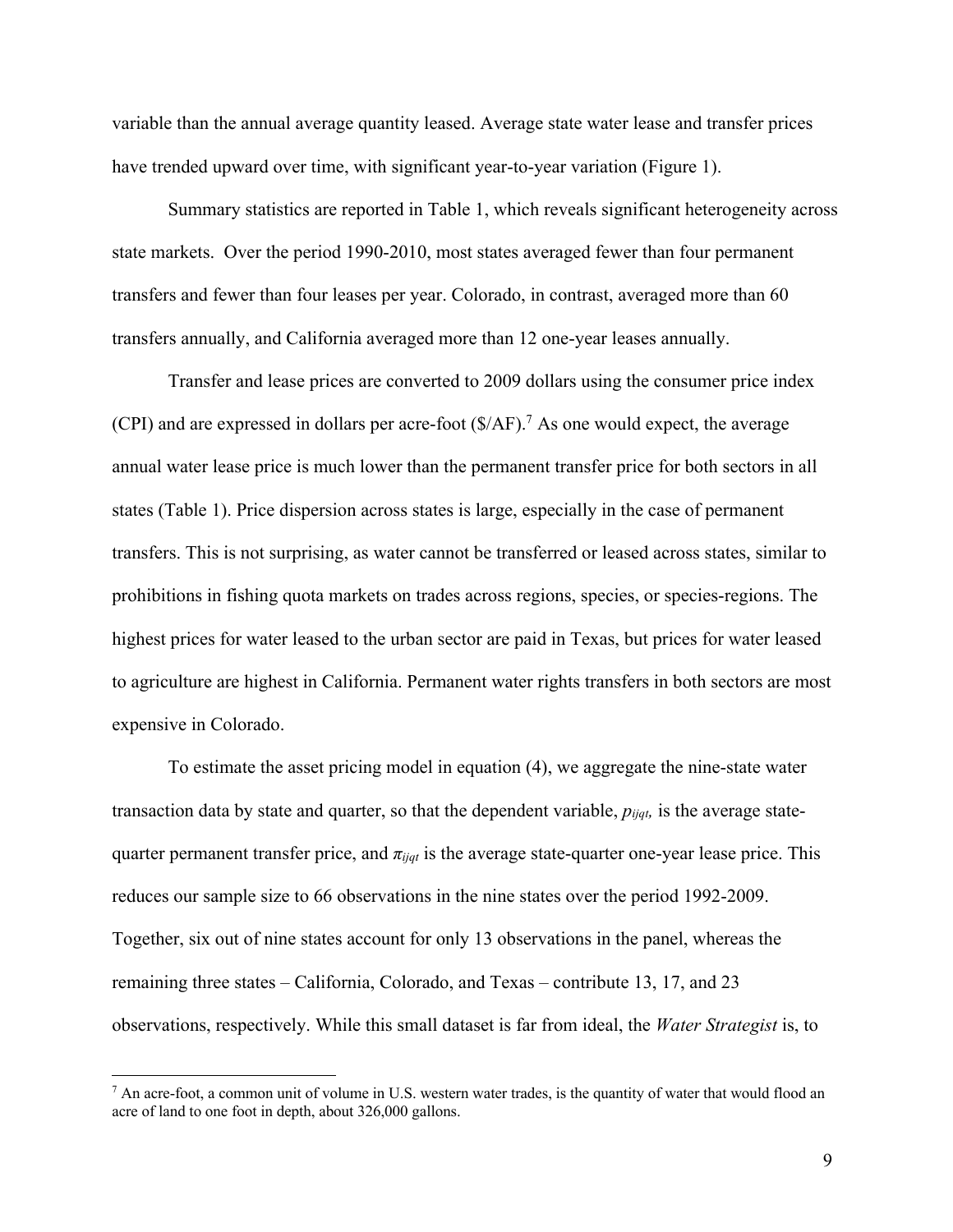variable than the annual average quantity leased. Average state water lease and transfer prices have trended upward over time, with significant year-to-year variation (Figure 1).

Summary statistics are reported in Table 1, which reveals significant heterogeneity across state markets. Over the period 1990-2010, most states averaged fewer than four permanent transfers and fewer than four leases per year. Colorado, in contrast, averaged more than 60 transfers annually, and California averaged more than 12 one-year leases annually.

Transfer and lease prices are converted to 2009 dollars using the consumer price index (CPI) and are expressed in dollars per acre-foot  $(\frac{C}{A})^7$ . As one would expect, the average annual water lease price is much lower than the permanent transfer price for both sectors in all states (Table 1). Price dispersion across states is large, especially in the case of permanent transfers. This is not surprising, as water cannot be transferred or leased across states, similar to prohibitions in fishing quota markets on trades across regions, species, or species-regions. The highest prices for water leased to the urban sector are paid in Texas, but prices for water leased to agriculture are highest in California. Permanent water rights transfers in both sectors are most expensive in Colorado.

To estimate the asset pricing model in equation (4), we aggregate the nine-state water transaction data by state and quarter, so that the dependent variable, *pijqt,* is the average statequarter permanent transfer price, and *πijqt* is the average state-quarter one-year lease price. This reduces our sample size to 66 observations in the nine states over the period 1992-2009. Together, six out of nine states account for only 13 observations in the panel, whereas the remaining three states – California, Colorado, and Texas – contribute 13, 17, and 23 observations, respectively. While this small dataset is far from ideal, the *Water Strategist* is, to

 $<sup>7</sup>$  An acre-foot, a common unit of volume in U.S. western water trades, is the quantity of water that would flood an</sup> acre of land to one foot in depth, about 326,000 gallons.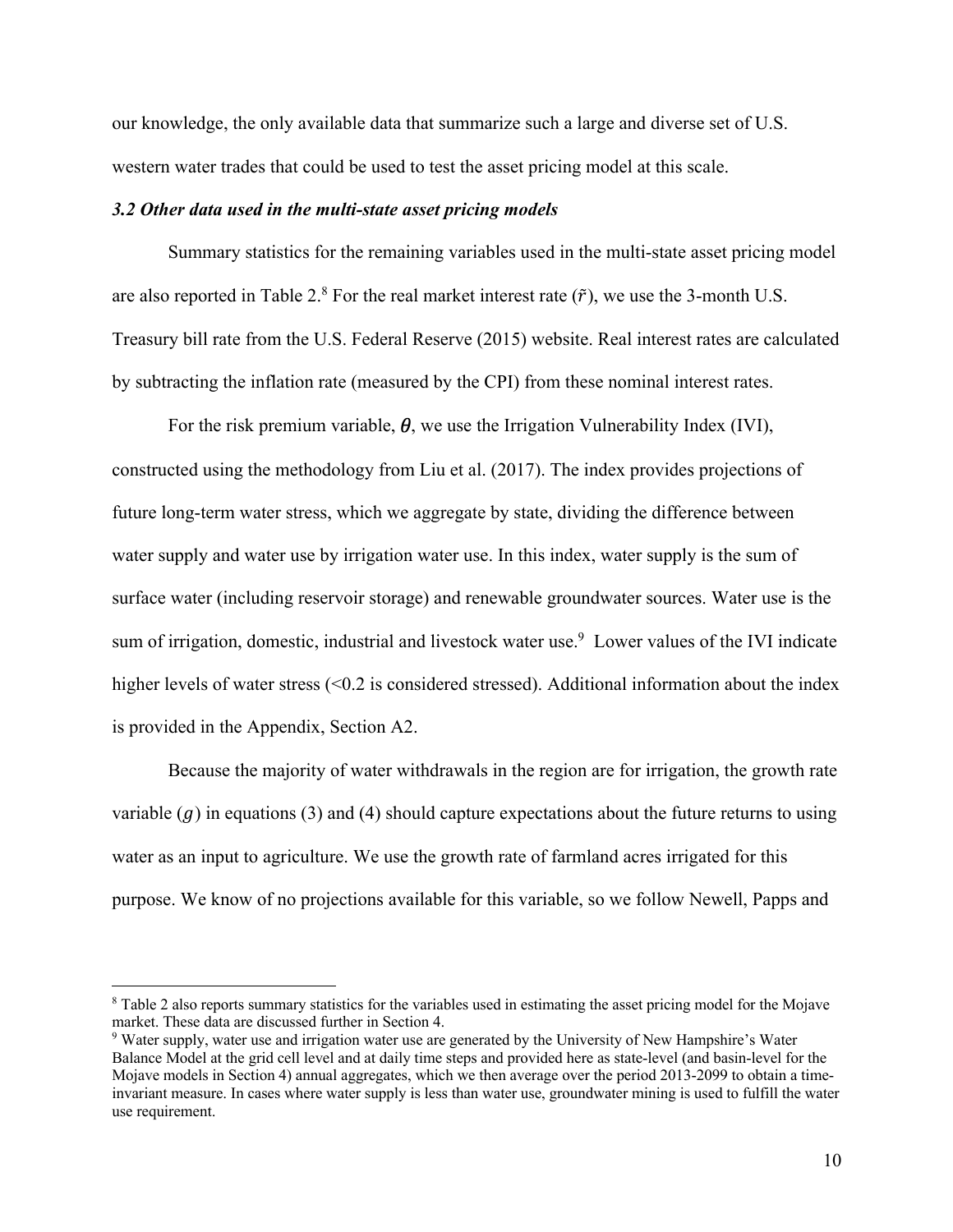our knowledge, the only available data that summarize such a large and diverse set of U.S. western water trades that could be used to test the asset pricing model at this scale.

#### *3.2 Other data used in the multi-state asset pricing models*

Summary statistics for the remaining variables used in the multi-state asset pricing model are also reported in Table 2.<sup>8</sup> For the real market interest rate  $(\tilde{r})$ , we use the 3-month U.S. Treasury bill rate from the U.S. Federal Reserve (2015) website. Real interest rates are calculated by subtracting the inflation rate (measured by the CPI) from these nominal interest rates.

For the risk premium variable,  $\theta$ , we use the Irrigation Vulnerability Index (IVI), constructed using the methodology from Liu et al. (2017). The index provides projections of future long-term water stress, which we aggregate by state, dividing the difference between water supply and water use by irrigation water use. In this index, water supply is the sum of surface water (including reservoir storage) and renewable groundwater sources. Water use is the sum of irrigation, domestic, industrial and livestock water use. <sup>9</sup> Lower values of the IVI indicate higher levels of water stress (<0.2 is considered stressed). Additional information about the index is provided in the Appendix, Section A2.

Because the majority of water withdrawals in the region are for irrigation, the growth rate variable  $(q)$  in equations (3) and (4) should capture expectations about the future returns to using water as an input to agriculture. We use the growth rate of farmland acres irrigated for this purpose. We know of no projections available for this variable, so we follow Newell, Papps and

<sup>8</sup> Table 2 also reports summary statistics for the variables used in estimating the asset pricing model for the Mojave market. These data are discussed further in Section 4.

<sup>9</sup> Water supply, water use and irrigation water use are generated by the University of New Hampshire's Water Balance Model at the grid cell level and at daily time steps and provided here as state-level (and basin-level for the Mojave models in Section 4) annual aggregates, which we then average over the period 2013-2099 to obtain a timeinvariant measure. In cases where water supply is less than water use, groundwater mining is used to fulfill the water use requirement.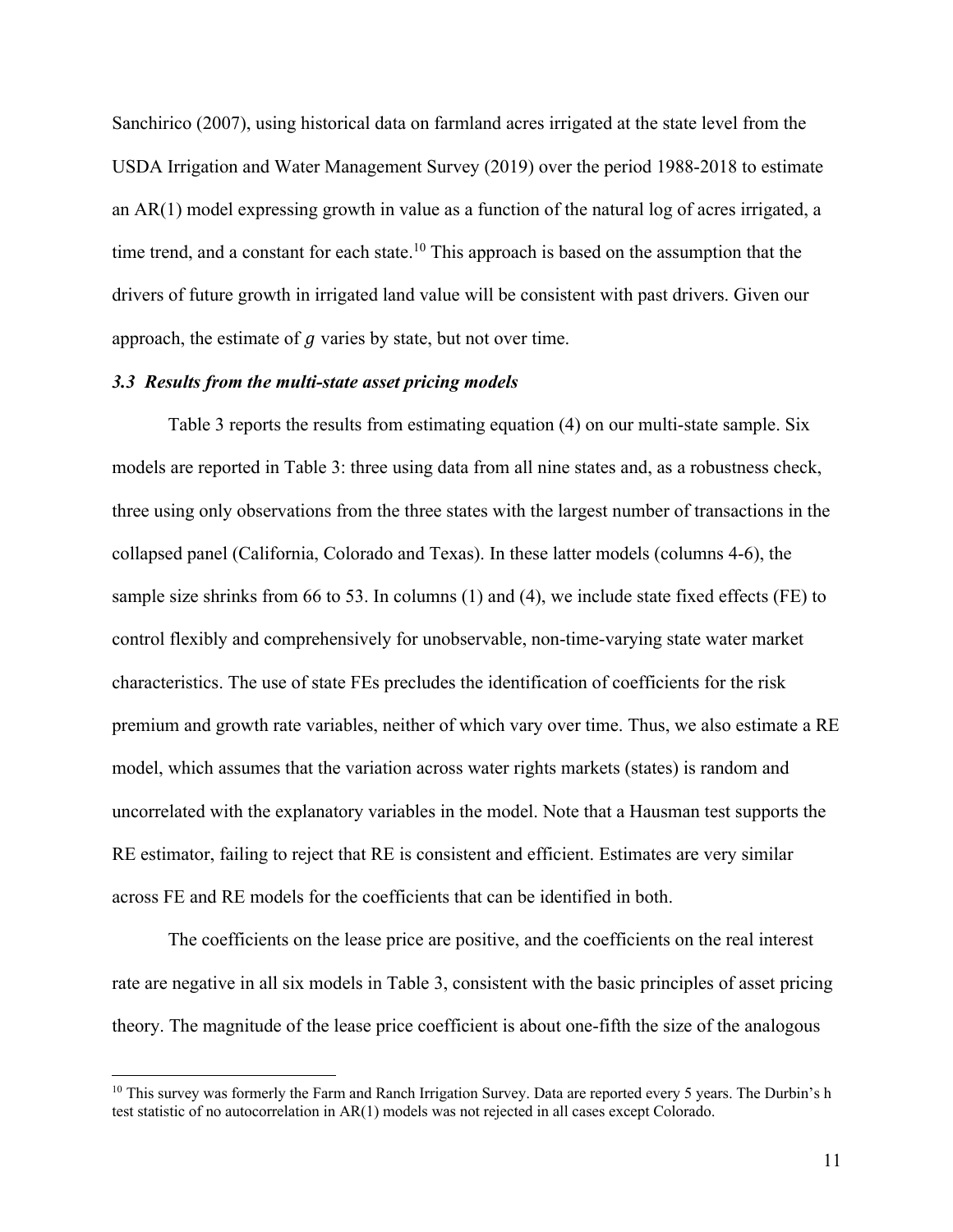Sanchirico (2007), using historical data on farmland acres irrigated at the state level from the USDA Irrigation and Water Management Survey (2019) over the period 1988-2018 to estimate an AR(1) model expressing growth in value as a function of the natural log of acres irrigated, a time trend, and a constant for each state.<sup>10</sup> This approach is based on the assumption that the drivers of future growth in irrigated land value will be consistent with past drivers. Given our approach, the estimate of  $q$  varies by state, but not over time.

#### *3.3 Results from the multi-state asset pricing models*

Table 3 reports the results from estimating equation (4) on our multi-state sample. Six models are reported in Table 3: three using data from all nine states and, as a robustness check, three using only observations from the three states with the largest number of transactions in the collapsed panel (California, Colorado and Texas). In these latter models (columns 4-6), the sample size shrinks from 66 to 53. In columns (1) and (4), we include state fixed effects (FE) to control flexibly and comprehensively for unobservable, non-time-varying state water market characteristics. The use of state FEs precludes the identification of coefficients for the risk premium and growth rate variables, neither of which vary over time. Thus, we also estimate a RE model, which assumes that the variation across water rights markets (states) is random and uncorrelated with the explanatory variables in the model. Note that a Hausman test supports the RE estimator, failing to reject that RE is consistent and efficient. Estimates are very similar across FE and RE models for the coefficients that can be identified in both.

The coefficients on the lease price are positive, and the coefficients on the real interest rate are negative in all six models in Table 3, consistent with the basic principles of asset pricing theory. The magnitude of the lease price coefficient is about one-fifth the size of the analogous

<sup>&</sup>lt;sup>10</sup> This survey was formerly the Farm and Ranch Irrigation Survey. Data are reported every 5 years. The Durbin's h test statistic of no autocorrelation in AR(1) models was not rejected in all cases except Colorado.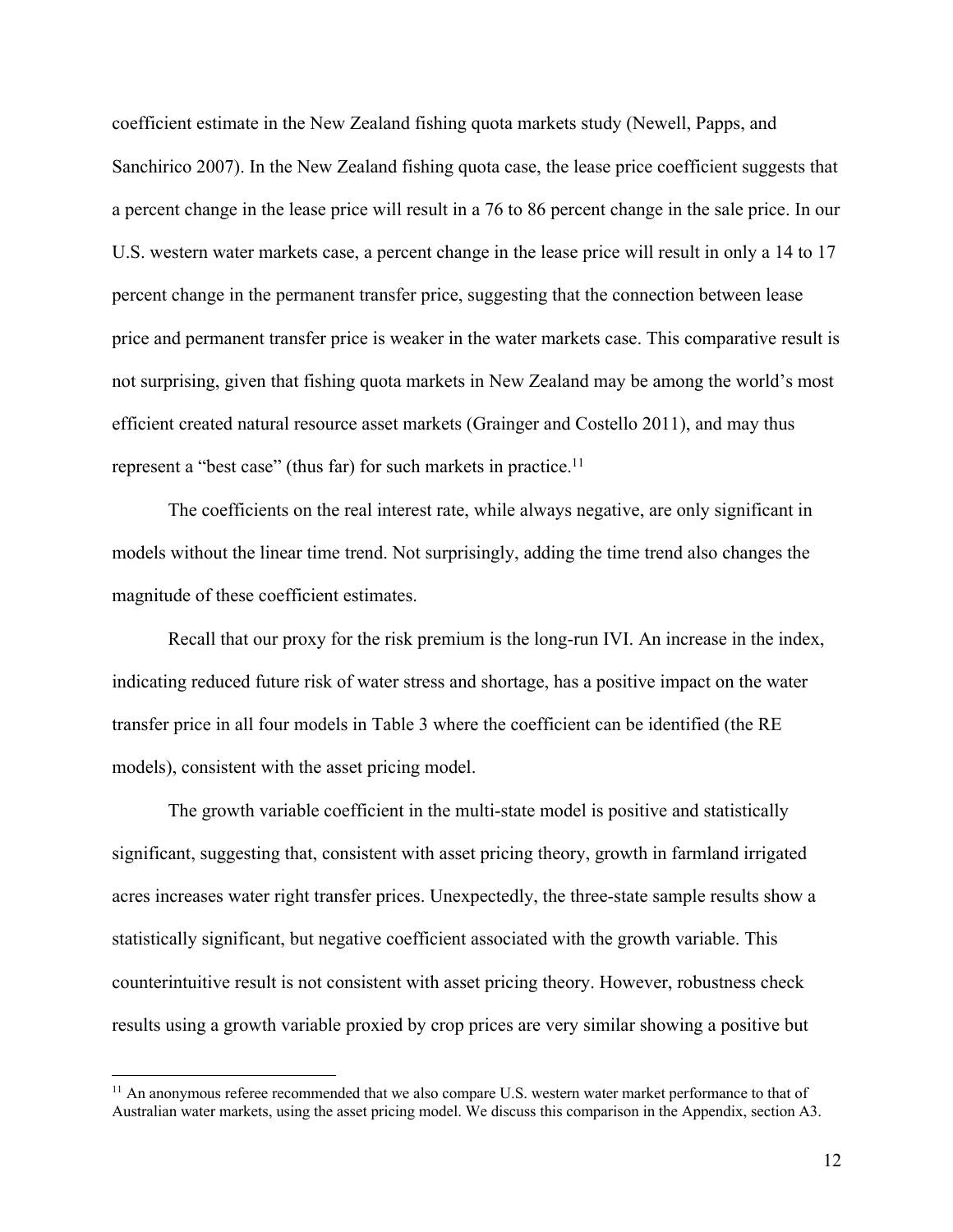coefficient estimate in the New Zealand fishing quota markets study (Newell, Papps, and Sanchirico 2007). In the New Zealand fishing quota case, the lease price coefficient suggests that a percent change in the lease price will result in a 76 to 86 percent change in the sale price. In our U.S. western water markets case, a percent change in the lease price will result in only a 14 to 17 percent change in the permanent transfer price, suggesting that the connection between lease price and permanent transfer price is weaker in the water markets case. This comparative result is not surprising, given that fishing quota markets in New Zealand may be among the world's most efficient created natural resource asset markets (Grainger and Costello 2011), and may thus represent a "best case" (thus far) for such markets in practice.<sup>11</sup>

The coefficients on the real interest rate, while always negative, are only significant in models without the linear time trend. Not surprisingly, adding the time trend also changes the magnitude of these coefficient estimates.

Recall that our proxy for the risk premium is the long-run IVI. An increase in the index, indicating reduced future risk of water stress and shortage, has a positive impact on the water transfer price in all four models in Table 3 where the coefficient can be identified (the RE models), consistent with the asset pricing model.

The growth variable coefficient in the multi-state model is positive and statistically significant, suggesting that, consistent with asset pricing theory, growth in farmland irrigated acres increases water right transfer prices. Unexpectedly, the three-state sample results show a statistically significant, but negative coefficient associated with the growth variable. This counterintuitive result is not consistent with asset pricing theory. However, robustness check results using a growth variable proxied by crop prices are very similar showing a positive but

<sup>&</sup>lt;sup>11</sup> An anonymous referee recommended that we also compare U.S. western water market performance to that of Australian water markets, using the asset pricing model. We discuss this comparison in the Appendix, section A3.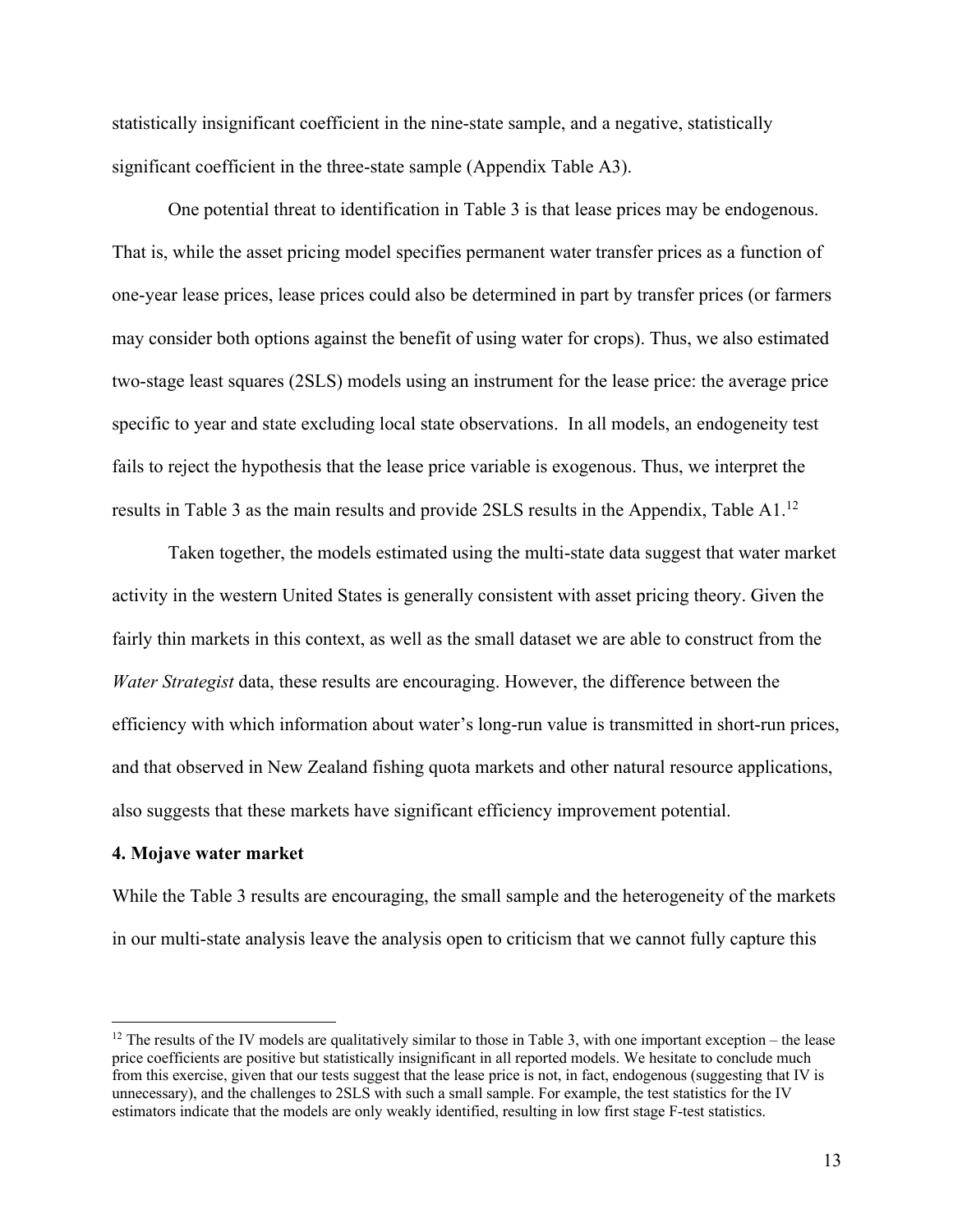statistically insignificant coefficient in the nine-state sample, and a negative, statistically significant coefficient in the three-state sample (Appendix Table A3).

One potential threat to identification in Table 3 is that lease prices may be endogenous. That is, while the asset pricing model specifies permanent water transfer prices as a function of one-year lease prices, lease prices could also be determined in part by transfer prices (or farmers may consider both options against the benefit of using water for crops). Thus, we also estimated two-stage least squares (2SLS) models using an instrument for the lease price: the average price specific to year and state excluding local state observations. In all models, an endogeneity test fails to reject the hypothesis that the lease price variable is exogenous. Thus, we interpret the results in Table 3 as the main results and provide 2SLS results in the Appendix, Table A1.<sup>12</sup>

Taken together, the models estimated using the multi-state data suggest that water market activity in the western United States is generally consistent with asset pricing theory. Given the fairly thin markets in this context, as well as the small dataset we are able to construct from the *Water Strategist* data, these results are encouraging. However, the difference between the efficiency with which information about water's long-run value is transmitted in short-run prices, and that observed in New Zealand fishing quota markets and other natural resource applications, also suggests that these markets have significant efficiency improvement potential.

#### **4. Mojave water market**

While the Table 3 results are encouraging, the small sample and the heterogeneity of the markets in our multi-state analysis leave the analysis open to criticism that we cannot fully capture this

 $12$  The results of the IV models are qualitatively similar to those in Table 3, with one important exception – the lease price coefficients are positive but statistically insignificant in all reported models. We hesitate to conclude much from this exercise, given that our tests suggest that the lease price is not, in fact, endogenous (suggesting that IV is unnecessary), and the challenges to 2SLS with such a small sample. For example, the test statistics for the IV estimators indicate that the models are only weakly identified, resulting in low first stage F-test statistics.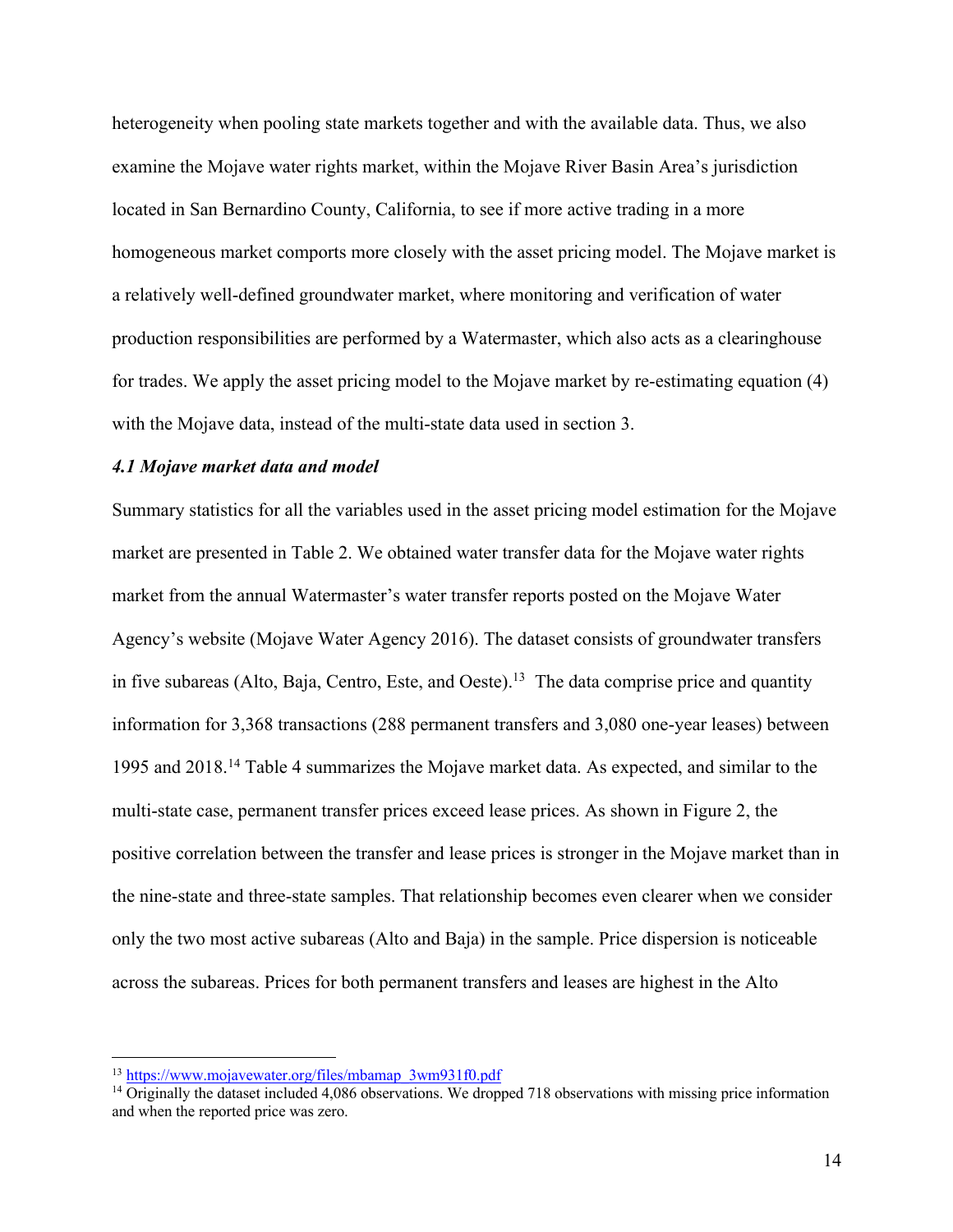heterogeneity when pooling state markets together and with the available data. Thus, we also examine the Mojave water rights market, within the Mojave River Basin Area's jurisdiction located in San Bernardino County, California, to see if more active trading in a more homogeneous market comports more closely with the asset pricing model. The Mojave market is a relatively well-defined groundwater market, where monitoring and verification of water production responsibilities are performed by a Watermaster, which also acts as a clearinghouse for trades. We apply the asset pricing model to the Mojave market by re-estimating equation (4) with the Mojave data, instead of the multi-state data used in section 3.

#### *4.1 Mojave market data and model*

Summary statistics for all the variables used in the asset pricing model estimation for the Mojave market are presented in Table 2. We obtained water transfer data for the Mojave water rights market from the annual Watermaster's water transfer reports posted on the Mojave Water Agency's website (Mojave Water Agency 2016). The dataset consists of groundwater transfers in five subareas (Alto, Baja, Centro, Este, and Oeste).<sup>13</sup> The data comprise price and quantity information for 3,368 transactions (288 permanent transfers and 3,080 one-year leases) between 1995 and 2018.<sup>14</sup> Table 4 summarizes the Mojave market data. As expected, and similar to the multi-state case, permanent transfer prices exceed lease prices. As shown in Figure 2, the positive correlation between the transfer and lease prices is stronger in the Mojave market than in the nine-state and three-state samples. That relationship becomes even clearer when we consider only the two most active subareas (Alto and Baja) in the sample. Price dispersion is noticeable across the subareas. Prices for both permanent transfers and leases are highest in the Alto

<sup>13</sup> https://www.mojavewater.org/files/mbamap\_3wm931f0.pdf

<sup>&</sup>lt;sup>14</sup> Originally the dataset included 4,086 observations. We dropped 718 observations with missing price information and when the reported price was zero.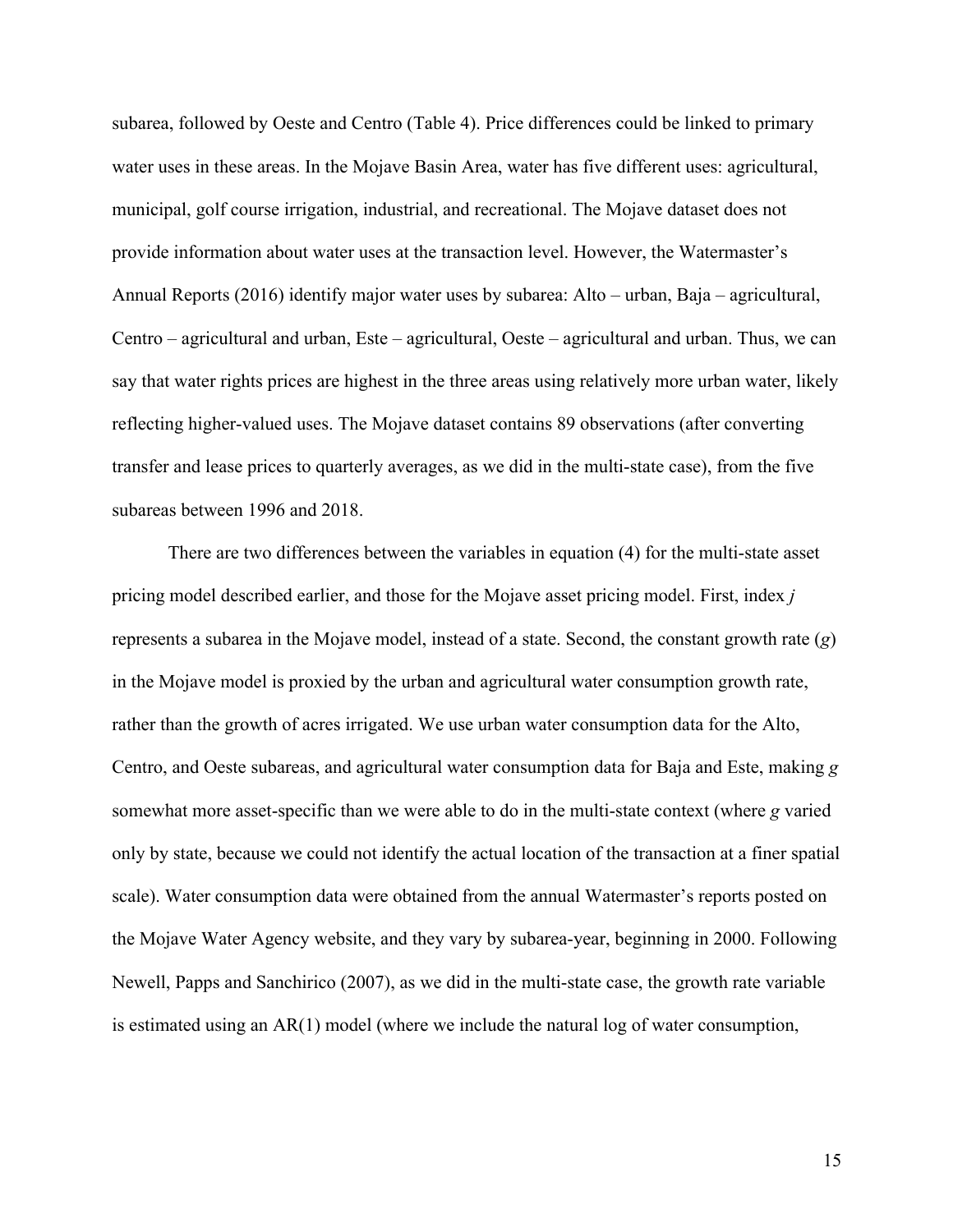subarea, followed by Oeste and Centro (Table 4). Price differences could be linked to primary water uses in these areas. In the Mojave Basin Area, water has five different uses: agricultural, municipal, golf course irrigation, industrial, and recreational. The Mojave dataset does not provide information about water uses at the transaction level. However, the Watermaster's Annual Reports (2016) identify major water uses by subarea: Alto – urban, Baja – agricultural, Centro – agricultural and urban, Este – agricultural, Oeste – agricultural and urban. Thus, we can say that water rights prices are highest in the three areas using relatively more urban water, likely reflecting higher-valued uses. The Mojave dataset contains 89 observations (after converting transfer and lease prices to quarterly averages, as we did in the multi-state case), from the five subareas between 1996 and 2018.

There are two differences between the variables in equation (4) for the multi-state asset pricing model described earlier, and those for the Mojave asset pricing model. First, index *j* represents a subarea in the Mojave model, instead of a state. Second, the constant growth rate (*g*) in the Mojave model is proxied by the urban and agricultural water consumption growth rate, rather than the growth of acres irrigated. We use urban water consumption data for the Alto, Centro, and Oeste subareas, and agricultural water consumption data for Baja and Este, making *g* somewhat more asset-specific than we were able to do in the multi-state context (where *g* varied only by state, because we could not identify the actual location of the transaction at a finer spatial scale). Water consumption data were obtained from the annual Watermaster's reports posted on the Mojave Water Agency website, and they vary by subarea-year, beginning in 2000. Following Newell, Papps and Sanchirico (2007), as we did in the multi-state case, the growth rate variable is estimated using an AR(1) model (where we include the natural log of water consumption,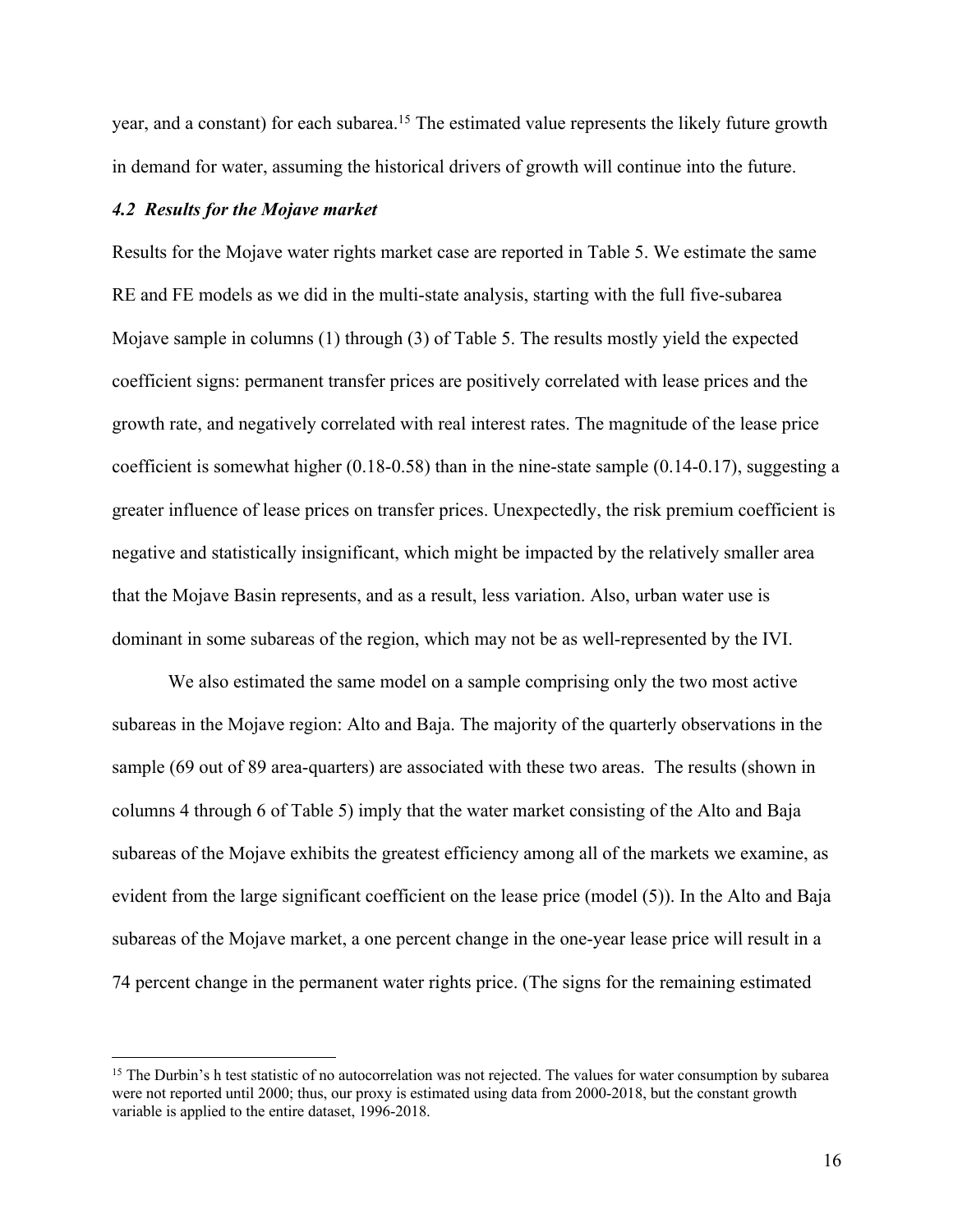year, and a constant) for each subarea.<sup>15</sup> The estimated value represents the likely future growth in demand for water, assuming the historical drivers of growth will continue into the future.

#### *4.2 Results for the Mojave market*

Results for the Mojave water rights market case are reported in Table 5. We estimate the same RE and FE models as we did in the multi-state analysis, starting with the full five-subarea Mojave sample in columns (1) through (3) of Table 5. The results mostly yield the expected coefficient signs: permanent transfer prices are positively correlated with lease prices and the growth rate, and negatively correlated with real interest rates. The magnitude of the lease price coefficient is somewhat higher (0.18-0.58) than in the nine-state sample (0.14-0.17), suggesting a greater influence of lease prices on transfer prices. Unexpectedly, the risk premium coefficient is negative and statistically insignificant, which might be impacted by the relatively smaller area that the Mojave Basin represents, and as a result, less variation. Also, urban water use is dominant in some subareas of the region, which may not be as well-represented by the IVI.

We also estimated the same model on a sample comprising only the two most active subareas in the Mojave region: Alto and Baja. The majority of the quarterly observations in the sample (69 out of 89 area-quarters) are associated with these two areas. The results (shown in columns 4 through 6 of Table 5) imply that the water market consisting of the Alto and Baja subareas of the Mojave exhibits the greatest efficiency among all of the markets we examine, as evident from the large significant coefficient on the lease price (model (5)). In the Alto and Baja subareas of the Mojave market, a one percent change in the one-year lease price will result in a 74 percent change in the permanent water rights price. (The signs for the remaining estimated

<sup>&</sup>lt;sup>15</sup> The Durbin's h test statistic of no autocorrelation was not rejected. The values for water consumption by subarea were not reported until 2000; thus, our proxy is estimated using data from 2000-2018, but the constant growth variable is applied to the entire dataset, 1996-2018.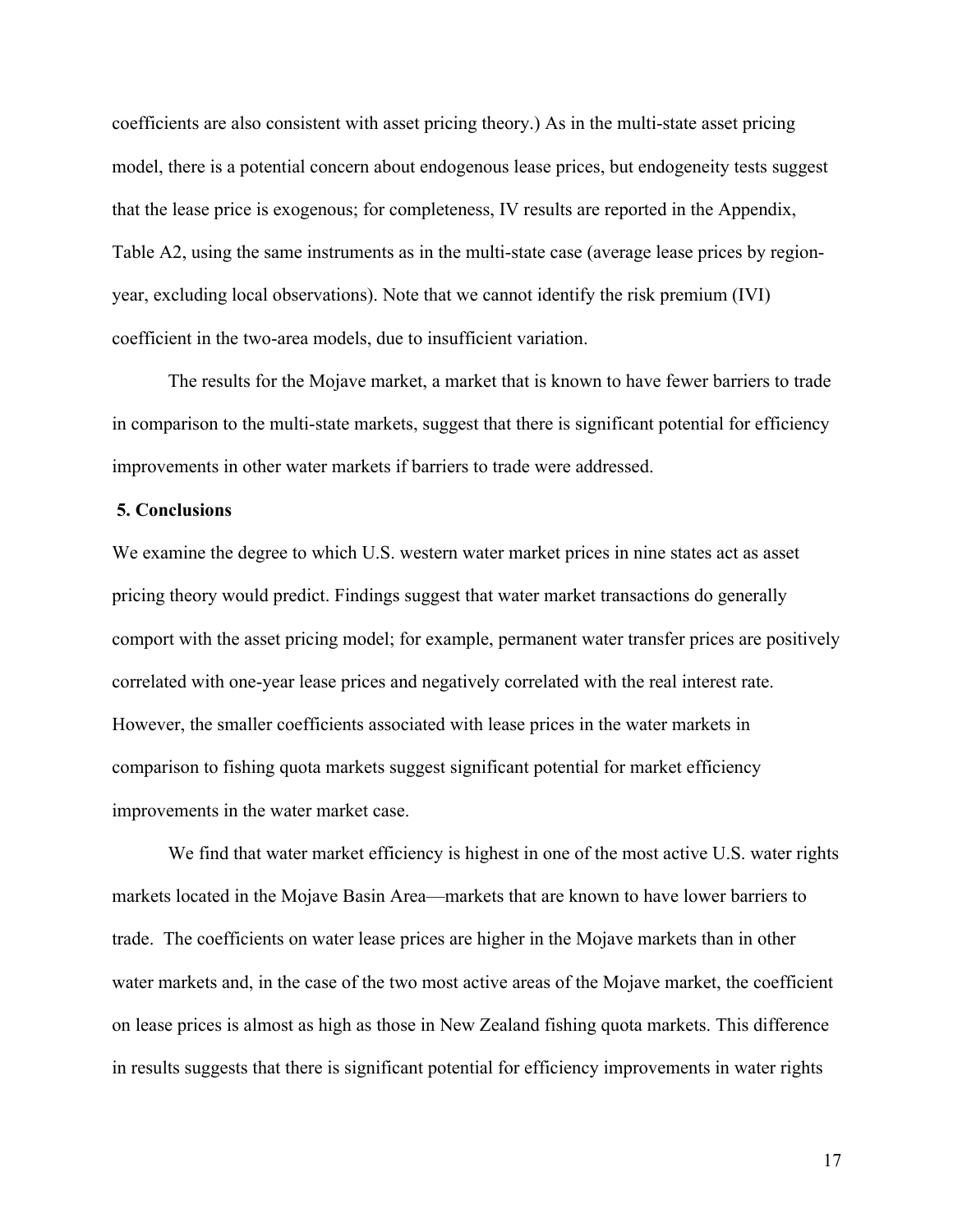coefficients are also consistent with asset pricing theory.) As in the multi-state asset pricing model, there is a potential concern about endogenous lease prices, but endogeneity tests suggest that the lease price is exogenous; for completeness, IV results are reported in the Appendix, Table A2, using the same instruments as in the multi-state case (average lease prices by regionyear, excluding local observations). Note that we cannot identify the risk premium (IVI) coefficient in the two-area models, due to insufficient variation.

The results for the Mojave market, a market that is known to have fewer barriers to trade in comparison to the multi-state markets, suggest that there is significant potential for efficiency improvements in other water markets if barriers to trade were addressed.

#### **5. Conclusions**

We examine the degree to which U.S. western water market prices in nine states act as asset pricing theory would predict. Findings suggest that water market transactions do generally comport with the asset pricing model; for example, permanent water transfer prices are positively correlated with one-year lease prices and negatively correlated with the real interest rate. However, the smaller coefficients associated with lease prices in the water markets in comparison to fishing quota markets suggest significant potential for market efficiency improvements in the water market case.

We find that water market efficiency is highest in one of the most active U.S. water rights markets located in the Mojave Basin Area—markets that are known to have lower barriers to trade. The coefficients on water lease prices are higher in the Mojave markets than in other water markets and, in the case of the two most active areas of the Mojave market, the coefficient on lease prices is almost as high as those in New Zealand fishing quota markets. This difference in results suggests that there is significant potential for efficiency improvements in water rights

 17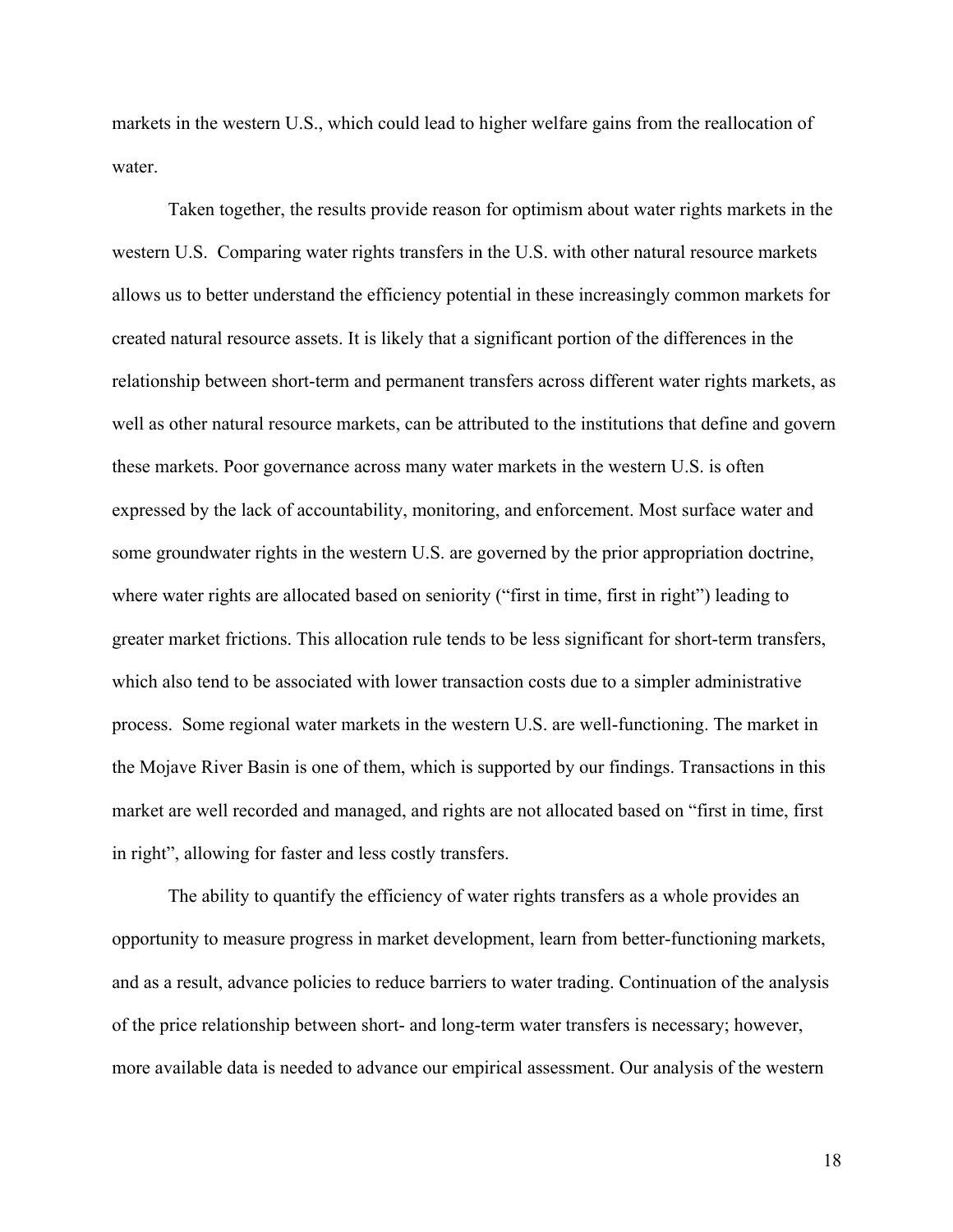markets in the western U.S., which could lead to higher welfare gains from the reallocation of water.

Taken together, the results provide reason for optimism about water rights markets in the western U.S. Comparing water rights transfers in the U.S. with other natural resource markets allows us to better understand the efficiency potential in these increasingly common markets for created natural resource assets. It is likely that a significant portion of the differences in the relationship between short-term and permanent transfers across different water rights markets, as well as other natural resource markets, can be attributed to the institutions that define and govern these markets. Poor governance across many water markets in the western U.S. is often expressed by the lack of accountability, monitoring, and enforcement. Most surface water and some groundwater rights in the western U.S. are governed by the prior appropriation doctrine, where water rights are allocated based on seniority ("first in time, first in right") leading to greater market frictions. This allocation rule tends to be less significant for short-term transfers, which also tend to be associated with lower transaction costs due to a simpler administrative process. Some regional water markets in the western U.S. are well-functioning. The market in the Mojave River Basin is one of them, which is supported by our findings. Transactions in this market are well recorded and managed, and rights are not allocated based on "first in time, first in right", allowing for faster and less costly transfers.

The ability to quantify the efficiency of water rights transfers as a whole provides an opportunity to measure progress in market development, learn from better-functioning markets, and as a result, advance policies to reduce barriers to water trading. Continuation of the analysis of the price relationship between short- and long-term water transfers is necessary; however, more available data is needed to advance our empirical assessment. Our analysis of the western

 18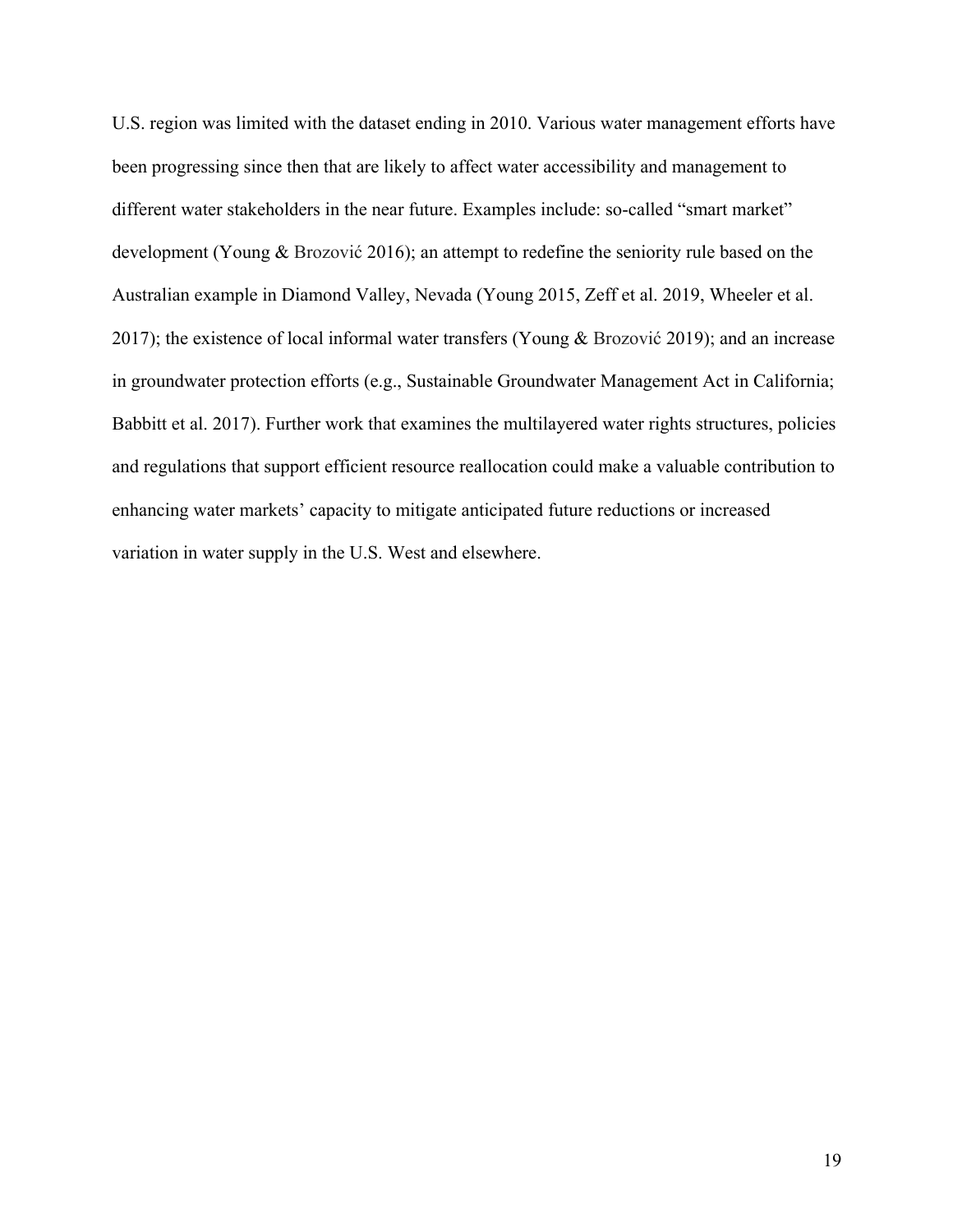U.S. region was limited with the dataset ending in 2010. Various water management efforts have been progressing since then that are likely to affect water accessibility and management to different water stakeholders in the near future. Examples include: so-called "smart market" development (Young & Brozović 2016); an attempt to redefine the seniority rule based on the Australian example in Diamond Valley, Nevada (Young 2015, Zeff et al. 2019, Wheeler et al. 2017); the existence of local informal water transfers (Young & Brozović 2019); and an increase in groundwater protection efforts (e.g., Sustainable Groundwater Management Act in California; Babbitt et al. 2017). Further work that examines the multilayered water rights structures, policies and regulations that support efficient resource reallocation could make a valuable contribution to enhancing water markets' capacity to mitigate anticipated future reductions or increased variation in water supply in the U.S. West and elsewhere.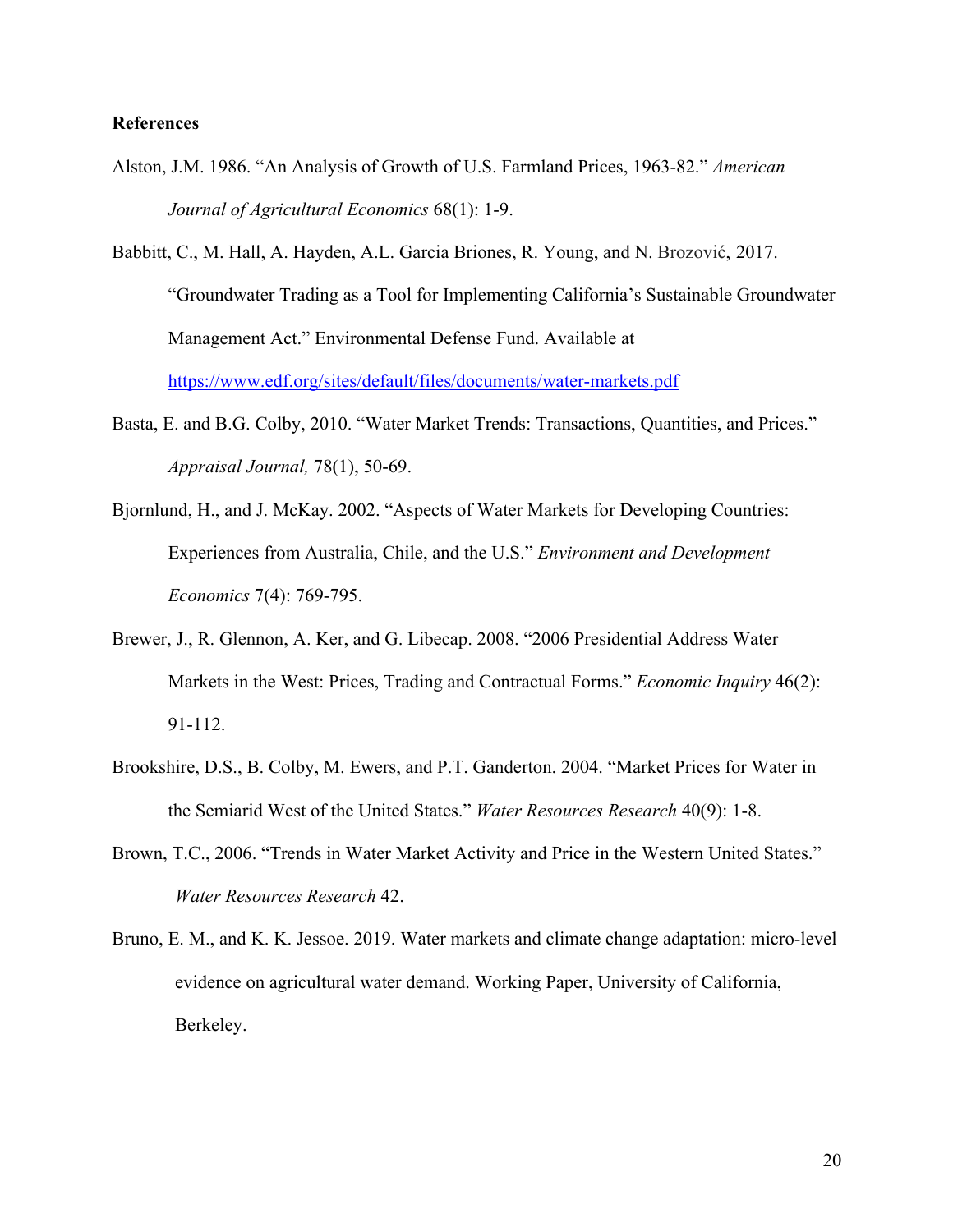# **References**

- Alston, J.M. 1986. "An Analysis of Growth of U.S. Farmland Prices, 1963-82." *American Journal of Agricultural Economics* 68(1): 1-9.
- Babbitt, C., M. Hall, A. Hayden, A.L. Garcia Briones, R. Young, and N. Brozović, 2017. "Groundwater Trading as a Tool for Implementing California's Sustainable Groundwater Management Act." Environmental Defense Fund. Available at https://www.edf.org/sites/default/files/documents/water-markets.pdf
- Basta, E. and B.G. Colby, 2010. "Water Market Trends: Transactions, Quantities, and Prices." *Appraisal Journal,* 78(1), 50-69.
- Bjornlund, H., and J. McKay. 2002. "Aspects of Water Markets for Developing Countries: Experiences from Australia, Chile, and the U.S." *Environment and Development Economics* 7(4): 769-795.
- Brewer, J., R. Glennon, A. Ker, and G. Libecap. 2008. "2006 Presidential Address Water Markets in the West: Prices, Trading and Contractual Forms." *Economic Inquiry* 46(2): 91-112.
- Brookshire, D.S., B. Colby, M. Ewers, and P.T. Ganderton. 2004. "Market Prices for Water in the Semiarid West of the United States." *Water Resources Research* 40(9): 1-8.
- Brown, T.C., 2006. "Trends in Water Market Activity and Price in the Western United States." *Water Resources Research* 42.
- Bruno, E. M., and K. K. Jessoe. 2019. Water markets and climate change adaptation: micro-level evidence on agricultural water demand. Working Paper, University of California, Berkeley.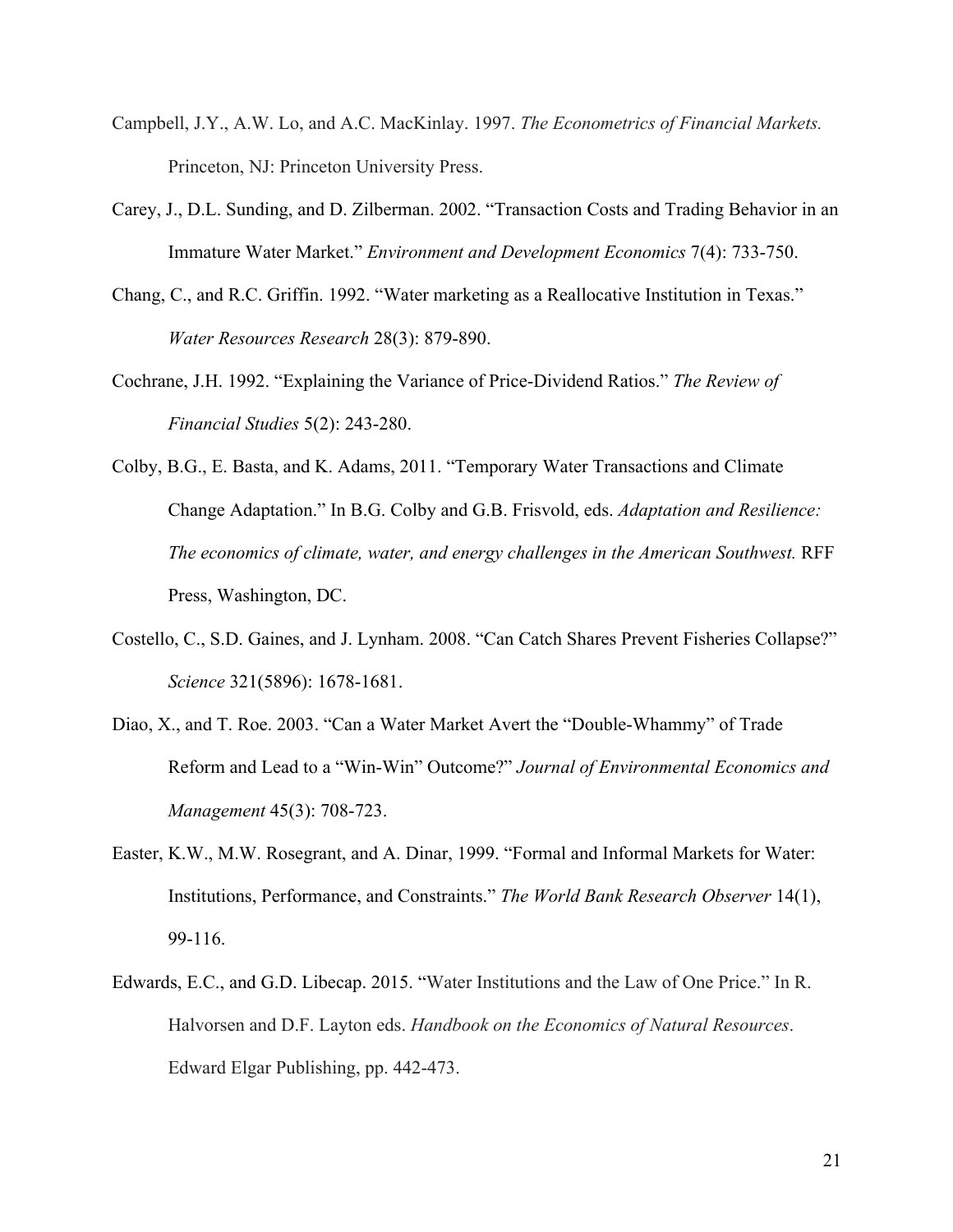- Campbell, J.Y., A.W. Lo, and A.C. MacKinlay. 1997. *The Econometrics of Financial Markets.* Princeton, NJ: Princeton University Press.
- Carey, J., D.L. Sunding, and D. Zilberman. 2002. "Transaction Costs and Trading Behavior in an Immature Water Market." *Environment and Development Economics* 7(4): 733-750.
- Chang, C., and R.C. Griffin. 1992. "Water marketing as a Reallocative Institution in Texas." *Water Resources Research* 28(3): 879-890.
- Cochrane, J.H. 1992. "Explaining the Variance of Price-Dividend Ratios." *The Review of Financial Studies* 5(2): 243-280.
- Colby, B.G., E. Basta, and K. Adams, 2011. "Temporary Water Transactions and Climate Change Adaptation." In B.G. Colby and G.B. Frisvold, eds. *Adaptation and Resilience: The economics of climate, water, and energy challenges in the American Southwest.* RFF Press, Washington, DC.
- Costello, C., S.D. Gaines, and J. Lynham. 2008. "Can Catch Shares Prevent Fisheries Collapse?" *Science* 321(5896): 1678-1681.
- Diao, X., and T. Roe. 2003. "Can a Water Market Avert the "Double-Whammy" of Trade Reform and Lead to a "Win-Win" Outcome?" *Journal of Environmental Economics and Management* 45(3): 708-723.
- Easter, K.W., M.W. Rosegrant, and A. Dinar, 1999. "Formal and Informal Markets for Water: Institutions, Performance, and Constraints." *The World Bank Research Observer* 14(1), 99-116.
- Edwards, E.C., and G.D. Libecap. 2015. "Water Institutions and the Law of One Price." In R. Halvorsen and D.F. Layton eds. *Handbook on the Economics of Natural Resources*. Edward Elgar Publishing, pp. 442-473.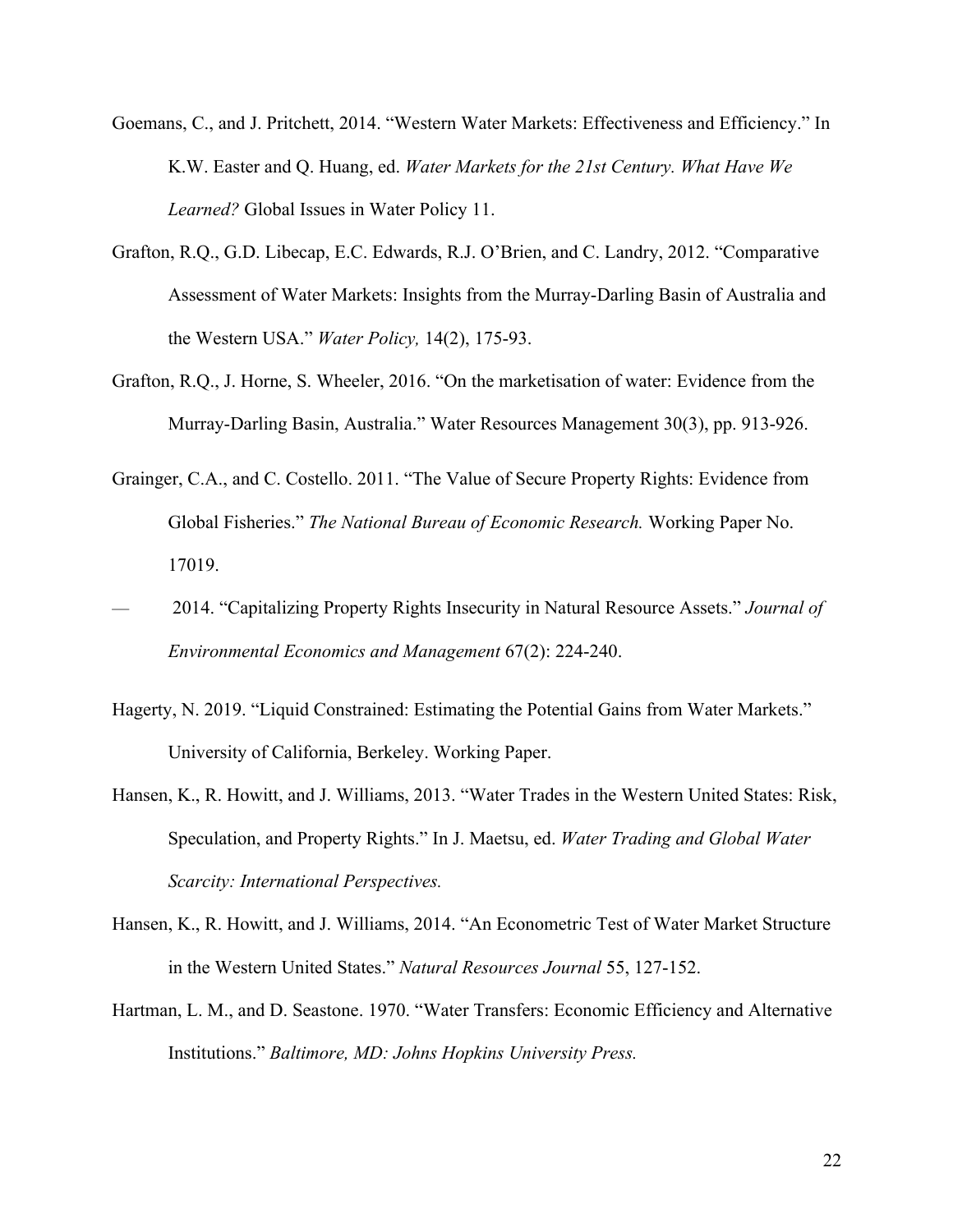- Goemans, C., and J. Pritchett, 2014. "Western Water Markets: Effectiveness and Efficiency." In K.W. Easter and Q. Huang, ed. *Water Markets for the 21st Century. What Have We Learned?* Global Issues in Water Policy 11.
- Grafton, R.Q., G.D. Libecap, E.C. Edwards, R.J. O'Brien, and C. Landry, 2012. "Comparative Assessment of Water Markets: Insights from the Murray-Darling Basin of Australia and the Western USA." *Water Policy,* 14(2), 175-93.
- Grafton, R.Q., J. Horne, S. Wheeler, 2016. "On the marketisation of water: Evidence from the Murray-Darling Basin, Australia." Water Resources Management 30(3), pp. 913-926.
- Grainger, C.A., and C. Costello. 2011. "The Value of Secure Property Rights: Evidence from Global Fisheries." *The National Bureau of Economic Research.* Working Paper No. 17019.
- 2014. "Capitalizing Property Rights Insecurity in Natural Resource Assets." *Journal of Environmental Economics and Management* 67(2): 224-240.
- Hagerty, N. 2019. "Liquid Constrained: Estimating the Potential Gains from Water Markets." University of California, Berkeley. Working Paper.
- Hansen, K., R. Howitt, and J. Williams, 2013. "Water Trades in the Western United States: Risk, Speculation, and Property Rights." In J. Maetsu, ed. *Water Trading and Global Water Scarcity: International Perspectives.*
- Hansen, K., R. Howitt, and J. Williams, 2014. "An Econometric Test of Water Market Structure in the Western United States." *Natural Resources Journal* 55, 127-152.
- Hartman, L. M., and D. Seastone. 1970. "Water Transfers: Economic Efficiency and Alternative Institutions." *Baltimore, MD: Johns Hopkins University Press.*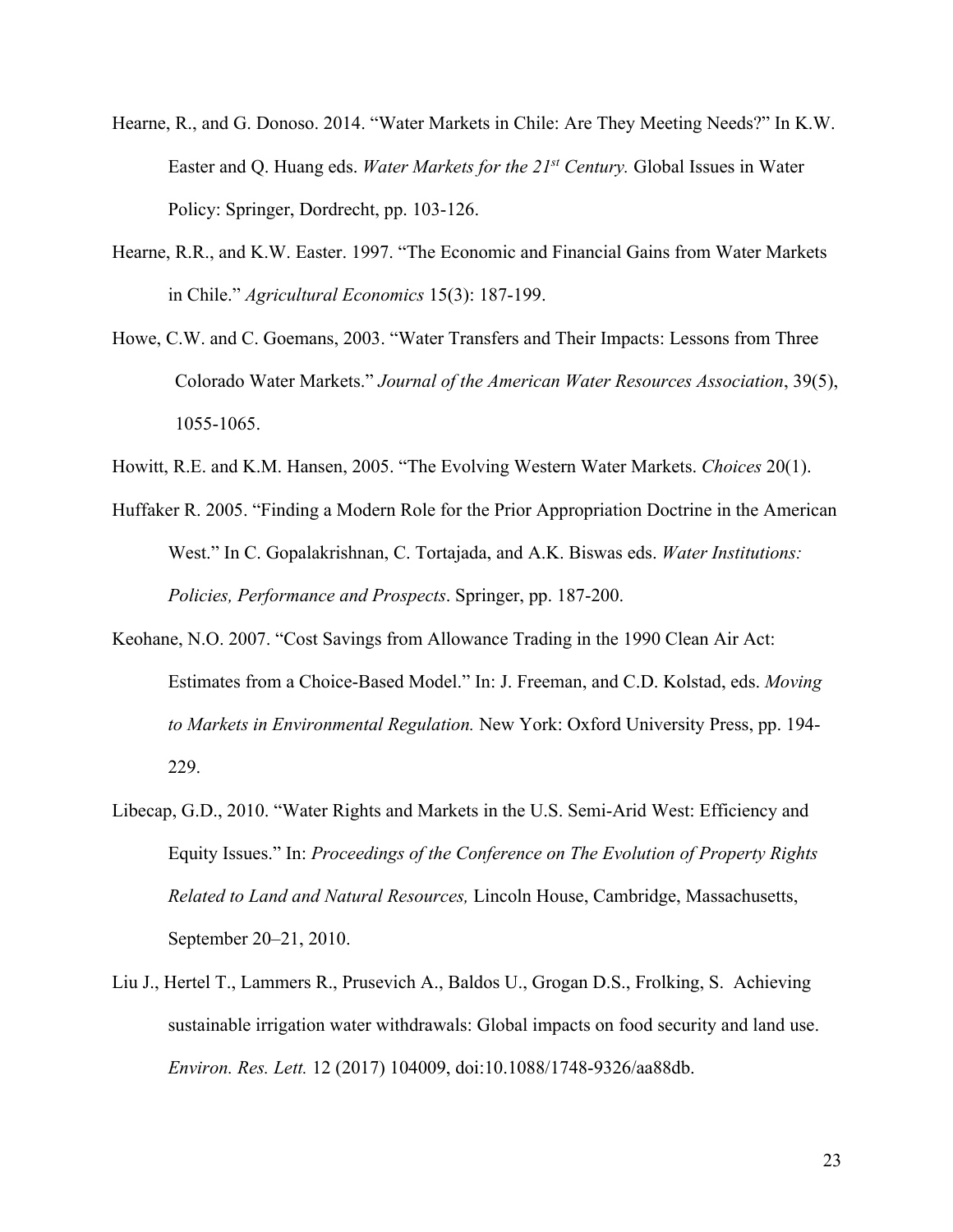- Hearne, R., and G. Donoso. 2014. "Water Markets in Chile: Are They Meeting Needs?" In K.W. Easter and Q. Huang eds. *Water Markets for the 21st Century.* Global Issues in Water Policy: Springer, Dordrecht, pp. 103-126.
- Hearne, R.R., and K.W. Easter. 1997. "The Economic and Financial Gains from Water Markets in Chile." *Agricultural Economics* 15(3): 187-199.
- Howe, C.W. and C. Goemans, 2003. "Water Transfers and Their Impacts: Lessons from Three Colorado Water Markets." *Journal of the American Water Resources Association*, 39(5), 1055-1065.
- Howitt, R.E. and K.M. Hansen, 2005. "The Evolving Western Water Markets. *Choices* 20(1).
- Huffaker R. 2005. "Finding a Modern Role for the Prior Appropriation Doctrine in the American West." In C. Gopalakrishnan, C. Tortajada, and A.K. Biswas eds. *Water Institutions: Policies, Performance and Prospects*. Springer, pp. 187-200.
- Keohane, N.O. 2007. "Cost Savings from Allowance Trading in the 1990 Clean Air Act: Estimates from a Choice-Based Model." In: J. Freeman, and C.D. Kolstad, eds. *Moving to Markets in Environmental Regulation.* New York: Oxford University Press, pp. 194- 229.
- Libecap, G.D., 2010. "Water Rights and Markets in the U.S. Semi-Arid West: Efficiency and Equity Issues." In: *Proceedings of the Conference on The Evolution of Property Rights Related to Land and Natural Resources,* Lincoln House, Cambridge, Massachusetts, September 20–21, 2010.
- Liu J., Hertel T., Lammers R., Prusevich A., Baldos U., Grogan D.S., Frolking, S. Achieving sustainable irrigation water withdrawals: Global impacts on food security and land use. *Environ. Res. Lett.* 12 (2017) 104009, doi:10.1088/1748-9326/aa88db.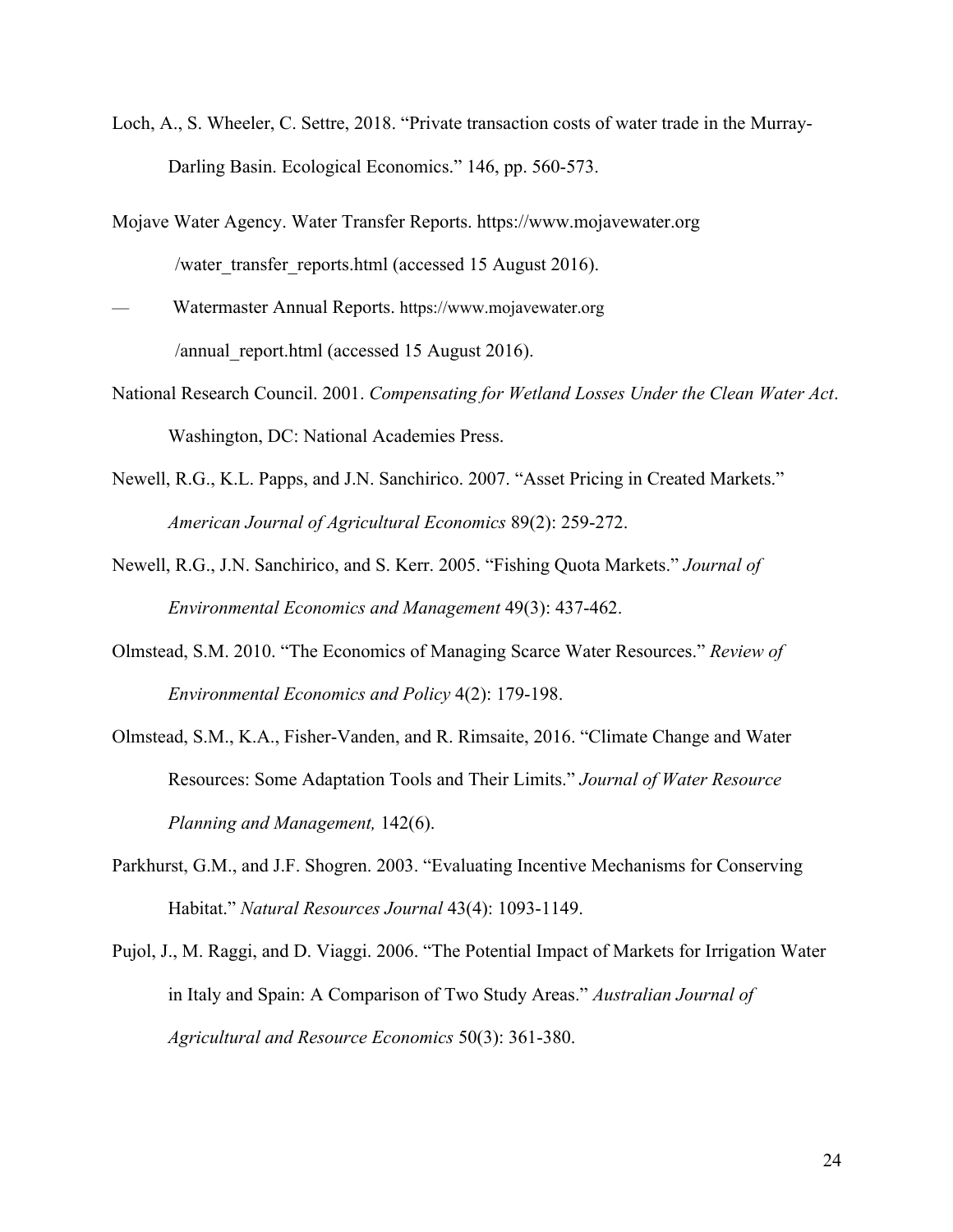- Loch, A., S. Wheeler, C. Settre, 2018. "Private transaction costs of water trade in the Murray-Darling Basin. Ecological Economics." 146, pp. 560-573.
- Mojave Water Agency. Water Transfer Reports. https://www.mojavewater.org /water\_transfer\_reports.html (accessed 15 August 2016).
- Watermaster Annual Reports. https://www.mojavewater.org /annual\_report.html (accessed 15 August 2016).
- National Research Council. 2001. *Compensating for Wetland Losses Under the Clean Water Act*. Washington, DC: National Academies Press.
- Newell, R.G., K.L. Papps, and J.N. Sanchirico. 2007. "Asset Pricing in Created Markets." *American Journal of Agricultural Economics* 89(2): 259-272.
- Newell, R.G., J.N. Sanchirico, and S. Kerr. 2005. "Fishing Quota Markets." *Journal of Environmental Economics and Management* 49(3): 437-462.
- Olmstead, S.M. 2010. "The Economics of Managing Scarce Water Resources." *Review of Environmental Economics and Policy* 4(2): 179-198.
- Olmstead, S.M., K.A., Fisher-Vanden, and R. Rimsaite, 2016. "Climate Change and Water Resources: Some Adaptation Tools and Their Limits." *Journal of Water Resource Planning and Management,* 142(6).
- Parkhurst, G.M., and J.F. Shogren. 2003. "Evaluating Incentive Mechanisms for Conserving Habitat." *Natural Resources Journal* 43(4): 1093-1149.
- Pujol, J., M. Raggi, and D. Viaggi. 2006. "The Potential Impact of Markets for Irrigation Water in Italy and Spain: A Comparison of Two Study Areas." *Australian Journal of Agricultural and Resource Economics* 50(3): 361-380.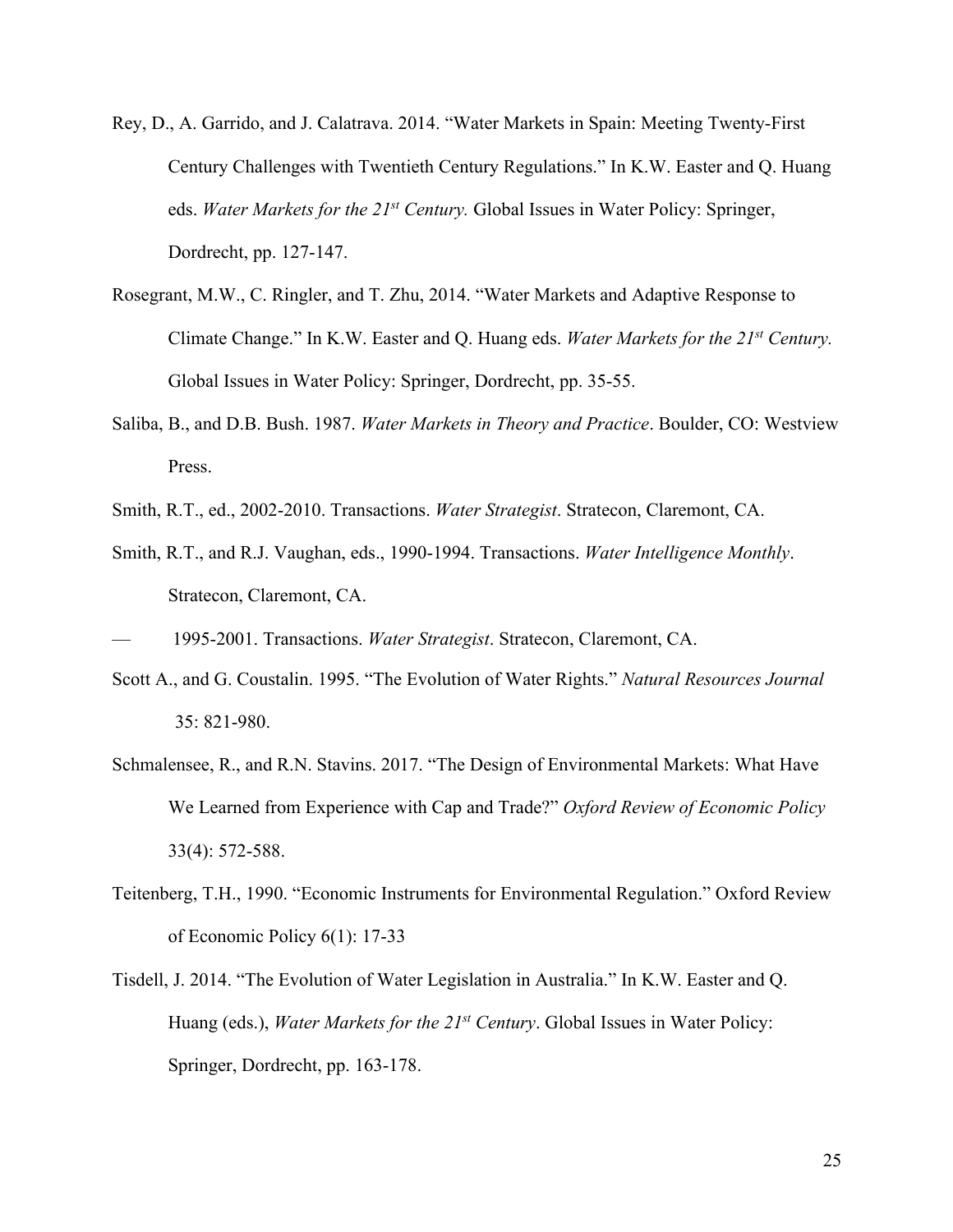- Rey, D., A. Garrido, and J. Calatrava. 2014. "Water Markets in Spain: Meeting Twenty-First Century Challenges with Twentieth Century Regulations." In K.W. Easter and Q. Huang eds. *Water Markets for the 21st Century.* Global Issues in Water Policy: Springer, Dordrecht, pp. 127-147.
- Rosegrant, M.W., C. Ringler, and T. Zhu, 2014. "Water Markets and Adaptive Response to Climate Change." In K.W. Easter and Q. Huang eds. *Water Markets for the 21st Century.*  Global Issues in Water Policy: Springer, Dordrecht, pp. 35-55.
- Saliba, B., and D.B. Bush. 1987. *Water Markets in Theory and Practice*. Boulder, CO: Westview Press.
- Smith, R.T., ed., 2002-2010. Transactions. *Water Strategist*. Stratecon, Claremont, CA.
- Smith, R.T., and R.J. Vaughan, eds., 1990-1994. Transactions. *Water Intelligence Monthly*. Stratecon, Claremont, CA.
- 1995-2001. Transactions. *Water Strategist*. Stratecon, Claremont, CA.
- Scott A., and G. Coustalin. 1995. "The Evolution of Water Rights." *Natural Resources Journal* 35: 821-980.
- Schmalensee, R., and R.N. Stavins. 2017. "The Design of Environmental Markets: What Have We Learned from Experience with Cap and Trade?" *Oxford Review of Economic Policy* 33(4): 572-588.
- Teitenberg, T.H., 1990. "Economic Instruments for Environmental Regulation." Oxford Review of Economic Policy 6(1): 17-33
- Tisdell, J. 2014. "The Evolution of Water Legislation in Australia." In K.W. Easter and Q. Huang (eds.), *Water Markets for the 21st Century*. Global Issues in Water Policy: Springer, Dordrecht, pp. 163-178.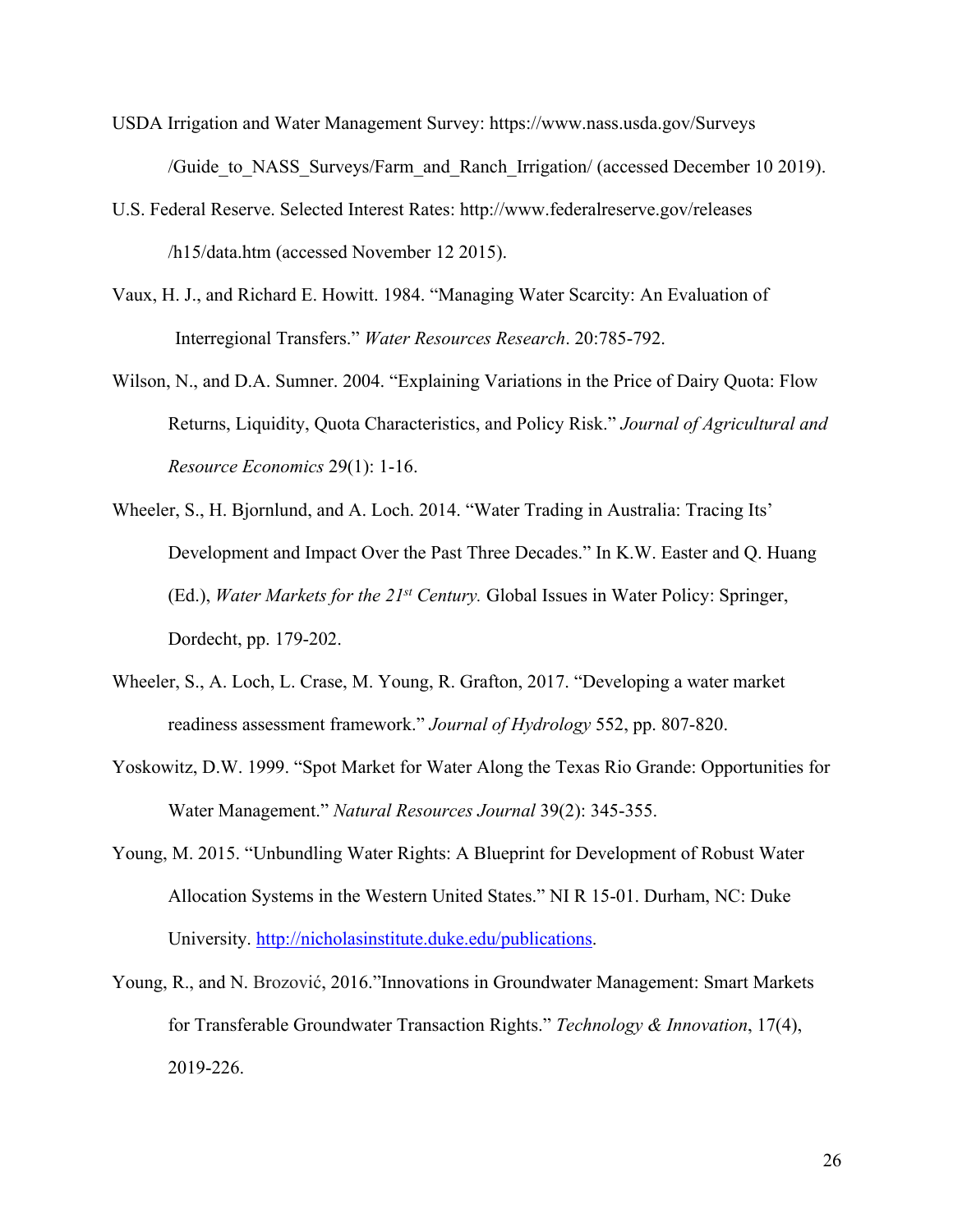- USDA Irrigation and Water Management Survey: https://www.nass.usda.gov/Surveys /Guide\_to\_NASS\_Surveys/Farm\_and\_Ranch\_Irrigation/ (accessed December 10 2019).
- U.S. Federal Reserve. Selected Interest Rates: http://www.federalreserve.gov/releases /h15/data.htm (accessed November 12 2015).
- Vaux, H. J., and Richard E. Howitt. 1984. "Managing Water Scarcity: An Evaluation of Interregional Transfers." *Water Resources Research*. 20:785-792.
- Wilson, N., and D.A. Sumner. 2004. "Explaining Variations in the Price of Dairy Quota: Flow Returns, Liquidity, Quota Characteristics, and Policy Risk." *Journal of Agricultural and Resource Economics* 29(1): 1-16.
- Wheeler, S., H. Bjornlund, and A. Loch. 2014. "Water Trading in Australia: Tracing Its' Development and Impact Over the Past Three Decades." In K.W. Easter and Q. Huang (Ed.), *Water Markets for the 21st Century.* Global Issues in Water Policy: Springer, Dordecht, pp. 179-202.
- Wheeler, S., A. Loch, L. Crase, M. Young, R. Grafton, 2017. "Developing a water market readiness assessment framework." *Journal of Hydrology* 552, pp. 807-820.
- Yoskowitz, D.W. 1999. "Spot Market for Water Along the Texas Rio Grande: Opportunities for Water Management." *Natural Resources Journal* 39(2): 345-355.
- Young, M. 2015. "Unbundling Water Rights: A Blueprint for Development of Robust Water Allocation Systems in the Western United States." NI R 15-01. Durham, NC: Duke University. http://nicholasinstitute.duke.edu/publications.
- Young, R., and N. Brozović, 2016."Innovations in Groundwater Management: Smart Markets for Transferable Groundwater Transaction Rights." *Technology & Innovation*, 17(4), 2019-226.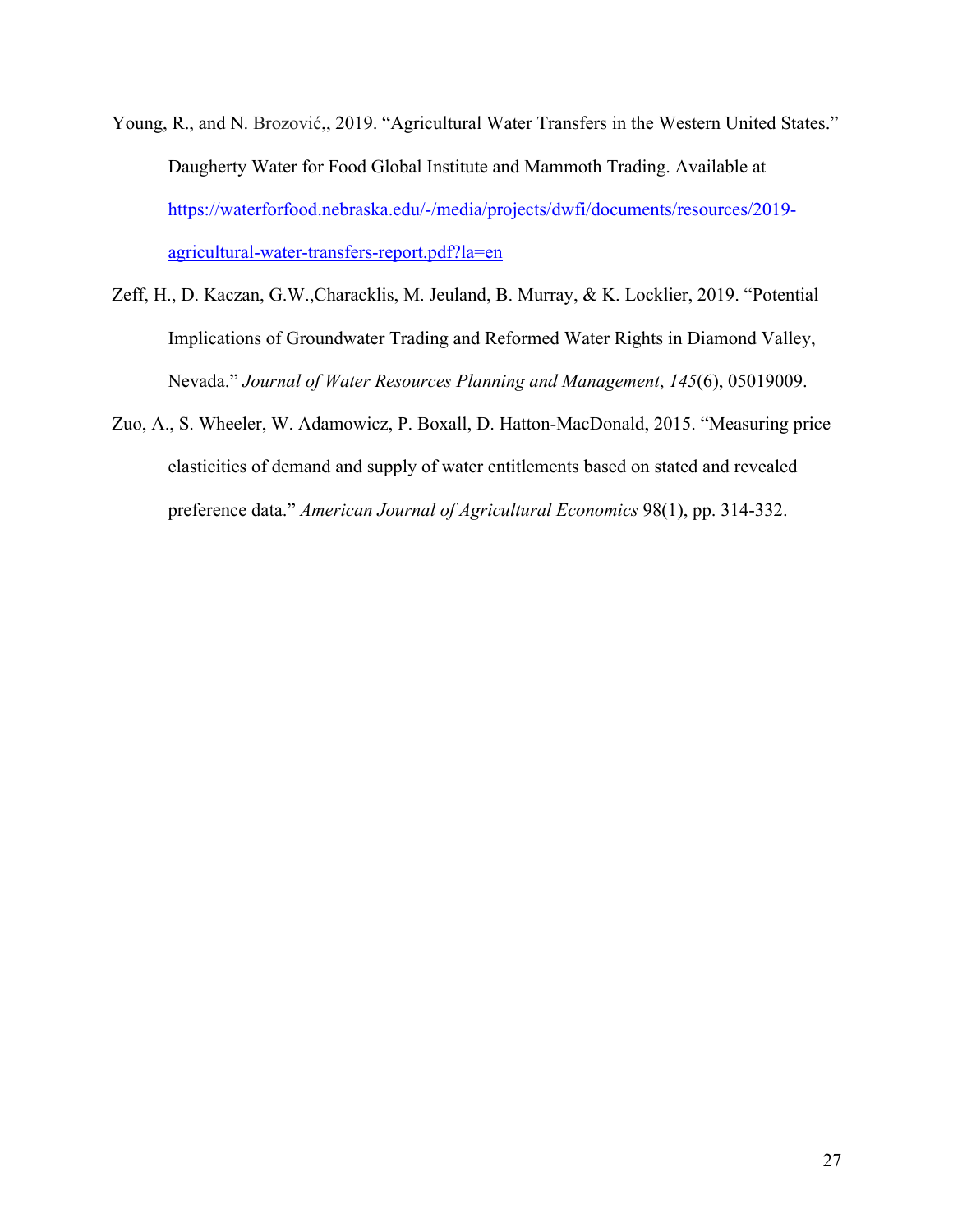- Young, R., and N. Brozović,, 2019. "Agricultural Water Transfers in the Western United States." Daugherty Water for Food Global Institute and Mammoth Trading. Available at https://waterforfood.nebraska.edu/-/media/projects/dwfi/documents/resources/2019 agricultural-water-transfers-report.pdf?la=en
- Zeff, H., D. Kaczan, G.W.,Characklis, M. Jeuland, B. Murray, & K. Locklier, 2019. "Potential Implications of Groundwater Trading and Reformed Water Rights in Diamond Valley, Nevada." *Journal of Water Resources Planning and Management*, *145*(6), 05019009.
- Zuo, A., S. Wheeler, W. Adamowicz, P. Boxall, D. Hatton-MacDonald, 2015. "Measuring price elasticities of demand and supply of water entitlements based on stated and revealed preference data." *American Journal of Agricultural Economics* 98(1), pp. 314-332.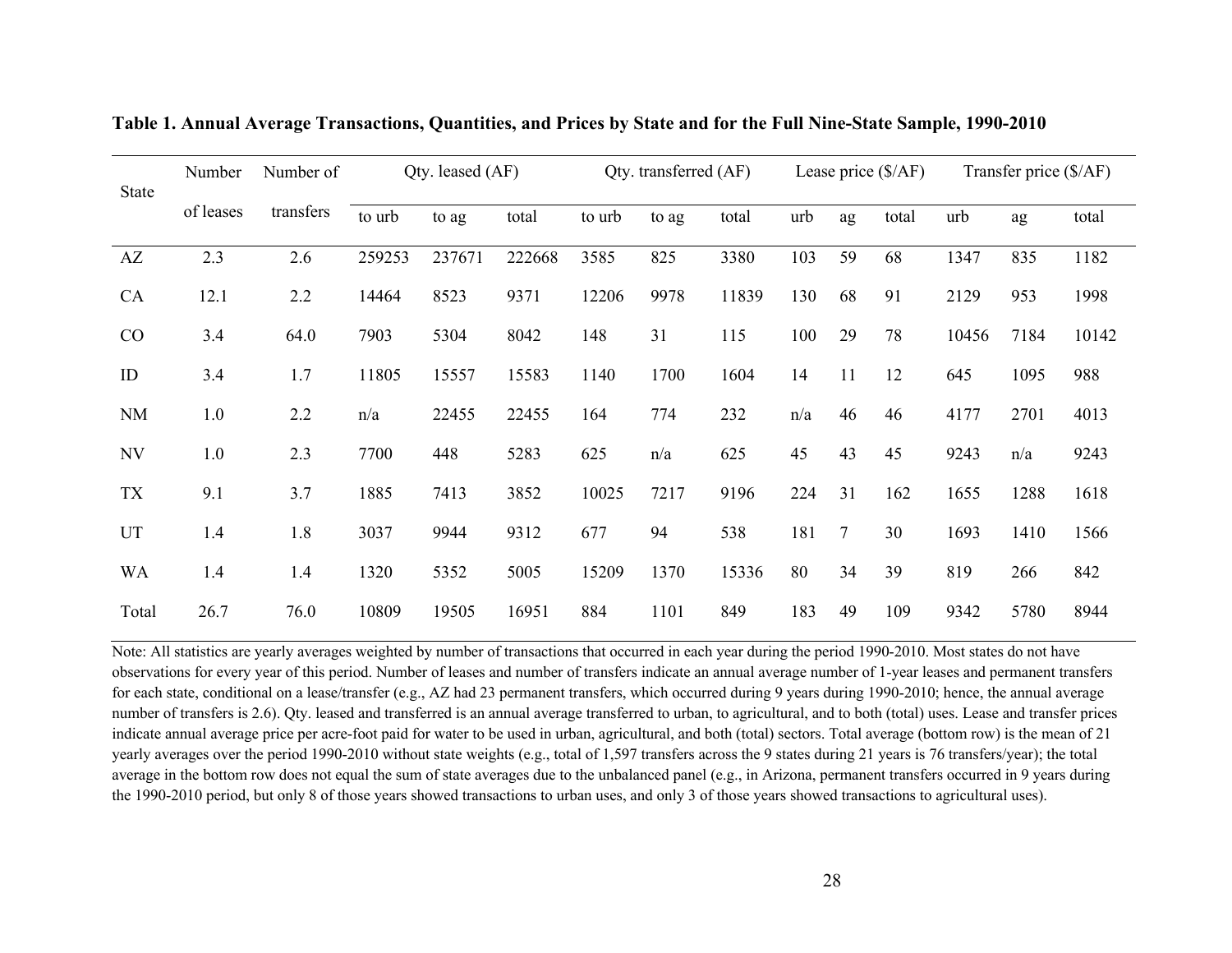| <b>State</b> | Number of<br>Number |           | Qty. leased (AF) |        | Qty. transferred (AF) |        | Lease price $(\frac{5}{AF})$ |       | Transfer price (\$/AF) |    |       |       |      |       |
|--------------|---------------------|-----------|------------------|--------|-----------------------|--------|------------------------------|-------|------------------------|----|-------|-------|------|-------|
|              | of leases           | transfers | to urb           | to ag  | total                 | to urb | to ag                        | total | urb                    | ag | total | urb   | ag   | total |
| AZ           | 2.3                 | 2.6       | 259253           | 237671 | 222668                | 3585   | 825                          | 3380  | 103                    | 59 | 68    | 1347  | 835  | 1182  |
| CA           | 12.1                | 2.2       | 14464            | 8523   | 9371                  | 12206  | 9978                         | 11839 | 130                    | 68 | 91    | 2129  | 953  | 1998  |
| CO           | 3.4                 | 64.0      | 7903             | 5304   | 8042                  | 148    | 31                           | 115   | 100                    | 29 | 78    | 10456 | 7184 | 10142 |
| ID           | 3.4                 | 1.7       | 11805            | 15557  | 15583                 | 1140   | 1700                         | 1604  | 14                     | 11 | 12    | 645   | 1095 | 988   |
| <b>NM</b>    | 1.0                 | 2.2       | n/a              | 22455  | 22455                 | 164    | 774                          | 232   | n/a                    | 46 | 46    | 4177  | 2701 | 4013  |
| <b>NV</b>    | 1.0                 | 2.3       | 7700             | 448    | 5283                  | 625    | n/a                          | 625   | 45                     | 43 | 45    | 9243  | n/a  | 9243  |
| <b>TX</b>    | 9.1                 | 3.7       | 1885             | 7413   | 3852                  | 10025  | 7217                         | 9196  | 224                    | 31 | 162   | 1655  | 1288 | 1618  |
| <b>UT</b>    | 1.4                 | 1.8       | 3037             | 9944   | 9312                  | 677    | 94                           | 538   | 181                    | 7  | 30    | 1693  | 1410 | 1566  |
| <b>WA</b>    | 1.4                 | 1.4       | 1320             | 5352   | 5005                  | 15209  | 1370                         | 15336 | 80                     | 34 | 39    | 819   | 266  | 842   |
| Total        | 26.7                | 76.0      | 10809            | 19505  | 16951                 | 884    | 1101                         | 849   | 183                    | 49 | 109   | 9342  | 5780 | 8944  |

|  | Table 1. Annual Average Transactions, Quantities, and Prices by State and for the Full Nine-State Sample, 1990-2010 |  |  |  |
|--|---------------------------------------------------------------------------------------------------------------------|--|--|--|
|--|---------------------------------------------------------------------------------------------------------------------|--|--|--|

Note: All statistics are yearly averages weighted by number of transactions that occurred in each year during the period 1990-2010. Most states do not have observations for every year of this period. Number of leases and number of transfers indicate an annual average number of 1-year leases and permanent transfers for each state, conditional on a lease/transfer (e.g., AZ had 23 permanent transfers, which occurred during 9 years during 1990-2010; hence, the annual average number of transfers is 2.6). Qty. leased and transferred is an annual average transferred to urban, to agricultural, and to both (total) uses. Lease and transfer prices indicate annual average price per acre-foot paid for water to be used in urban, agricultural, and both (total) sectors. Total average (bottom row) is the mean of 21 yearly averages over the period 1990-2010 without state weights (e.g., total of 1,597 transfers across the 9 states during 21 years is 76 transfers/year); the total average in the bottom row does not equal the sum of state averages due to the unbalanced panel (e.g., in Arizona, permanent transfers occurred in 9 years during the 1990-2010 period, but only 8 of those years showed transactions to urban uses, and only 3 of those years showed transactions to agricultural uses).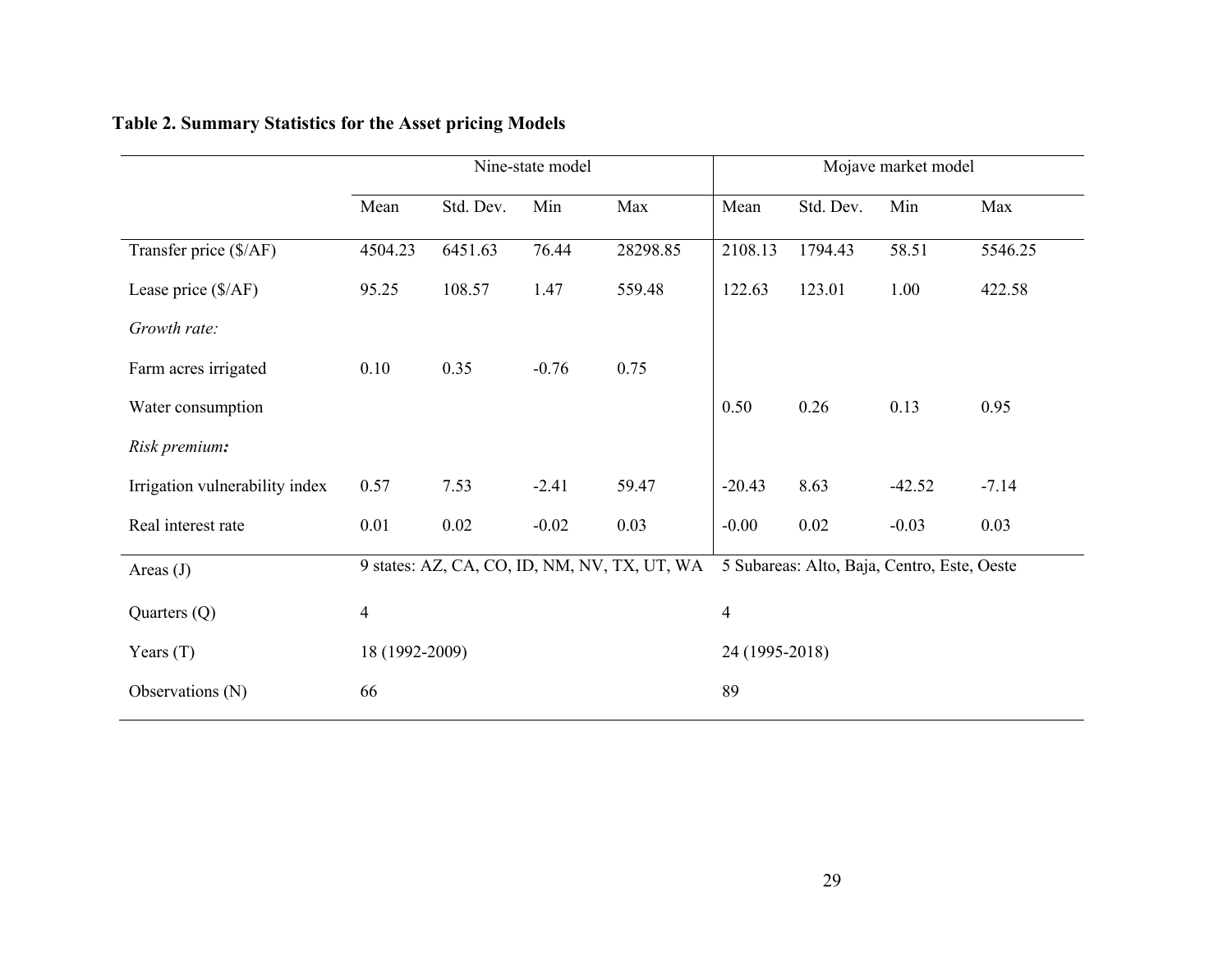|                                | Nine-state model |           |         |                                              |                | Mojave market model                         |          |         |  |
|--------------------------------|------------------|-----------|---------|----------------------------------------------|----------------|---------------------------------------------|----------|---------|--|
|                                | Mean             | Std. Dev. | Min     | Max                                          | Mean           | Std. Dev.                                   | Min      | Max     |  |
| Transfer price (\$/AF)         | 4504.23          | 6451.63   | 76.44   | 28298.85                                     | 2108.13        | 1794.43                                     | 58.51    | 5546.25 |  |
| Lease price (\$/AF)            | 95.25            | 108.57    | 1.47    | 559.48                                       | 122.63         | 123.01                                      | 1.00     | 422.58  |  |
| Growth rate:                   |                  |           |         |                                              |                |                                             |          |         |  |
| Farm acres irrigated           | 0.10             | 0.35      | $-0.76$ | 0.75                                         |                |                                             |          |         |  |
| Water consumption              |                  |           |         |                                              | 0.50           | 0.26                                        | 0.13     | 0.95    |  |
| Risk premium:                  |                  |           |         |                                              |                |                                             |          |         |  |
| Irrigation vulnerability index | 0.57             | 7.53      | $-2.41$ | 59.47                                        | $-20.43$       | 8.63                                        | $-42.52$ | $-7.14$ |  |
| Real interest rate             | 0.01             | 0.02      | $-0.02$ | 0.03                                         | $-0.00$        | $0.02\,$                                    | $-0.03$  | 0.03    |  |
| Areas $(J)$                    |                  |           |         | 9 states: AZ, CA, CO, ID, NM, NV, TX, UT, WA |                | 5 Subareas: Alto, Baja, Centro, Este, Oeste |          |         |  |
| Quarters $(Q)$                 | $\overline{4}$   |           |         |                                              | $\overline{4}$ |                                             |          |         |  |
| Years $(T)$                    | 18 (1992-2009)   |           |         |                                              | 24 (1995-2018) |                                             |          |         |  |
| Observations (N)               | 66               |           |         |                                              | 89             |                                             |          |         |  |

# **Table 2. Summary Statistics for the Asset pricing Models**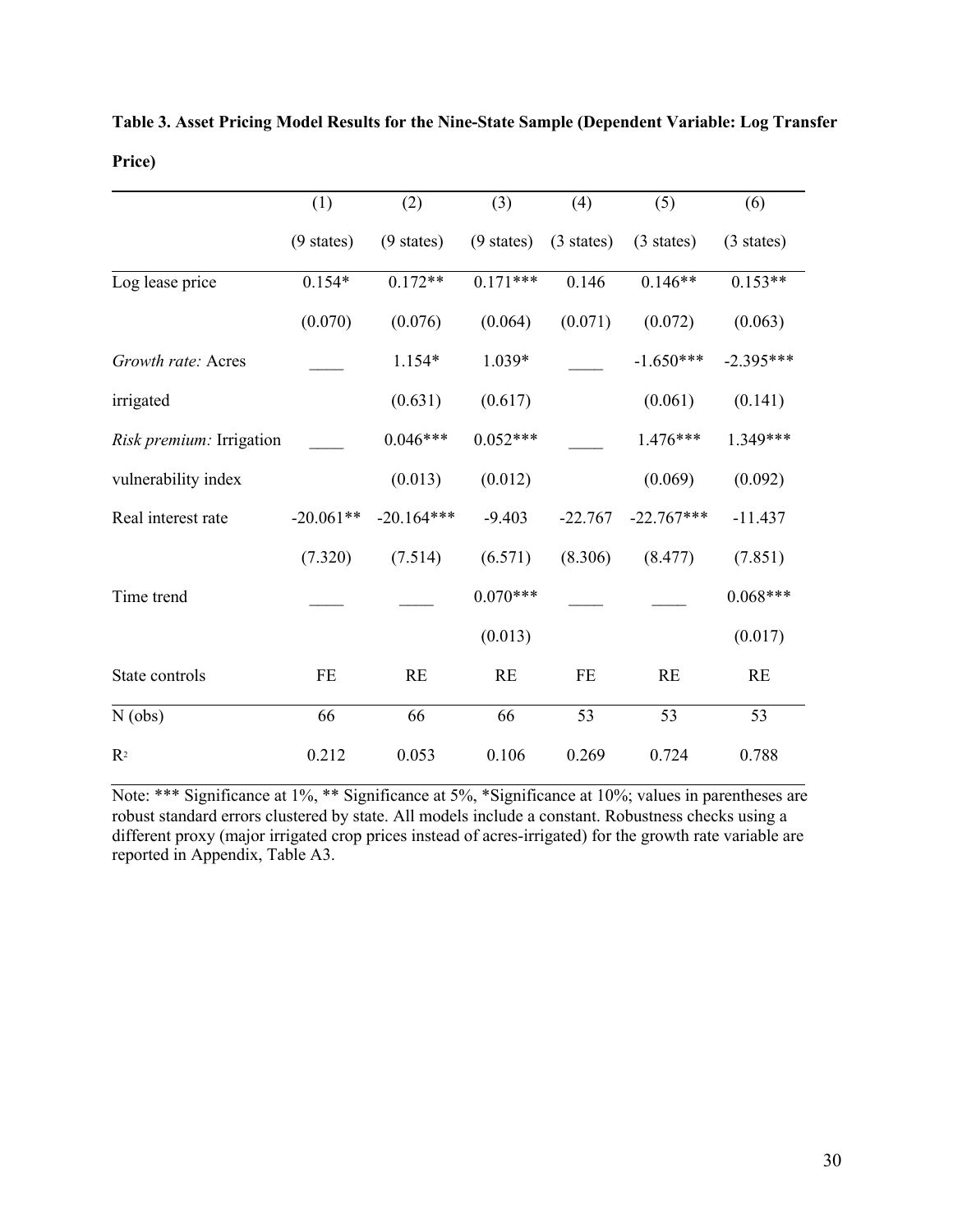|                          | (1)                  | (2)                  | (3)                  | (4)                  | (5)                  | (6)                  |
|--------------------------|----------------------|----------------------|----------------------|----------------------|----------------------|----------------------|
|                          | $(9 \text{ states})$ | $(9 \text{ states})$ | $(9 \text{ states})$ | $(3 \text{ states})$ | $(3 \text{ states})$ | $(3 \text{ states})$ |
| Log lease price          | $0.154*$             | $0.172**$            | $0.171***$           | 0.146                | $0.146**$            | $0.153**$            |
|                          | (0.070)              | (0.076)              | (0.064)              | (0.071)              | (0.072)              | (0.063)              |
| Growth rate: Acres       |                      | $1.154*$             | $1.039*$             |                      | $-1.650***$          | $-2.395***$          |
| irrigated                |                      | (0.631)              | (0.617)              |                      | (0.061)              | (0.141)              |
| Risk premium: Irrigation |                      | $0.046***$           | $0.052***$           |                      | $1.476***$           | $1.349***$           |
| vulnerability index      |                      | (0.013)              | (0.012)              |                      | (0.069)              | (0.092)              |
| Real interest rate       | $-20.061**$          | $-20.164***$         | $-9.403$             | $-22.767$            | $-22.767***$         | $-11.437$            |
|                          | (7.320)              | (7.514)              | (6.571)              | (8.306)              | (8.477)              | (7.851)              |
| Time trend               |                      |                      | $0.070***$           |                      |                      | $0.068***$           |
|                          |                      |                      | (0.013)              |                      |                      | (0.017)              |
| State controls           | FE                   | <b>RE</b>            | RE                   | FE                   | RE                   | <b>RE</b>            |
| $N$ (obs)                | 66                   | 66                   | 66                   | 53                   | 53                   | 53                   |
| R <sup>2</sup>           | 0.212                | 0.053                | 0.106                | 0.269                | 0.724                | 0.788                |

**Table 3. Asset Pricing Model Results for the Nine-State Sample (Dependent Variable: Log Transfer Price)**

Note: \*\*\* Significance at 1%, \*\* Significance at 5%, \*Significance at 10%; values in parentheses are robust standard errors clustered by state. All models include a constant. Robustness checks using a different proxy (major irrigated crop prices instead of acres-irrigated) for the growth rate variable are reported in Appendix, Table A3.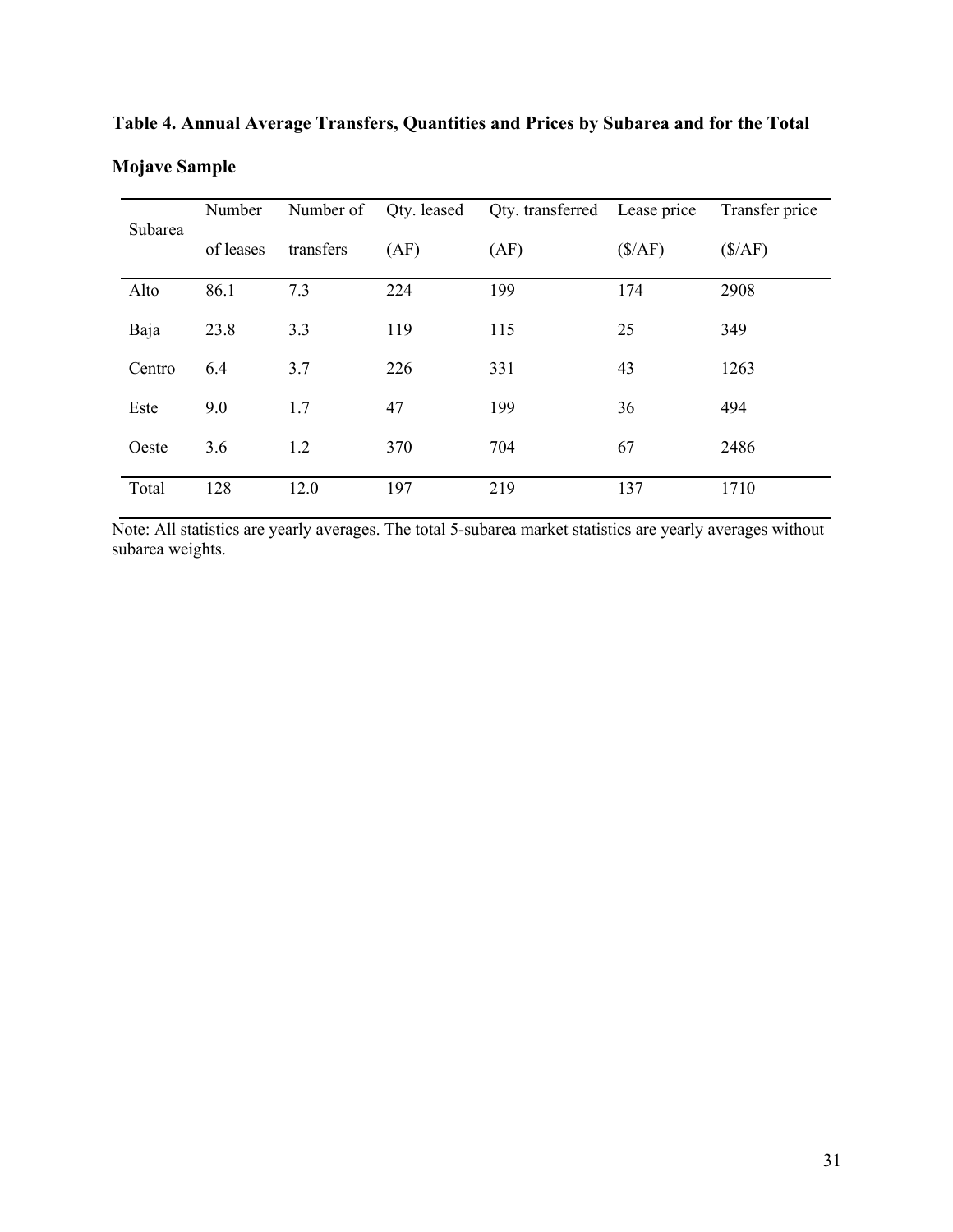|         | Number    | Number of | Qty. leased | Qty. transferred Lease price |        | Transfer price |
|---------|-----------|-----------|-------------|------------------------------|--------|----------------|
| Subarea | of leases | transfers | (AF)        | (AF)                         | (S/AF) | (S/AF)         |
| Alto    | 86.1      | 7.3       | 224         | 199                          | 174    | 2908           |
| Baja    | 23.8      | 3.3       | 119         | 115                          | 25     | 349            |
| Centro  | 6.4       | 3.7       | 226         | 331                          | 43     | 1263           |
| Este    | 9.0       | 1.7       | 47          | 199                          | 36     | 494            |
| Oeste   | 3.6       | 1.2       | 370         | 704                          | 67     | 2486           |
| Total   | 128       | 12.0      | 197         | 219                          | 137    | 1710           |

**Table 4. Annual Average Transfers, Quantities and Prices by Subarea and for the Total Mojave Sample**

Note: All statistics are yearly averages. The total 5-subarea market statistics are yearly averages without subarea weights.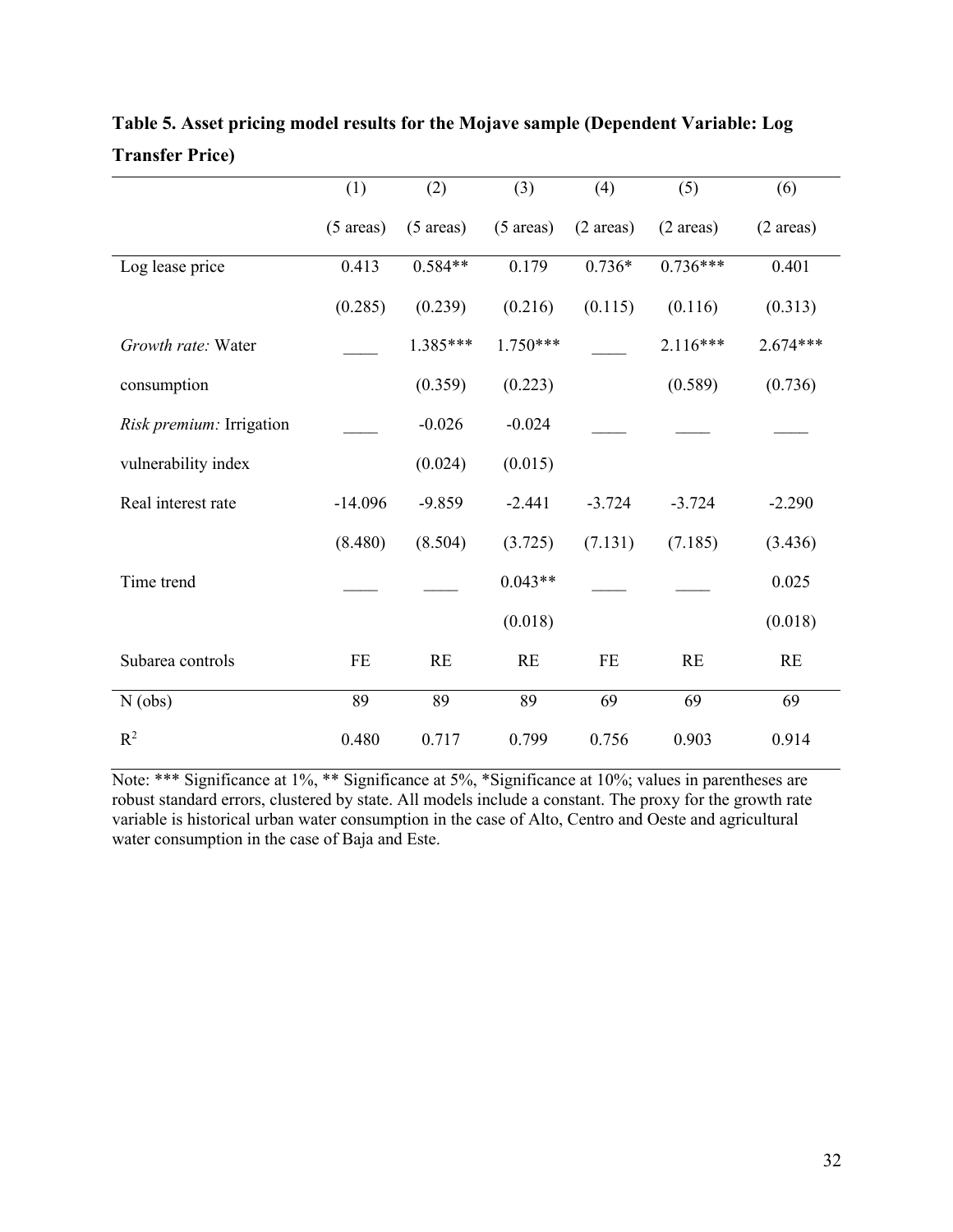|                          | (1)                 | (2)                 | (3)                 | (4)                 | (5)                 | (6)                 |
|--------------------------|---------------------|---------------------|---------------------|---------------------|---------------------|---------------------|
|                          | $(5 \text{ areas})$ | $(5 \text{ areas})$ | $(5 \text{ areas})$ | $(2 \text{ areas})$ | $(2 \text{ areas})$ | $(2 \text{ areas})$ |
| Log lease price          | 0.413               | $0.584**$           | 0.179               | $0.736*$            | $0.736***$          | 0.401               |
|                          | (0.285)             | (0.239)             | (0.216)             | (0.115)             | (0.116)             | (0.313)             |
| Growth rate: Water       |                     | $1.385***$          | $1.750***$          |                     | $2.116***$          | 2.674***            |
| consumption              |                     | (0.359)             | (0.223)             |                     | (0.589)             | (0.736)             |
| Risk premium: Irrigation |                     | $-0.026$            | $-0.024$            |                     |                     |                     |
| vulnerability index      |                     | (0.024)             | (0.015)             |                     |                     |                     |
| Real interest rate       | $-14.096$           | $-9.859$            | $-2.441$            | $-3.724$            | $-3.724$            | $-2.290$            |
|                          | (8.480)             | (8.504)             | (3.725)             | (7.131)             | (7.185)             | (3.436)             |
| Time trend               |                     |                     | $0.043**$           |                     |                     | 0.025               |
|                          |                     |                     | (0.018)             |                     |                     | (0.018)             |
| Subarea controls         | FE                  | RE                  | RE                  | FE                  | RE                  | RE                  |
| $N$ (obs)                | 89                  | 89                  | 89                  | 69                  | 69                  | 69                  |
| $R^2$                    | 0.480               | 0.717               | 0.799               | 0.756               | 0.903               | 0.914               |

**Table 5. Asset pricing model results for the Mojave sample (Dependent Variable: Log Transfer Price)**

Note: \*\*\* Significance at 1%, \*\* Significance at 5%, \*Significance at 10%; values in parentheses are robust standard errors, clustered by state. All models include a constant. The proxy for the growth rate variable is historical urban water consumption in the case of Alto, Centro and Oeste and agricultural water consumption in the case of Baja and Este.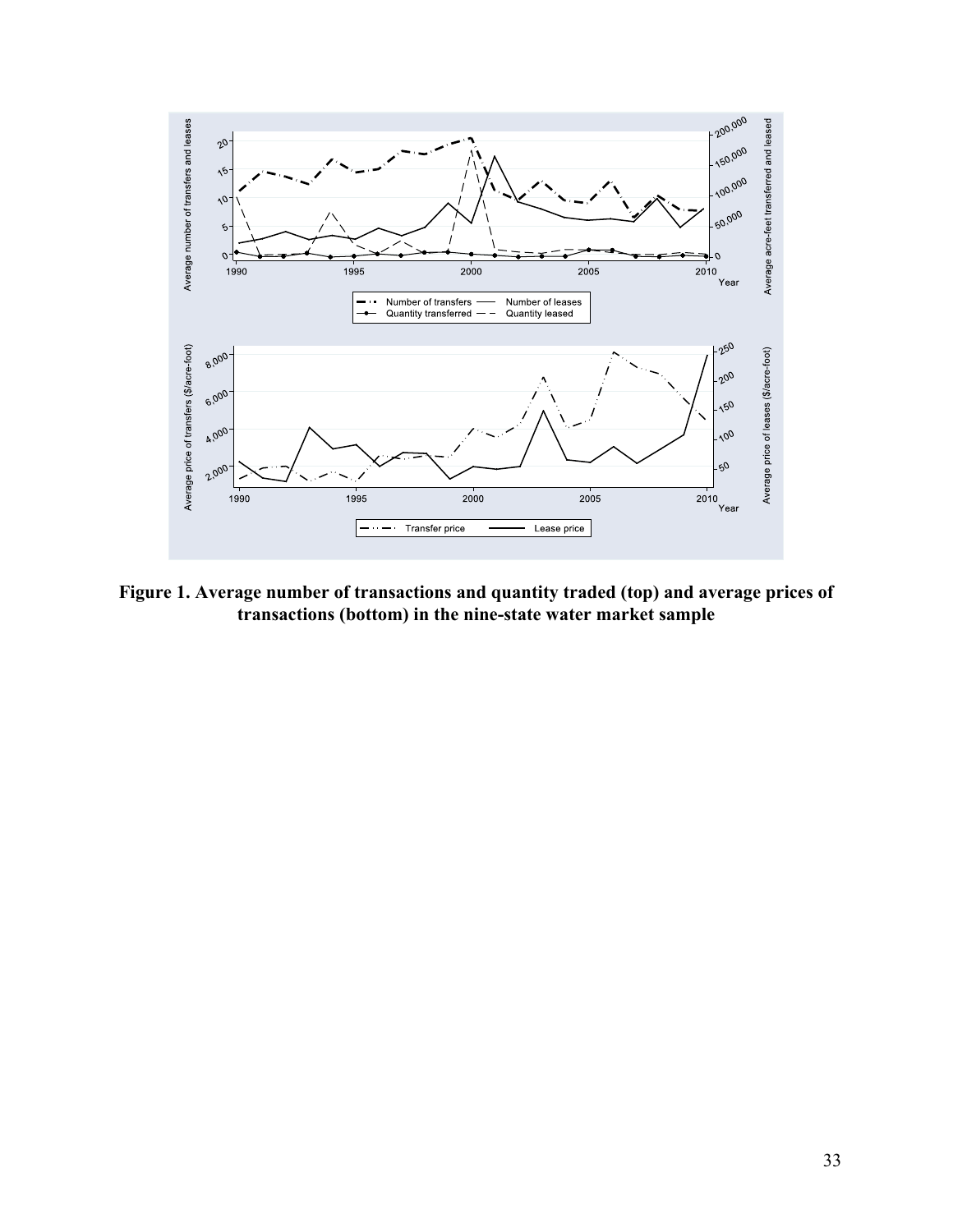

**Figure 1. Average number of transactions and quantity traded (top) and average prices of transactions (bottom) in the nine-state water market sample**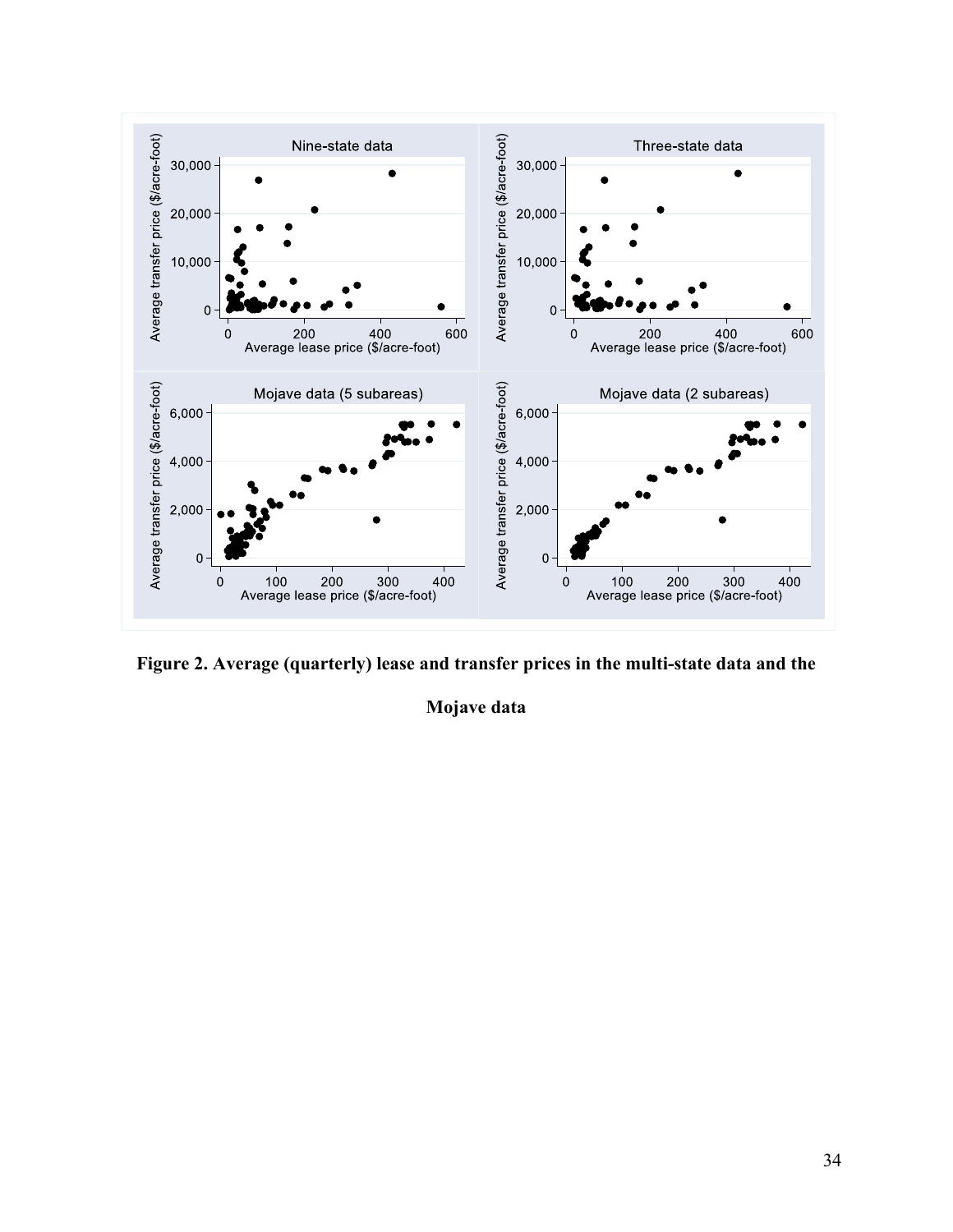

**Figure 2. Average (quarterly) lease and transfer prices in the multi-state data and the** 

**Mojave data**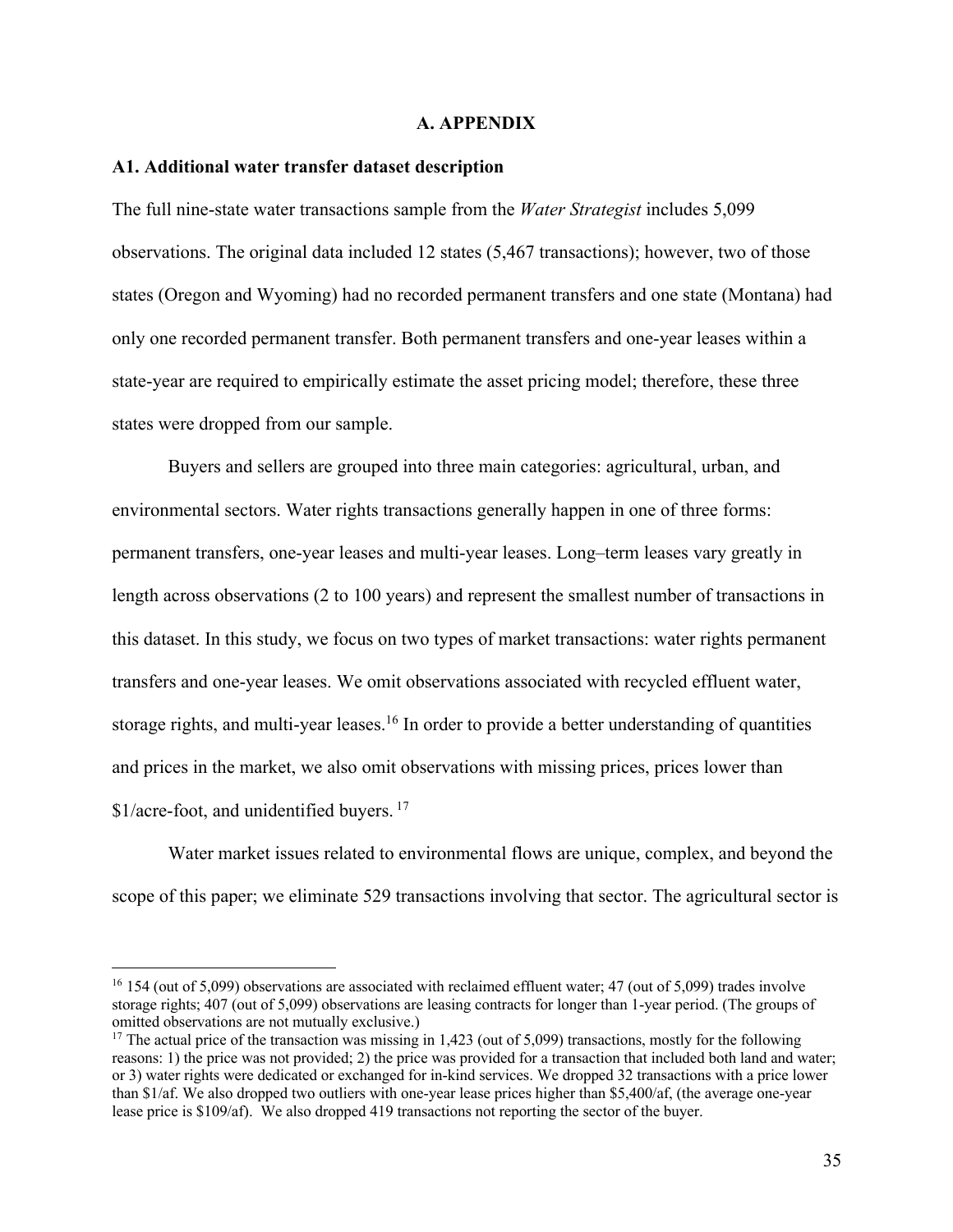#### **A. APPENDIX**

#### **A1. Additional water transfer dataset description**

The full nine-state water transactions sample from the *Water Strategist* includes 5,099 observations. The original data included 12 states (5,467 transactions); however, two of those states (Oregon and Wyoming) had no recorded permanent transfers and one state (Montana) had only one recorded permanent transfer. Both permanent transfers and one-year leases within a state-year are required to empirically estimate the asset pricing model; therefore, these three states were dropped from our sample.

Buyers and sellers are grouped into three main categories: agricultural, urban, and environmental sectors. Water rights transactions generally happen in one of three forms: permanent transfers, one-year leases and multi-year leases. Long–term leases vary greatly in length across observations (2 to 100 years) and represent the smallest number of transactions in this dataset. In this study, we focus on two types of market transactions: water rights permanent transfers and one-year leases. We omit observations associated with recycled effluent water, storage rights, and multi-year leases.<sup>16</sup> In order to provide a better understanding of quantities and prices in the market, we also omit observations with missing prices, prices lower than \$1/acre-foot, and unidentified buyers.<sup>17</sup>

Water market issues related to environmental flows are unique, complex, and beyond the scope of this paper; we eliminate 529 transactions involving that sector. The agricultural sector is

 $16$  154 (out of 5,099) observations are associated with reclaimed effluent water; 47 (out of 5,099) trades involve storage rights; 407 (out of 5,099) observations are leasing contracts for longer than 1-year period. (The groups of omitted observations are not mutually exclusive.)

<sup>&</sup>lt;sup>17</sup> The actual price of the transaction was missing in 1,423 (out of 5,099) transactions, mostly for the following reasons: 1) the price was not provided; 2) the price was provided for a transaction that included both land and water; or 3) water rights were dedicated or exchanged for in-kind services. We dropped 32 transactions with a price lower than \$1/af. We also dropped two outliers with one-year lease prices higher than \$5,400/af, (the average one-year lease price is \$109/af). We also dropped 419 transactions not reporting the sector of the buyer.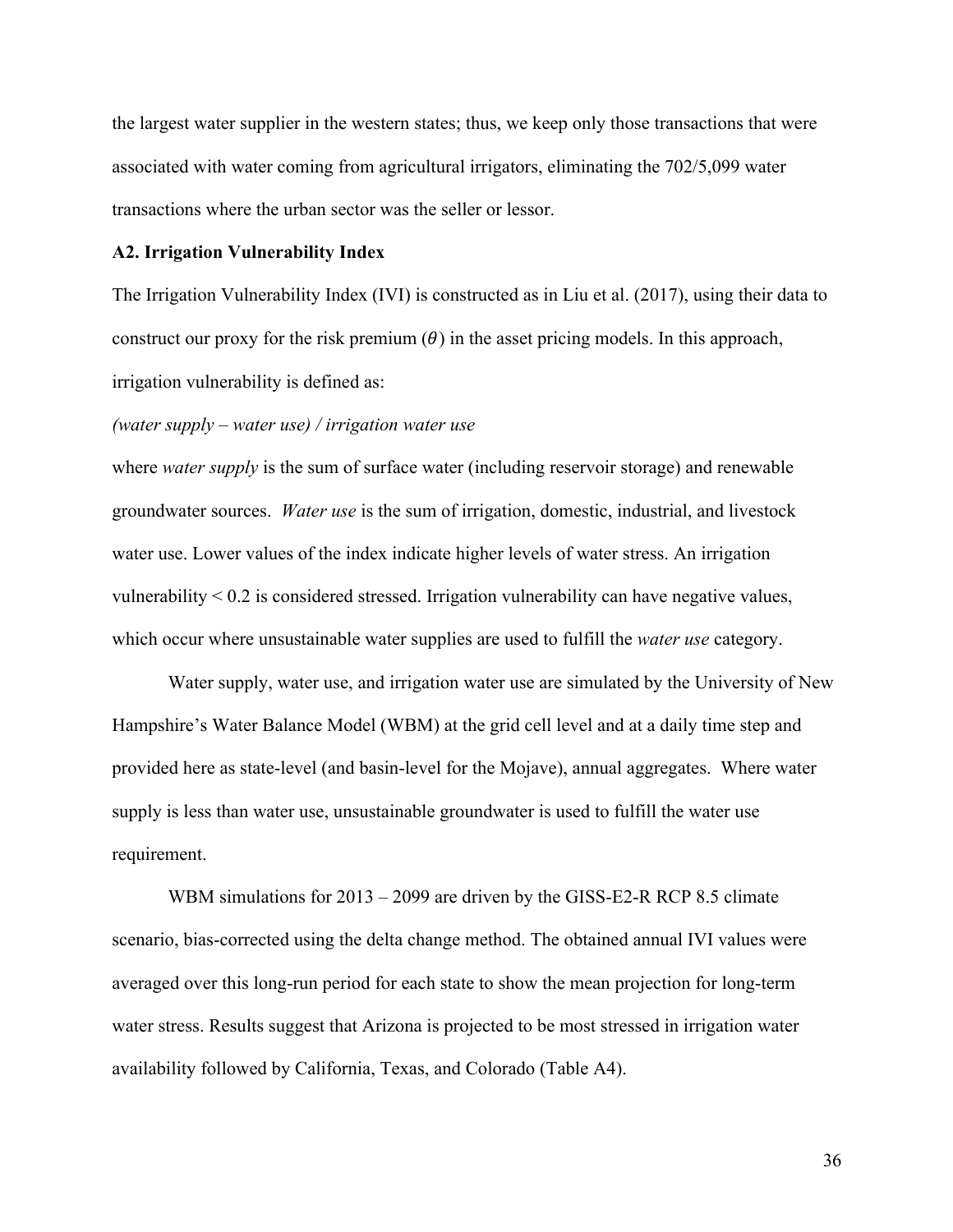the largest water supplier in the western states; thus, we keep only those transactions that were associated with water coming from agricultural irrigators, eliminating the 702/5,099 water transactions where the urban sector was the seller or lessor.

#### **A2. Irrigation Vulnerability Index**

The Irrigation Vulnerability Index (IVI) is constructed as in Liu et al. (2017), using their data to construct our proxy for the risk premium  $(\theta)$  in the asset pricing models. In this approach, irrigation vulnerability is defined as:

#### *(water supply – water use) / irrigation water use*

where *water supply* is the sum of surface water (including reservoir storage) and renewable groundwater sources. *Water use* is the sum of irrigation, domestic, industrial, and livestock water use. Lower values of the index indicate higher levels of water stress. An irrigation vulnerability < 0.2 is considered stressed. Irrigation vulnerability can have negative values, which occur where unsustainable water supplies are used to fulfill the *water use* category.

Water supply, water use, and irrigation water use are simulated by the University of New Hampshire's Water Balance Model (WBM) at the grid cell level and at a daily time step and provided here as state-level (and basin-level for the Mojave), annual aggregates. Where water supply is less than water use, unsustainable groundwater is used to fulfill the water use requirement.

WBM simulations for 2013 – 2099 are driven by the GISS-E2-R RCP 8.5 climate scenario, bias-corrected using the delta change method. The obtained annual IVI values were averaged over this long-run period for each state to show the mean projection for long-term water stress. Results suggest that Arizona is projected to be most stressed in irrigation water availability followed by California, Texas, and Colorado (Table A4).

 36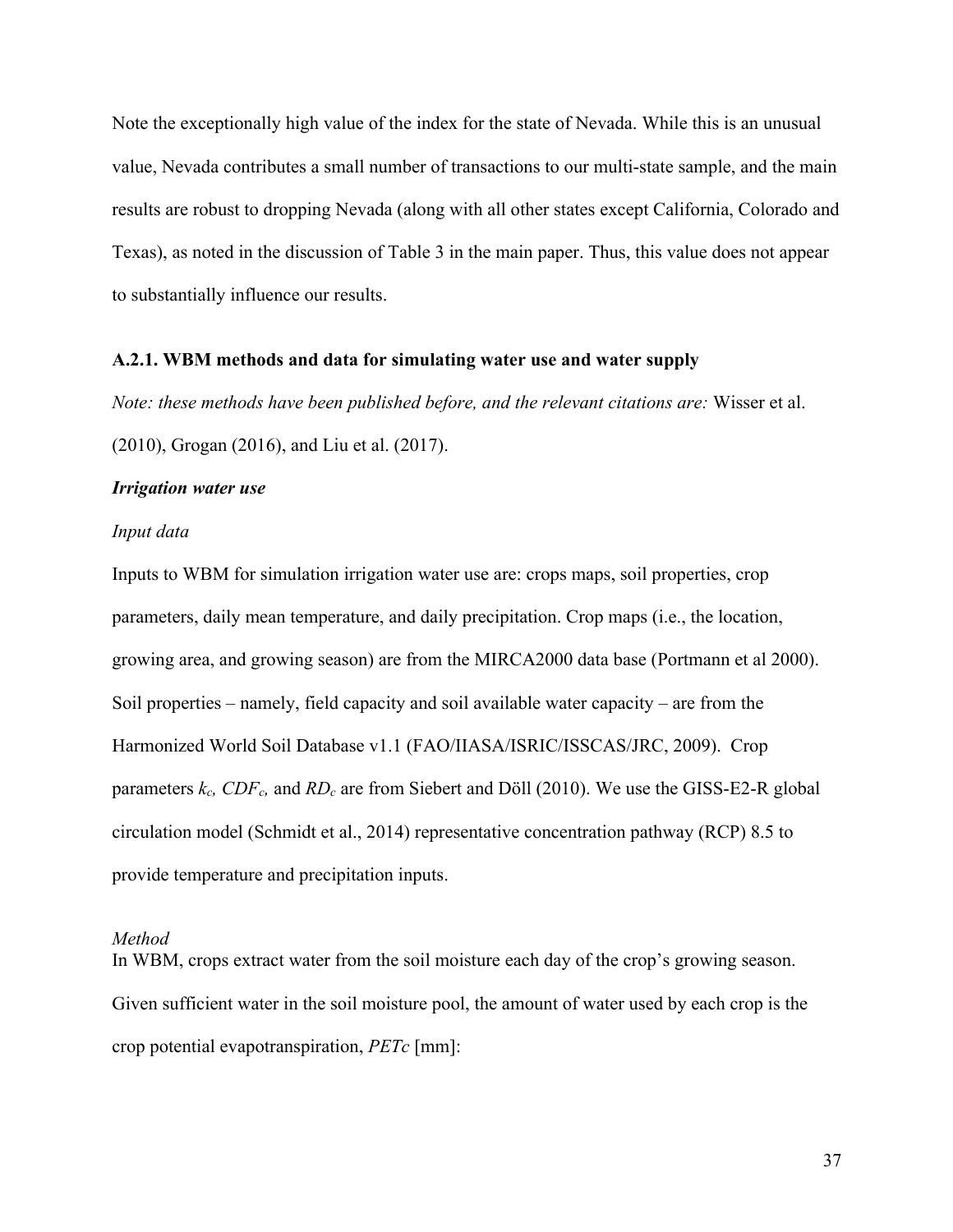Note the exceptionally high value of the index for the state of Nevada. While this is an unusual value, Nevada contributes a small number of transactions to our multi-state sample, and the main results are robust to dropping Nevada (along with all other states except California, Colorado and Texas), as noted in the discussion of Table 3 in the main paper. Thus, this value does not appear to substantially influence our results.

#### **A.2.1. WBM methods and data for simulating water use and water supply**

*Note: these methods have been published before, and the relevant citations are:* Wisser et al.

(2010), Grogan (2016), and Liu et al. (2017).

#### *Irrigation water use*

#### *Input data*

Inputs to WBM for simulation irrigation water use are: crops maps, soil properties, crop parameters, daily mean temperature, and daily precipitation. Crop maps (i.e., the location, growing area, and growing season) are from the MIRCA2000 data base (Portmann et al 2000). Soil properties – namely, field capacity and soil available water capacity – are from the Harmonized World Soil Database v1.1 (FAO/IIASA/ISRIC/ISSCAS/JRC, 2009). Crop parameters  $k_c$ , CDF<sub>c</sub>, and RD<sub>c</sub> are from Siebert and Döll (2010). We use the GISS-E2-R global circulation model (Schmidt et al., 2014) representative concentration pathway (RCP) 8.5 to provide temperature and precipitation inputs.

#### *Method*

In WBM, crops extract water from the soil moisture each day of the crop's growing season. Given sufficient water in the soil moisture pool, the amount of water used by each crop is the crop potential evapotranspiration, *PETc* [mm]: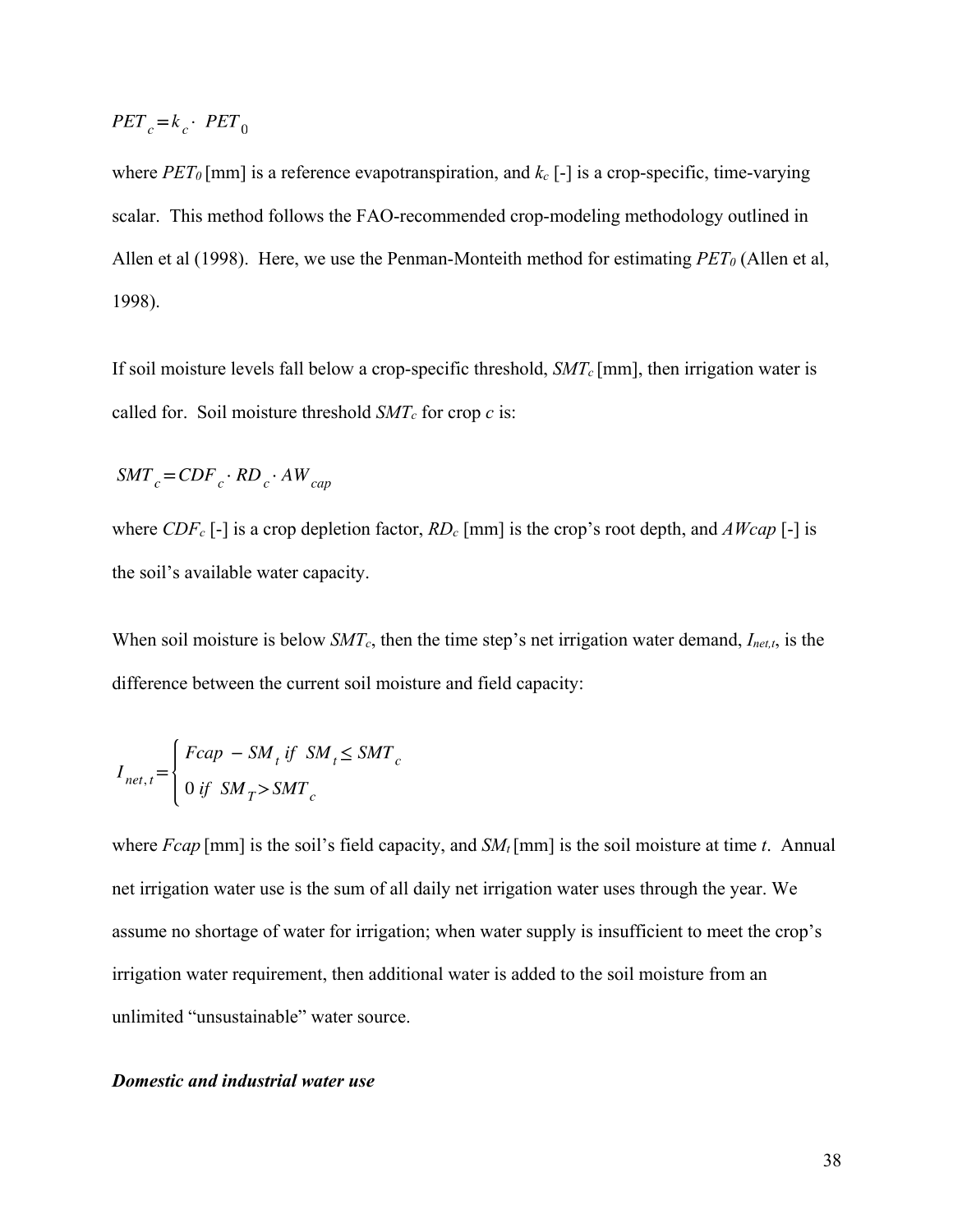$$
PET_c = k_c \cdot PET_0
$$

where  $PET_0$  [mm] is a reference evapotranspiration, and  $k_c$  [-] is a crop-specific, time-varying scalar. This method follows the FAO-recommended crop-modeling methodology outlined in Allen et al (1998). Here, we use the Penman-Monteith method for estimating  $PET_0$  (Allen et al, 1998).

If soil moisture levels fall below a crop-specific threshold, *SMTc* [mm], then irrigation water is called for. Soil moisture threshold *SMTc* for crop *c* is:

$$
SMT_{c} = CDF_{c} \cdot RD_{c} \cdot AW_{cap}
$$

where *CDFc* [-] is a crop depletion factor, *RDc* [mm] is the crop's root depth, and *AWcap* [-] is the soil's available water capacity.

When soil moisture is below *SMTc*, then the time step's net irrigation water demand, *Inet,t*, is the difference between the current soil moisture and field capacity:

$$
I_{net, t} = \begin{cases} Fcap - SM_t \text{ if } SM_t \leq SMT_c \\ 0 \text{ if } SM_T > SMT_c \end{cases}
$$

where *Fcap* [mm] is the soil's field capacity, and  $SM_t$  [mm] is the soil moisture at time *t*. Annual net irrigation water use is the sum of all daily net irrigation water uses through the year. We assume no shortage of water for irrigation; when water supply is insufficient to meet the crop's irrigation water requirement, then additional water is added to the soil moisture from an unlimited "unsustainable" water source.

# *Domestic and industrial water use*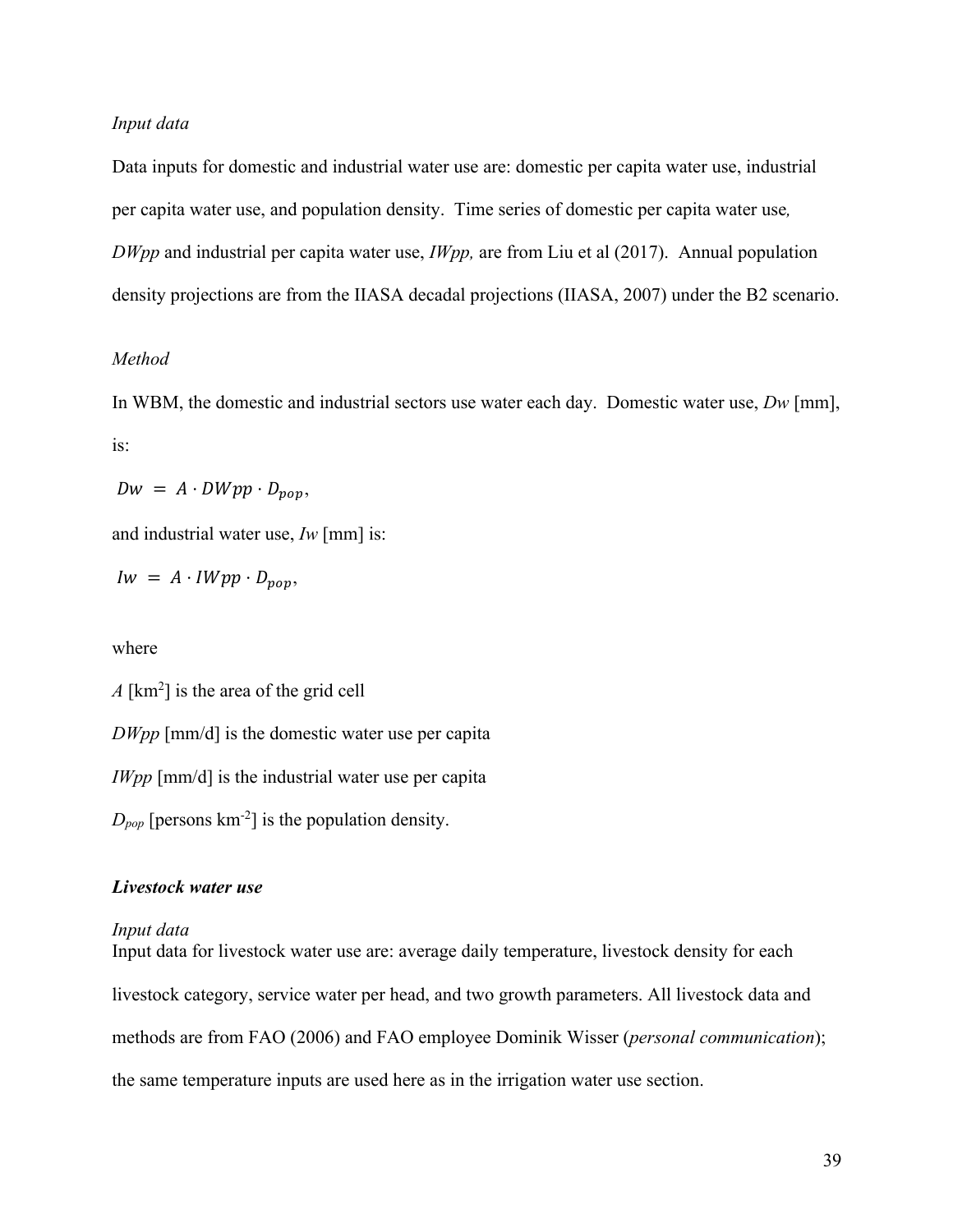# *Input data*

Data inputs for domestic and industrial water use are: domestic per capita water use, industrial per capita water use, and population density. Time series of domestic per capita water use*, DWpp* and industrial per capita water use, *IWpp,* are from Liu et al (2017). Annual population density projections are from the IIASA decadal projections (IIASA, 2007) under the B2 scenario.

# *Method*

In WBM, the domestic and industrial sectors use water each day. Domestic water use, *Dw* [mm], is:

$$
Dw = A \cdot DWpp \cdot D_{pop},
$$

and industrial water use, *Iw* [mm] is:

$$
Iw = A \cdot IWpp \cdot D_{pop},
$$

where

*A* [km2 ] is the area of the grid cell

*DWpp* [mm/d] is the domestic water use per capita

*IWpp* [mm/d] is the industrial water use per capita

 $D_{pop}$  [persons  $km^{-2}$ ] is the population density.

# *Livestock water use*

#### *Input data*

Input data for livestock water use are: average daily temperature, livestock density for each livestock category, service water per head, and two growth parameters. All livestock data and methods are from FAO (2006) and FAO employee Dominik Wisser (*personal communication*); the same temperature inputs are used here as in the irrigation water use section.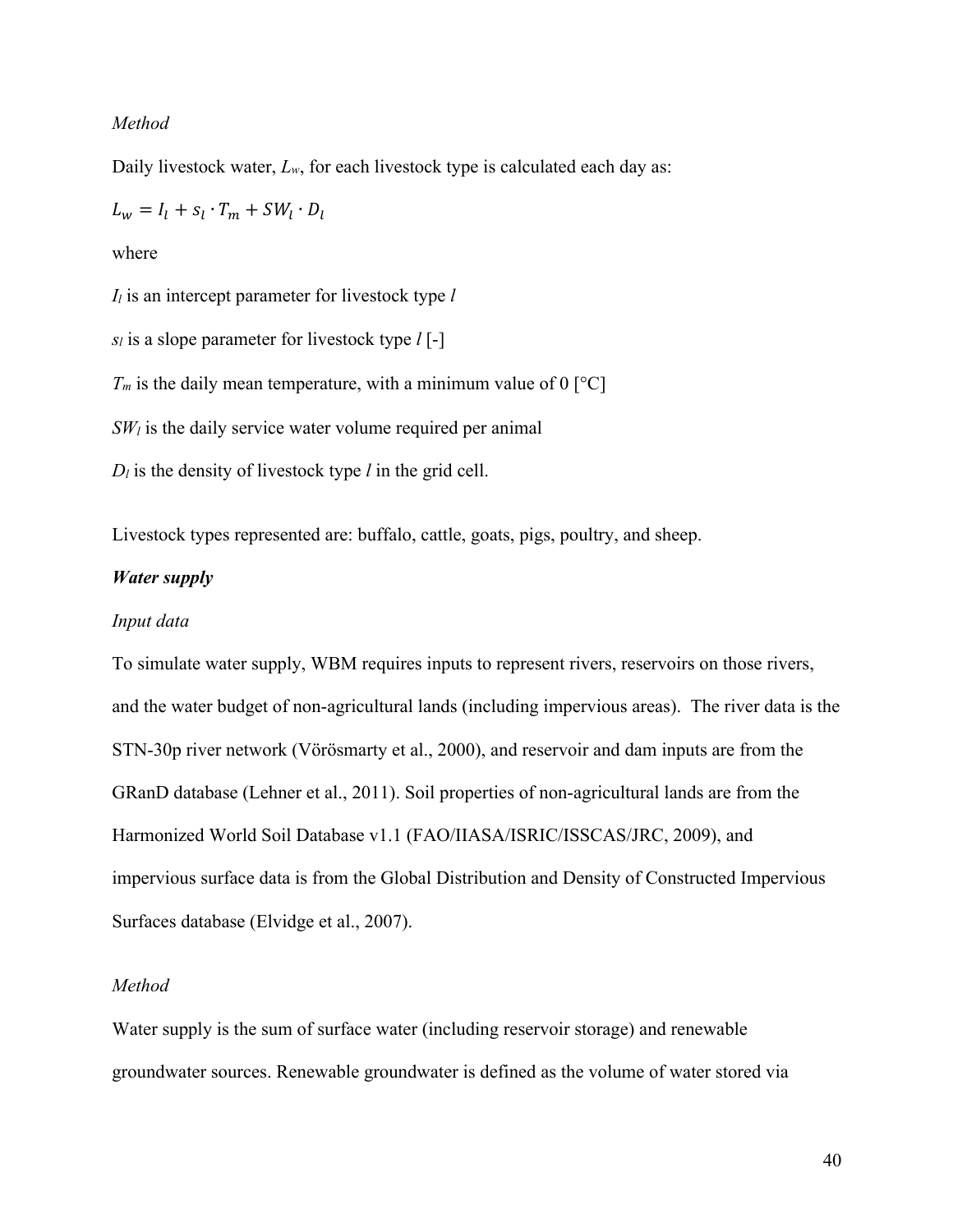## *Method*

Daily livestock water, *Lw*, for each livestock type is calculated each day as:

$$
L_w = I_l + s_l \cdot T_m + SW_l \cdot D_l
$$

where

*Il* is an intercept parameter for livestock type *l*

*sl* is a slope parameter for livestock type *l* [-]

 $T_m$  is the daily mean temperature, with a minimum value of 0 [ $^{\circ}$ C]

 $SW<sub>l</sub>$  is the daily service water volume required per animal

*Dl* is the density of livestock type *l* in the grid cell.

Livestock types represented are: buffalo, cattle, goats, pigs, poultry, and sheep.

# *Water supply*

#### *Input data*

To simulate water supply, WBM requires inputs to represent rivers, reservoirs on those rivers, and the water budget of non-agricultural lands (including impervious areas). The river data is the STN-30p river network (Vörösmarty et al., 2000), and reservoir and dam inputs are from the GRanD database (Lehner et al., 2011). Soil properties of non-agricultural lands are from the Harmonized World Soil Database v1.1 (FAO/IIASA/ISRIC/ISSCAS/JRC, 2009), and impervious surface data is from the Global Distribution and Density of Constructed Impervious Surfaces database (Elvidge et al., 2007).

# *Method*

Water supply is the sum of surface water (including reservoir storage) and renewable groundwater sources. Renewable groundwater is defined as the volume of water stored via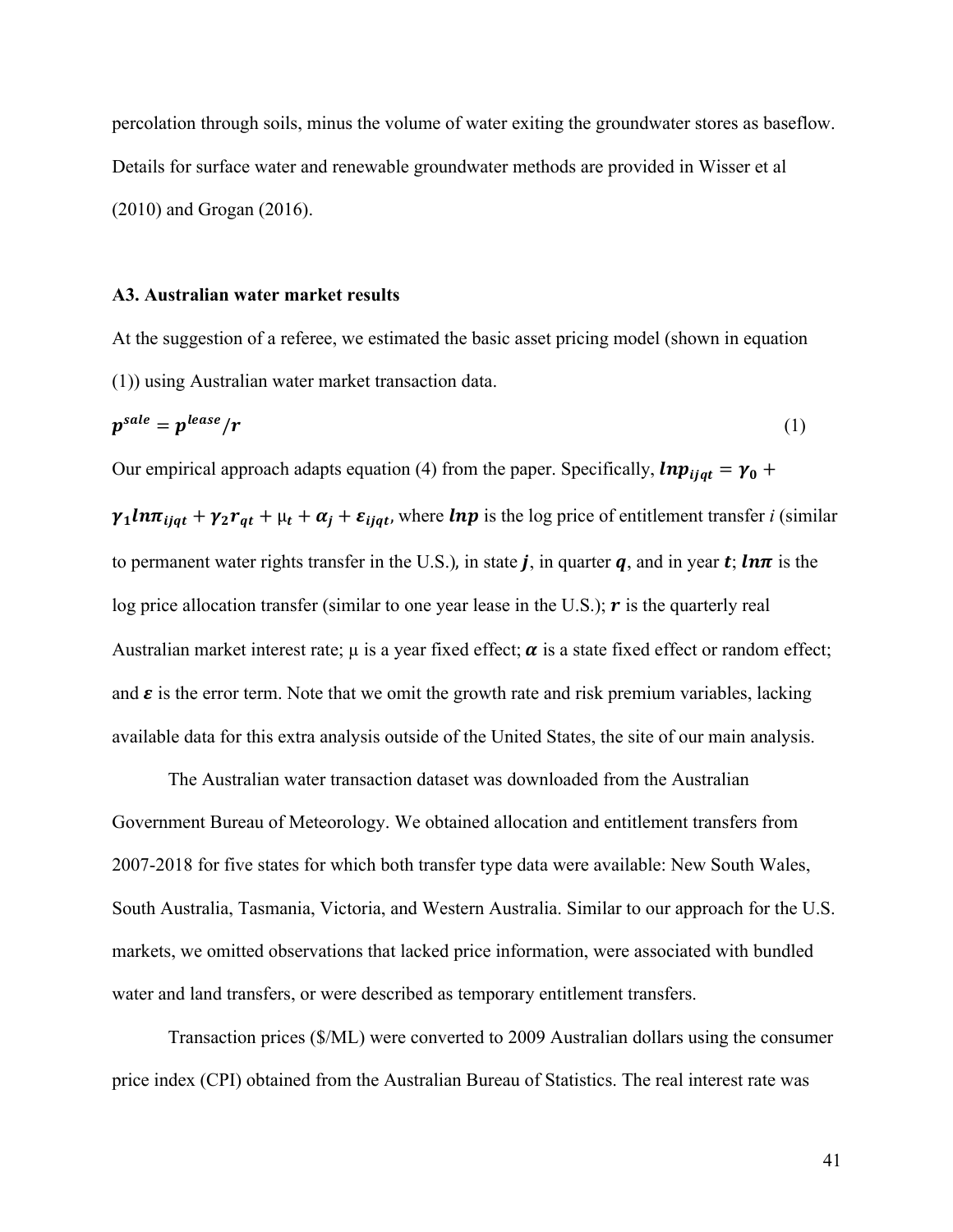percolation through soils, minus the volume of water exiting the groundwater stores as baseflow. Details for surface water and renewable groundwater methods are provided in Wisser et al (2010) and Grogan (2016).

#### **A3. Australian water market results**

At the suggestion of a referee, we estimated the basic asset pricing model (shown in equation (1)) using Australian water market transaction data.

$$
p^{sale} = p^{lease}/r \tag{1}
$$

Our empirical approach adapts equation (4) from the paper. Specifically,  $lnp_{ijat} = \gamma_0 +$ 

 $\gamma_1 ln \pi_{ijqt} + \gamma_2 r_{qt} + \mu_t + \alpha_j + \varepsilon_{ijqt}$ , where  $ln p$  is the log price of entitlement transfer *i* (similar to permanent water rights transfer in the U.S.), in state j, in quarter q, and in year t; ln $\pi$  is the log price allocation transfer (similar to one year lease in the U.S.);  $\boldsymbol{r}$  is the quarterly real Australian market interest rate;  $\mu$  is a year fixed effect;  $\alpha$  is a state fixed effect or random effect; and  $\varepsilon$  is the error term. Note that we omit the growth rate and risk premium variables, lacking available data for this extra analysis outside of the United States, the site of our main analysis.

The Australian water transaction dataset was downloaded from the Australian Government Bureau of Meteorology. We obtained allocation and entitlement transfers from 2007-2018 for five states for which both transfer type data were available: New South Wales, South Australia, Tasmania, Victoria, and Western Australia. Similar to our approach for the U.S. markets, we omitted observations that lacked price information, were associated with bundled water and land transfers, or were described as temporary entitlement transfers.

Transaction prices (\$/ML) were converted to 2009 Australian dollars using the consumer price index (CPI) obtained from the Australian Bureau of Statistics. The real interest rate was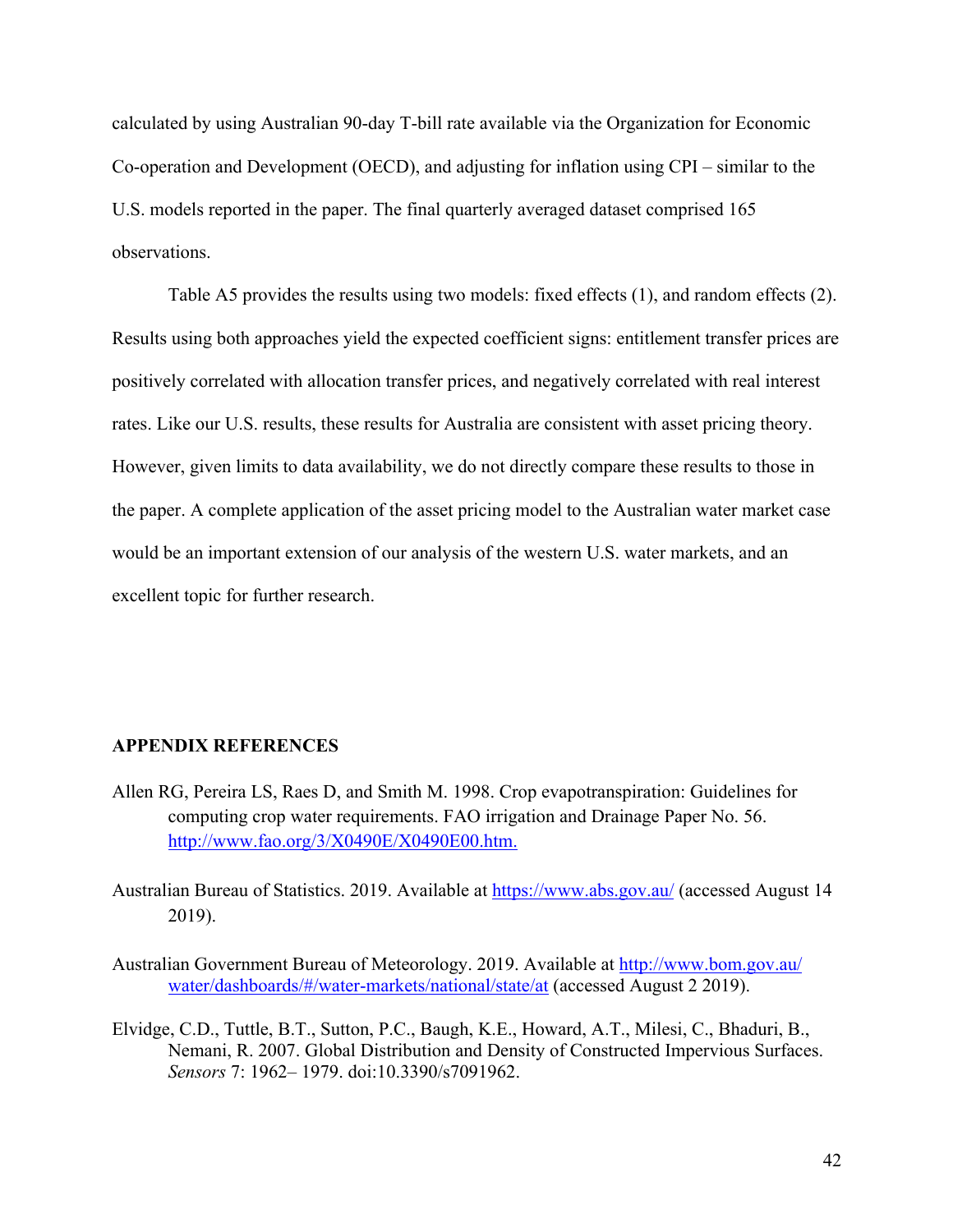calculated by using Australian 90-day T-bill rate available via the Organization for Economic Co-operation and Development (OECD), and adjusting for inflation using CPI – similar to the U.S. models reported in the paper. The final quarterly averaged dataset comprised 165 observations.

Table A5 provides the results using two models: fixed effects (1), and random effects (2). Results using both approaches yield the expected coefficient signs: entitlement transfer prices are positively correlated with allocation transfer prices, and negatively correlated with real interest rates. Like our U.S. results, these results for Australia are consistent with asset pricing theory. However, given limits to data availability, we do not directly compare these results to those in the paper. A complete application of the asset pricing model to the Australian water market case would be an important extension of our analysis of the western U.S. water markets, and an excellent topic for further research.

#### **APPENDIX REFERENCES**

- Allen RG, Pereira LS, Raes D, and Smith M. 1998. Crop evapotranspiration: Guidelines for computing crop water requirements. FAO irrigation and Drainage Paper No. 56. http://www.fao.org/3/X0490E/X0490E00.htm.
- Australian Bureau of Statistics. 2019. Available at https://www.abs.gov.au/ (accessed August 14 2019).
- Australian Government Bureau of Meteorology. 2019. Available at http://www.bom.gov.au/ water/dashboards/#/water-markets/national/state/at (accessed August 2 2019).
- Elvidge, C.D., Tuttle, B.T., Sutton, P.C., Baugh, K.E., Howard, A.T., Milesi, C., Bhaduri, B., Nemani, R. 2007. Global Distribution and Density of Constructed Impervious Surfaces. *Sensors* 7: 1962– 1979. doi:10.3390/s7091962.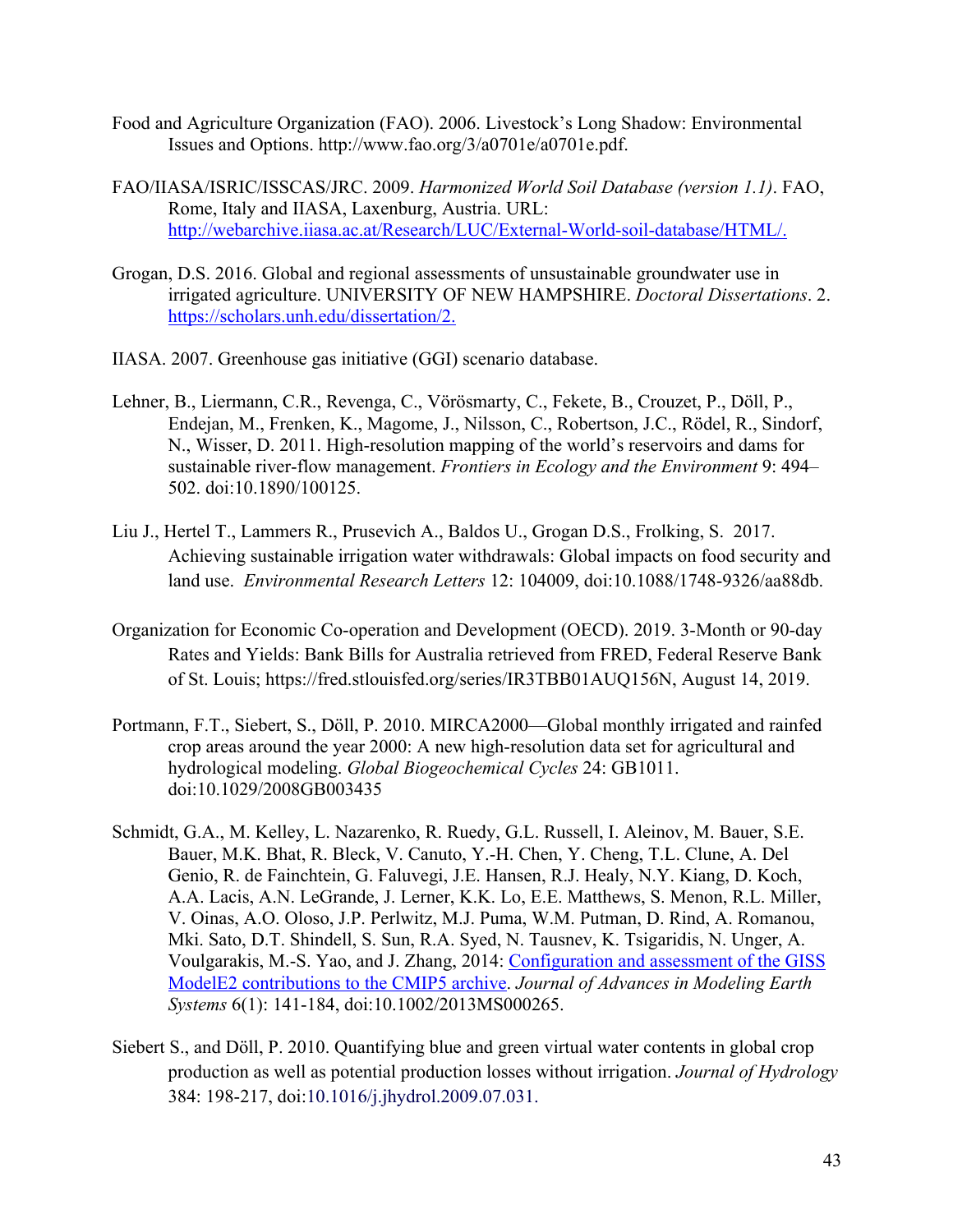- Food and Agriculture Organization (FAO). 2006. Livestock's Long Shadow: Environmental Issues and Options. http://www.fao.org/3/a0701e/a0701e.pdf.
- FAO/IIASA/ISRIC/ISSCAS/JRC. 2009. *Harmonized World Soil Database (version 1.1)*. FAO, Rome, Italy and IIASA, Laxenburg, Austria. URL: http://webarchive.iiasa.ac.at/Research/LUC/External-World-soil-database/HTML/.
- Grogan, D.S. 2016. Global and regional assessments of unsustainable groundwater use in irrigated agriculture. UNIVERSITY OF NEW HAMPSHIRE. *Doctoral Dissertations*. 2. https://scholars.unh.edu/dissertation/2.
- IIASA. 2007. Greenhouse gas initiative (GGI) scenario database.
- Lehner, B., Liermann, C.R., Revenga, C., Vörösmarty, C., Fekete, B., Crouzet, P., Döll, P., Endejan, M., Frenken, K., Magome, J., Nilsson, C., Robertson, J.C., Rödel, R., Sindorf, N., Wisser, D. 2011. High-resolution mapping of the world's reservoirs and dams for sustainable river-flow management. *Frontiers in Ecology and the Environment* 9: 494– 502. doi:10.1890/100125.
- Liu J., Hertel T., Lammers R., Prusevich A., Baldos U., Grogan D.S., Frolking, S. 2017. Achieving sustainable irrigation water withdrawals: Global impacts on food security and land use. *Environmental Research Letters* 12: 104009, doi:10.1088/1748-9326/aa88db.
- Organization for Economic Co-operation and Development (OECD). 2019. 3-Month or 90-day Rates and Yields: Bank Bills for Australia retrieved from FRED, Federal Reserve Bank of St. Louis; https://fred.stlouisfed.org/series/IR3TBB01AUQ156N, August 14, 2019.
- Portmann, F.T., Siebert, S., Döll, P. 2010. MIRCA2000—Global monthly irrigated and rainfed crop areas around the year 2000: A new high-resolution data set for agricultural and hydrological modeling. *Global Biogeochemical Cycles* 24: GB1011. doi:10.1029/2008GB003435
- Schmidt, G.A., M. Kelley, L. Nazarenko, R. Ruedy, G.L. Russell, I. Aleinov, M. Bauer, S.E. Bauer, M.K. Bhat, R. Bleck, V. Canuto, Y.-H. Chen, Y. Cheng, T.L. Clune, A. Del Genio, R. de Fainchtein, G. Faluvegi, J.E. Hansen, R.J. Healy, N.Y. Kiang, D. Koch, A.A. Lacis, A.N. LeGrande, J. Lerner, K.K. Lo, E.E. Matthews, S. Menon, R.L. Miller, V. Oinas, A.O. Oloso, J.P. Perlwitz, M.J. Puma, W.M. Putman, D. Rind, A. Romanou, Mki. Sato, D.T. Shindell, S. Sun, R.A. Syed, N. Tausnev, K. Tsigaridis, N. Unger, A. Voulgarakis, M.-S. Yao, and J. Zhang, 2014: Configuration and assessment of the GISS ModelE2 contributions to the CMIP5 archive. *Journal of Advances in Modeling Earth Systems* 6(1): 141-184, doi:10.1002/2013MS000265.
- Siebert S., and Döll, P. 2010. Quantifying blue and green virtual water contents in global crop production as well as potential production losses without irrigation. *Journal of Hydrology* 384: 198-217, doi:10.1016/j.jhydrol.2009.07.031.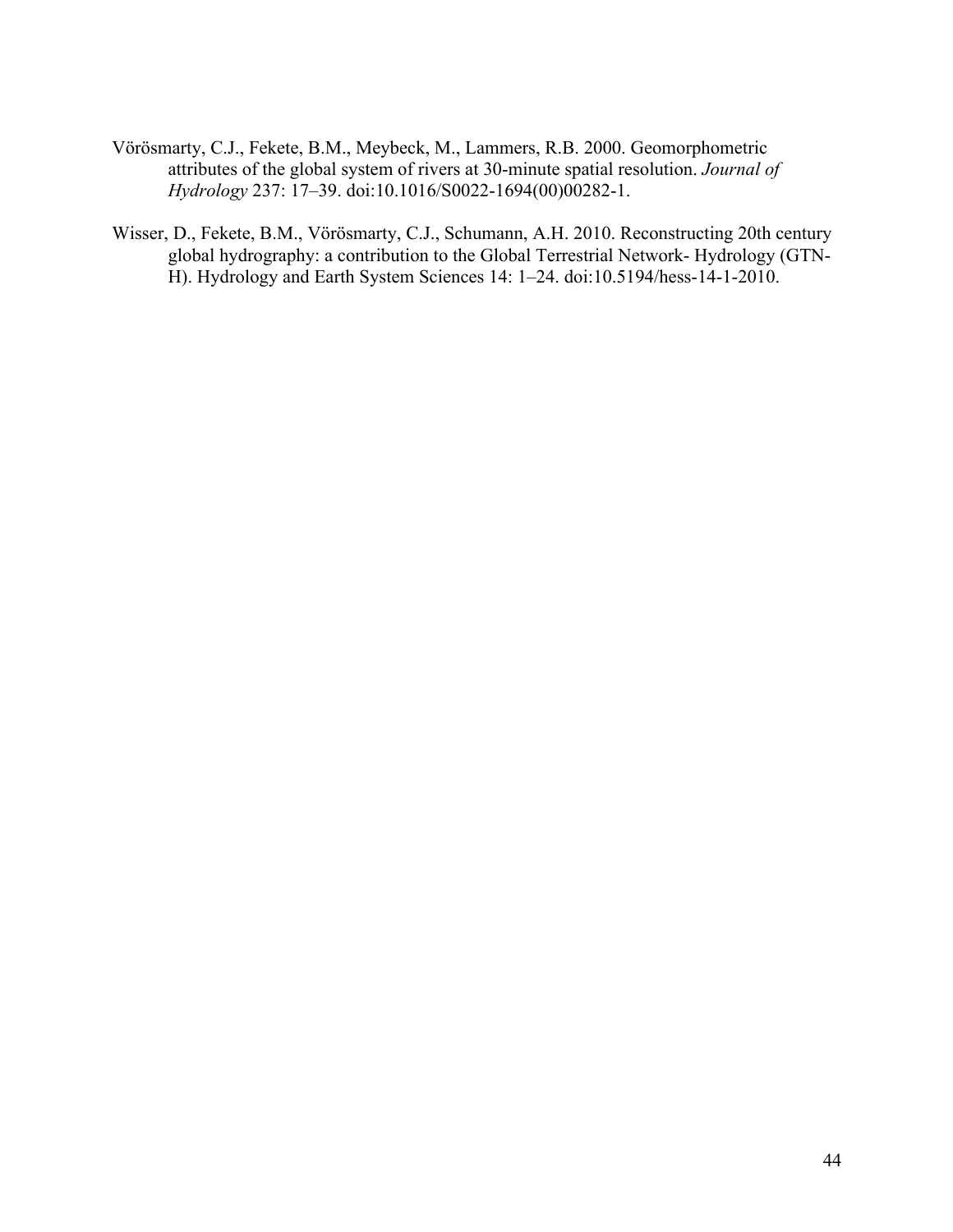- Vörösmarty, C.J., Fekete, B.M., Meybeck, M., Lammers, R.B. 2000. Geomorphometric attributes of the global system of rivers at 30-minute spatial resolution. *Journal of Hydrology* 237: 17–39. doi:10.1016/S0022-1694(00)00282-1.
- Wisser, D., Fekete, B.M., Vörösmarty, C.J., Schumann, A.H. 2010. Reconstructing 20th century global hydrography: a contribution to the Global Terrestrial Network- Hydrology (GTN-H). Hydrology and Earth System Sciences 14: 1–24. doi:10.5194/hess-14-1-2010.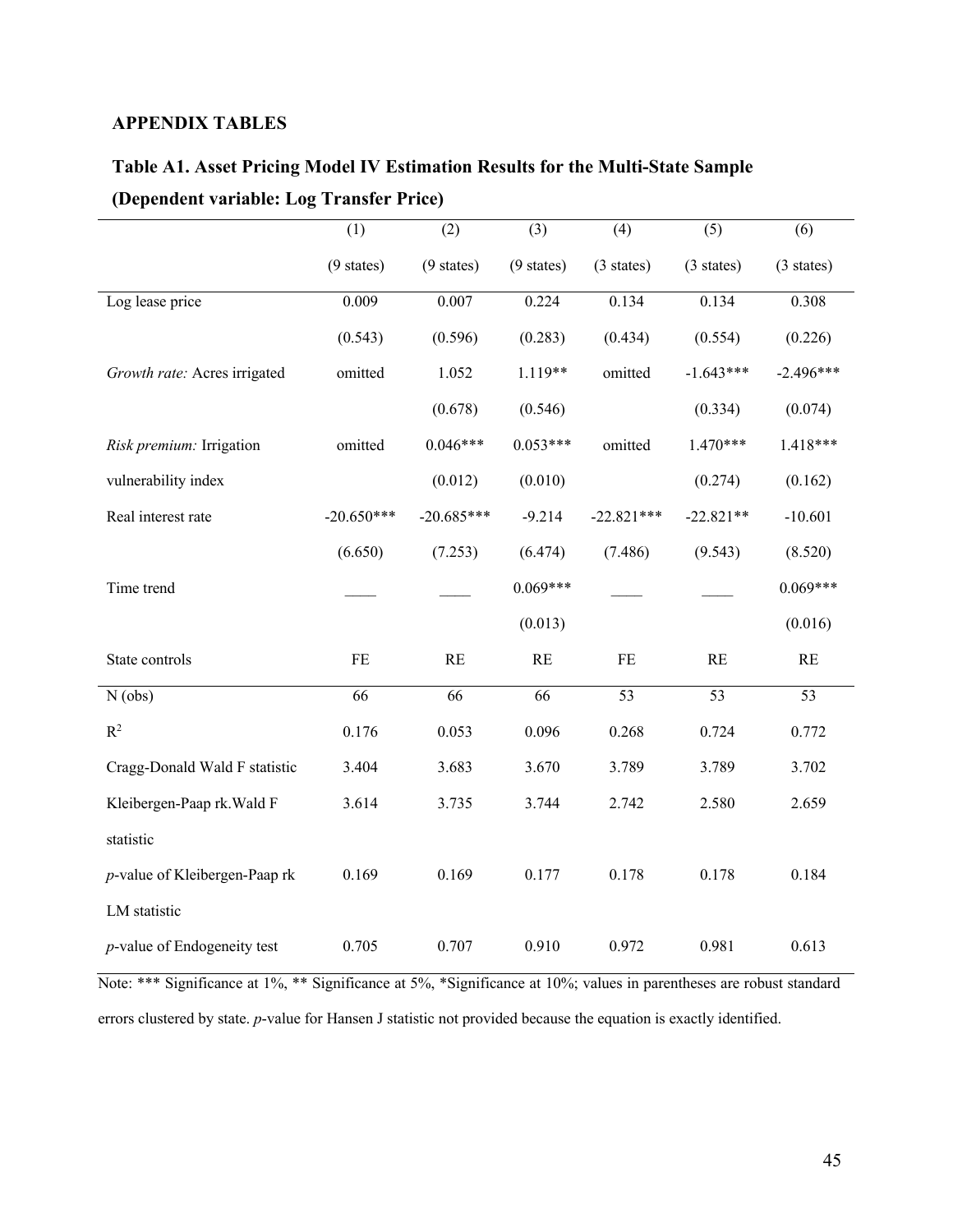# **APPENDIX TABLES**

# **Table A1. Asset Pricing Model IV Estimation Results for the Multi-State Sample (Dependent variable: Log Transfer Price)**

|                                     | (1)                  | (2)                  | (3)                  | (4)                  | (5)                     | (6)                  |
|-------------------------------------|----------------------|----------------------|----------------------|----------------------|-------------------------|----------------------|
|                                     | $(9 \text{ states})$ | $(9 \text{ states})$ | $(9 \text{ states})$ | $(3 \text{ states})$ | $(3 \text{ states})$    | $(3 \text{ states})$ |
| Log lease price                     | 0.009                | 0.007                | 0.224                | 0.134                | 0.134                   | 0.308                |
|                                     | (0.543)              | (0.596)              | (0.283)              | (0.434)              | (0.554)                 | (0.226)              |
| Growth rate: Acres irrigated        | omitted              | 1.052                | 1.119**              | omitted              | $-1.643***$             | $-2.496***$          |
|                                     |                      | (0.678)              | (0.546)              |                      | (0.334)                 | (0.074)              |
| Risk premium: Irrigation            | omitted              | $0.046***$           | $0.053***$           | omitted              | $1.470***$              | $1.418***$           |
| vulnerability index                 |                      | (0.012)              | (0.010)              |                      | (0.274)                 | (0.162)              |
| Real interest rate                  | $-20.650***$         | $-20.685***$         | $-9.214$             | $-22.821***$         | $-22.821**$             | $-10.601$            |
|                                     | (6.650)              | (7.253)              | (6.474)              | (7.486)              | (9.543)                 | (8.520)              |
| Time trend                          |                      |                      | $0.069***$           |                      |                         | $0.069***$           |
|                                     |                      |                      | (0.013)              |                      |                         | (0.016)              |
| State controls                      | FE                   | RE                   | RE                   | $\rm FE$             | $\mathbb{R}\mathcal{E}$ | $\mathbf{RE}$        |
| $N$ (obs)                           | 66                   | $\overline{66}$      | $\overline{66}$      | $\overline{53}$      | $\overline{53}$         | $\overline{53}$      |
| $\mathbb{R}^2$                      | 0.176                | 0.053                | 0.096                | 0.268                | 0.724                   | 0.772                |
| Cragg-Donald Wald F statistic       | 3.404                | 3.683                | 3.670                | 3.789                | 3.789                   | 3.702                |
| Kleibergen-Paap rk. Wald F          | 3.614                | 3.735                | 3.744                | 2.742                | 2.580                   | 2.659                |
| statistic                           |                      |                      |                      |                      |                         |                      |
| p-value of Kleibergen-Paap rk       | 0.169                | 0.169                | 0.177                | 0.178                | 0.178                   | 0.184                |
| LM statistic                        |                      |                      |                      |                      |                         |                      |
| <i>p</i> -value of Endogeneity test | 0.705                | 0.707                | 0.910                | 0.972                | 0.981                   | 0.613                |

Note: \*\*\* Significance at 1%, \*\* Significance at 5%, \*Significance at 10%; values in parentheses are robust standard errors clustered by state. *p*-value for Hansen J statistic not provided because the equation is exactly identified.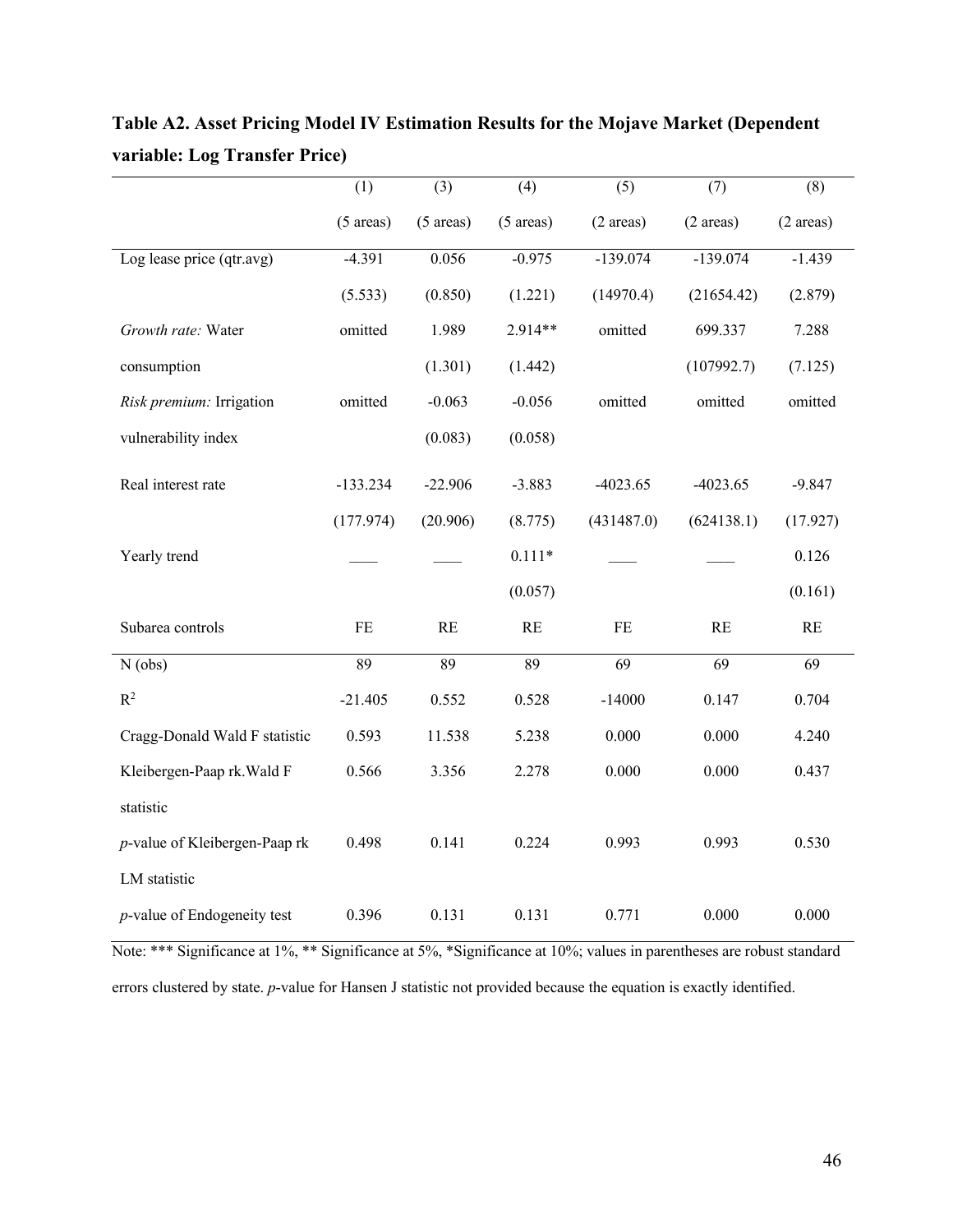|                                     | (1)                 | (3)                 | (4)                 | (5)                 | (7)                 | (8)                     |
|-------------------------------------|---------------------|---------------------|---------------------|---------------------|---------------------|-------------------------|
|                                     | $(5 \text{ areas})$ | $(5 \text{ areas})$ | $(5 \text{ areas})$ | $(2 \text{ areas})$ | $(2 \text{ areas})$ | $(2 \text{ areas})$     |
| Log lease price (qtr.avg)           | $-4.391$            | 0.056               | $-0.975$            | $-139.074$          | $-139.074$          | $-1.439$                |
|                                     | (5.533)             | (0.850)             | (1.221)             | (14970.4)           | (21654.42)          | (2.879)                 |
| Growth rate: Water                  | omitted             | 1.989               | 2.914**             | omitted             | 699.337             | 7.288                   |
| consumption                         |                     | (1.301)             | (1.442)             |                     | (107992.7)          | (7.125)                 |
| Risk premium: Irrigation            | omitted             | $-0.063$            | $-0.056$            | omitted             | omitted             | omitted                 |
| vulnerability index                 |                     | (0.083)             | (0.058)             |                     |                     |                         |
| Real interest rate                  | $-133.234$          | $-22.906$           | $-3.883$            | $-4023.65$          | $-4023.65$          | $-9.847$                |
|                                     | (177.974)           | (20.906)            | (8.775)             | (431487.0)          | (624138.1)          | (17.927)                |
| Yearly trend                        |                     |                     | $0.111*$            |                     |                     | 0.126                   |
|                                     |                     |                     | (0.057)             |                     |                     | (0.161)                 |
| Subarea controls                    | $\rm FE$            | RE                  | RE                  | $\rm FE$            | RE                  | $\mathbb{R} \mathbb{E}$ |
| $N$ (obs)                           | 89                  | 89                  | 89                  | 69                  | 69                  | 69                      |
| $\mathbb{R}^2$                      | $-21.405$           | 0.552               | 0.528               | $-14000$            | 0.147               | 0.704                   |
| Cragg-Donald Wald F statistic       | 0.593               | 11.538              | 5.238               | 0.000               | 0.000               | 4.240                   |
| Kleibergen-Paap rk. Wald F          | 0.566               | 3.356               | 2.278               | 0.000               | 0.000               | 0.437                   |
| statistic                           |                     |                     |                     |                     |                     |                         |
| p-value of Kleibergen-Paap rk       | 0.498               | 0.141               | 0.224               | 0.993               | 0.993               | 0.530                   |
| LM statistic                        |                     |                     |                     |                     |                     |                         |
| <i>p</i> -value of Endogeneity test | 0.396               | 0.131               | 0.131               | 0.771               | 0.000               | 0.000                   |

**Table A2. Asset Pricing Model IV Estimation Results for the Mojave Market (Dependent variable: Log Transfer Price)**

Note: \*\*\* Significance at 1%, \*\* Significance at 5%, \*Significance at 10%; values in parentheses are robust standard errors clustered by state. *p*-value for Hansen J statistic not provided because the equation is exactly identified.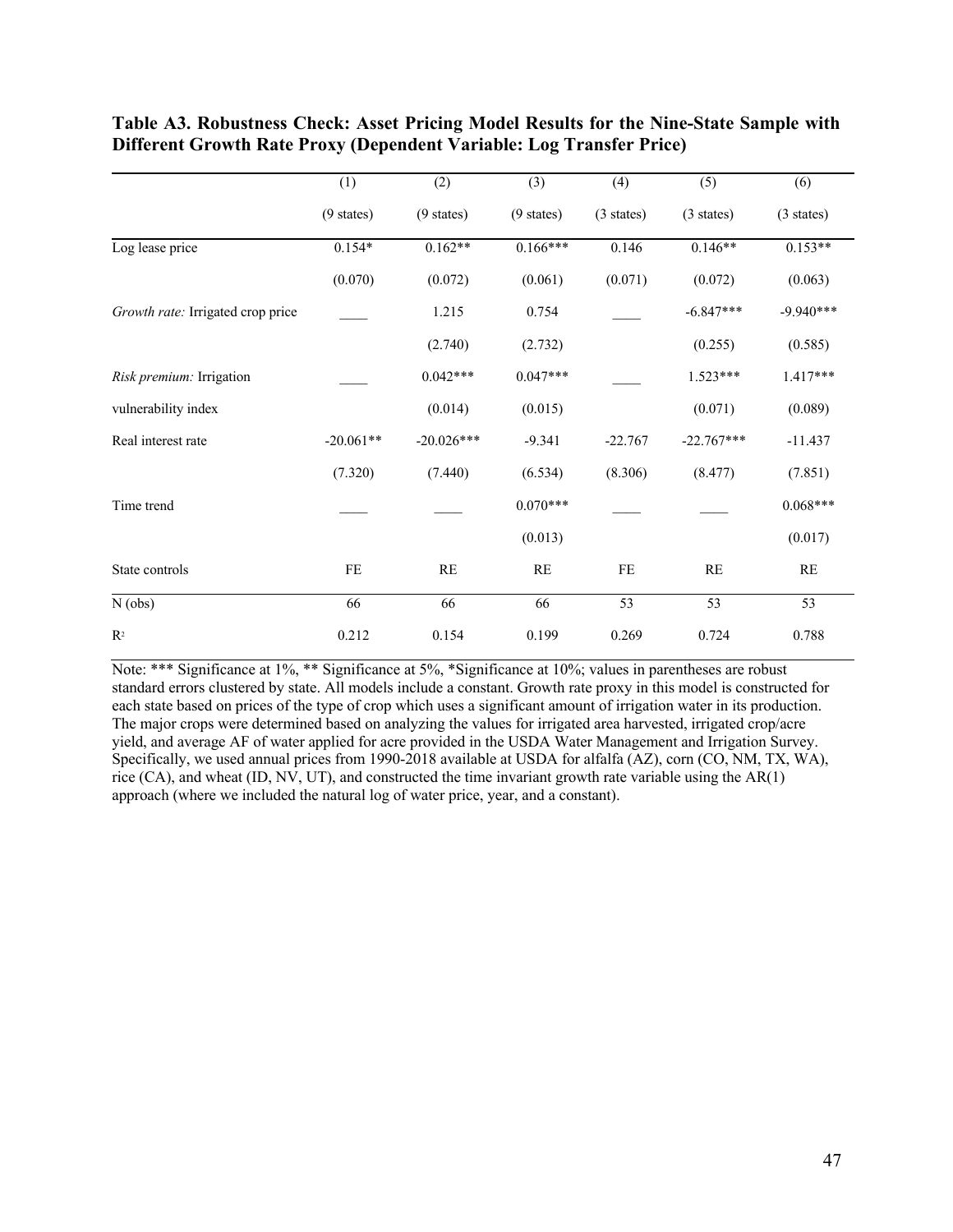|                                   | (1)                  | (2)                  | (3)                  | (4)        | (5)                  | (6)                  |
|-----------------------------------|----------------------|----------------------|----------------------|------------|----------------------|----------------------|
|                                   | $(9 \text{ states})$ | $(9 \text{ states})$ | $(9 \text{ states})$ | (3 states) | $(3 \text{ states})$ | $(3 \text{ states})$ |
| Log lease price                   | $0.154*$             | $0.162**$            | $0.166***$           | 0.146      | $0.146**$            | $0.153**$            |
|                                   | (0.070)              | (0.072)              | (0.061)              | (0.071)    | (0.072)              | (0.063)              |
| Growth rate: Irrigated crop price |                      | 1.215                | 0.754                |            | $-6.847***$          | $-9.940***$          |
|                                   |                      | (2.740)              | (2.732)              |            | (0.255)              | (0.585)              |
| Risk premium: Irrigation          |                      | $0.042***$           | $0.047***$           |            | $1.523***$           | $1.417***$           |
| vulnerability index               |                      | (0.014)              | (0.015)              |            | (0.071)              | (0.089)              |
| Real interest rate                | $-20.061**$          | $-20.026***$         | $-9.341$             | $-22.767$  | $-22.767***$         | $-11.437$            |
|                                   | (7.320)              | (7.440)              | (6.534)              | (8.306)    | (8.477)              | (7.851)              |
| Time trend                        |                      |                      | $0.070***$           |            |                      | $0.068***$           |
|                                   |                      |                      | (0.013)              |            |                      | (0.017)              |
| State controls                    | FE                   | RE                   | RE                   | $\rm FE$   | RE                   | RE                   |
| N(obs)                            | 66                   | 66                   | 66                   | 53         | 53                   | 53                   |
| R <sup>2</sup>                    | 0.212                | 0.154                | 0.199                | 0.269      | 0.724                | 0.788                |

# **Table A3. Robustness Check: Asset Pricing Model Results for the Nine-State Sample with Different Growth Rate Proxy (Dependent Variable: Log Transfer Price)**

Note: \*\*\* Significance at 1%, \*\* Significance at 5%, \*Significance at 10%; values in parentheses are robust standard errors clustered by state. All models include a constant. Growth rate proxy in this model is constructed for each state based on prices of the type of crop which uses a significant amount of irrigation water in its production. The major crops were determined based on analyzing the values for irrigated area harvested, irrigated crop/acre yield, and average AF of water applied for acre provided in the USDA Water Management and Irrigation Survey. Specifically, we used annual prices from 1990-2018 available at USDA for alfalfa (AZ), corn (CO, NM, TX, WA), rice (CA), and wheat (ID, NV, UT), and constructed the time invariant growth rate variable using the AR(1) approach (where we included the natural log of water price, year, and a constant).